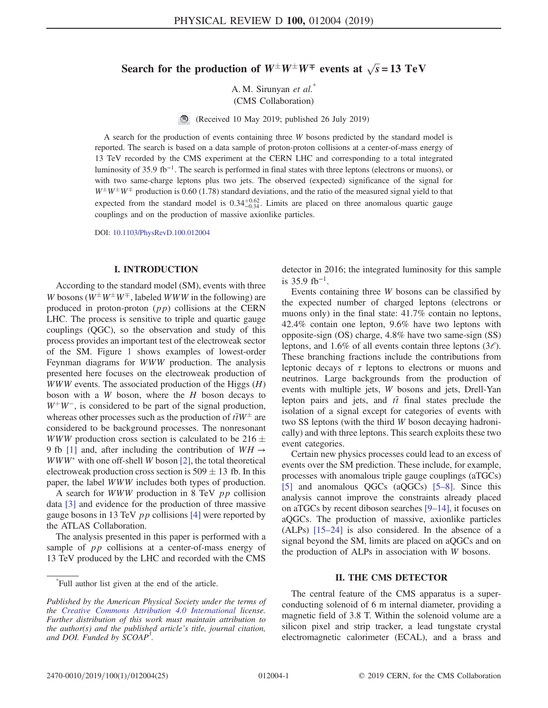# Search for the production of  $W^{\pm}W^{\pm}W^{\mp}$  events at  $\sqrt{s} = 13 \text{ TeV}$

A. M. Sirunyan et al.<sup>\*</sup> (CMS Collaboration)

(Received 10 May 2019; published 26 July 2019)

A search for the production of events containing three W bosons predicted by the standard model is reported. The search is based on a data sample of proton-proton collisions at a center-of-mass energy of 13 TeV recorded by the CMS experiment at the CERN LHC and corresponding to a total integrated luminosity of 35.9 fb<sup>−</sup><sup>1</sup>. The search is performed in final states with three leptons (electrons or muons), or with two same-charge leptons plus two jets. The observed (expected) significance of the signal for  $W^{\pm}W^{\pm}W^{\mp}$  production is 0.60 (1.78) standard deviations, and the ratio of the measured signal yield to that expected from the standard model is  $0.34_{-0.34}^{+0.62}$ . Limits are placed on three anomalous quartic gauge couplings and on the production of massive axionlike particles.

DOI: [10.1103/PhysRevD.100.012004](https://doi.org/10.1103/PhysRevD.100.012004)

#### I. INTRODUCTION

According to the standard model (SM), events with three W bosons ( $W^{\pm}W^{\pm}W^{\mp}$ , labeled WWW in the following) are produced in proton-proton  $(pp)$  collisions at the CERN LHC. The process is sensitive to triple and quartic gauge couplings (QGC), so the observation and study of this process provides an important test of the electroweak sector of the SM. Figure [1](#page-1-0) shows examples of lowest-order Feynman diagrams for WWW production. The analysis presented here focuses on the electroweak production of *WWW* events. The associated production of the Higgs  $(H)$ boson with a  $W$  boson, where the  $H$  boson decays to  $W^+W^-$ , is considered to be part of the signal production, whereas other processes such as the production of  $\bar{t} \bar{t}W^{\pm}$  are considered to be background processes. The nonresonant WWW production cross section is calculated to be  $216 \pm$ 9 fb [\[1\]](#page-11-0) and, after including the contribution of  $WH \rightarrow$  $WWW^*$  with one off-shell W boson [\[2\]](#page-11-1), the total theoretical electroweak production cross section is  $509 \pm 13$  fb. In this paper, the label WWW includes both types of production.

A search for *WWW* production in 8 TeV  $pp$  collision data [\[3\]](#page-11-2) and evidence for the production of three massive gauge bosons in 13 TeV  $pp$  collisions [\[4\]](#page-11-3) were reported by the ATLAS Collaboration.

The analysis presented in this paper is performed with a sample of *pp* collisions at a center-of-mass energy of 13 TeV produced by the LHC and recorded with the CMS

detector in 2016; the integrated luminosity for this sample is  $35.9$  fb<sup>-1</sup>.

Events containing three W bosons can be classified by the expected number of charged leptons (electrons or muons only) in the final state: 41.7% contain no leptons, 42.4% contain one lepton, 9.6% have two leptons with opposite-sign (OS) charge, 4.8% have two same-sign (SS) leptons, and 1.6% of all events contain three leptons  $(3\ell)$ . These branching fractions include the contributions from leptonic decays of  $\tau$  leptons to electrons or muons and neutrinos. Large backgrounds from the production of events with multiple jets, W bosons and jets, Drell-Yan lepton pairs and jets, and  $t\bar{t}$  final states preclude the isolation of a signal except for categories of events with two SS leptons (with the third W boson decaying hadronically) and with three leptons. This search exploits these two event categories.

Certain new physics processes could lead to an excess of events over the SM prediction. These include, for example, processes with anomalous triple gauge couplings (aTGCs) [\[5\]](#page-11-4) and anomalous QGCs (aQGCs) [5–[8\]](#page-11-4). Since this analysis cannot improve the constraints already placed on aTGCs by recent diboson searches [9–[14\]](#page-11-5), it focuses on aQGCs. The production of massive, axionlike particles (ALPs) [\[15](#page-11-6)–24] is also considered. In the absence of a signal beyond the SM, limits are placed on aQGCs and on the production of ALPs in association with W bosons.

## II. THE CMS DETECTOR

The central feature of the CMS apparatus is a superconducting solenoid of 6 m internal diameter, providing a magnetic field of 3.8 T. Within the solenoid volume are a silicon pixel and strip tracker, a lead tungstate crystal electromagnetic calorimeter (ECAL), and a brass and

<sup>\*</sup> Full author list given at the end of the article.

Published by the American Physical Society under the terms of the [Creative Commons Attribution 4.0 International](https://creativecommons.org/licenses/by/4.0/) license. Further distribution of this work must maintain attribution to the author(s) and the published article's title, journal citation, and DOI. Funded by SCOAP<sup>3</sup>.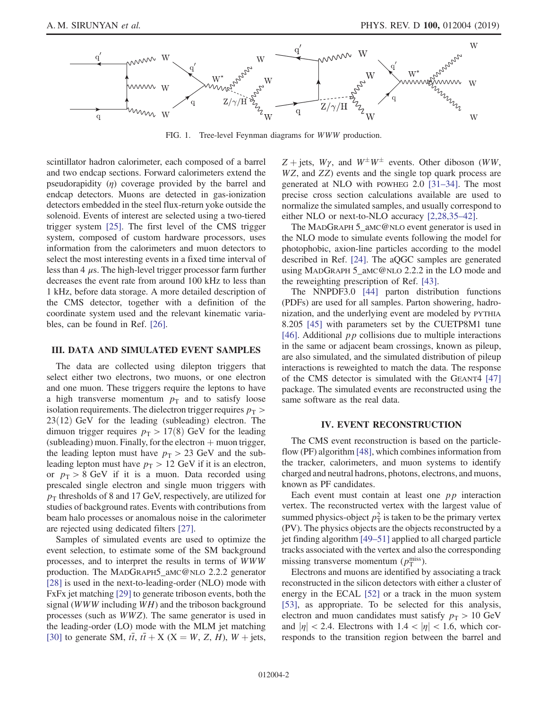<span id="page-1-0"></span>

FIG. 1. Tree-level Feynman diagrams for WWW production.

scintillator hadron calorimeter, each composed of a barrel and two endcap sections. Forward calorimeters extend the pseudorapidity  $(n)$  coverage provided by the barrel and endcap detectors. Muons are detected in gas-ionization detectors embedded in the steel flux-return yoke outside the solenoid. Events of interest are selected using a two-tiered trigger system [\[25\].](#page-11-7) The first level of the CMS trigger system, composed of custom hardware processors, uses information from the calorimeters and muon detectors to select the most interesting events in a fixed time interval of less than  $4 \mu s$ . The high-level trigger processor farm further decreases the event rate from around 100 kHz to less than 1 kHz, before data storage. A more detailed description of the CMS detector, together with a definition of the coordinate system used and the relevant kinematic variables, can be found in Ref. [\[26\].](#page-11-8)

## III. DATA AND SIMULATED EVENT SAMPLES

The data are collected using dilepton triggers that select either two electrons, two muons, or one electron and one muon. These triggers require the leptons to have a high transverse momentum  $p_T$  and to satisfy loose isolation requirements. The dielectron trigger requires  $p<sub>T</sub>$  $23(12)$  GeV for the leading (subleading) electron. The dimuon trigger requires  $p_T > 17(8)$  GeV for the leading (subleading) muon. Finally, for the electron  $+$  muon trigger, the leading lepton must have  $p_T > 23$  GeV and the subleading lepton must have  $p_T > 12$  GeV if it is an electron, or  $p_T > 8$  GeV if it is a muon. Data recorded using prescaled single electron and single muon triggers with  $p<sub>T</sub>$  thresholds of 8 and 17 GeV, respectively, are utilized for studies of background rates. Events with contributions from beam halo processes or anomalous noise in the calorimeter are rejected using dedicated filters [\[27\]](#page-11-9).

Samples of simulated events are used to optimize the event selection, to estimate some of the SM background processes, and to interpret the results in terms of WWW production. The MADGRAPH5\_aMC@NLO 2.2.2 generator [\[28\]](#page-11-10) is used in the next-to-leading-order (NLO) mode with FxFx jet matching [\[29\]](#page-11-11) to generate triboson events, both the signal (WWW including WH) and the triboson background processes (such as WWZ). The same generator is used in the leading-order (LO) mode with the MLM jet matching [\[30\]](#page-11-12) to generate SM,  $t\bar{t}$ ,  $t\bar{t}$  + X (X = W, Z, H), W + jets,  $Z + \text{jets}, W\gamma$ , and  $W^{\pm}W^{\pm}$  events. Other diboson (WW, WZ, and ZZ) events and the single top quark process are generated at NLO with POWHEG 2.0 [31–[34\].](#page-11-13) The most precise cross section calculations available are used to normalize the simulated samples, and usually correspond to either NLO or next-to-NLO accuracy [\[2,28,35](#page-11-1)–42].

The MADGRAPH 5\_aMC@NLO event generator is used in the NLO mode to simulate events following the model for photophobic, axion-line particles according to the model described in Ref. [\[24\]](#page-11-14). The aQGC samples are generated using MADGRAPH 5\_aMC@NLO 2.2.2 in the LO mode and the reweighting prescription of Ref. [\[43\]](#page-12-0).

The NNPDF3.0 [\[44\]](#page-12-1) parton distribution functions (PDFs) are used for all samples. Parton showering, hadronization, and the underlying event are modeled by PYTHIA 8.205 [\[45\]](#page-12-2) with parameters set by the CUETP8M1 tune [\[46\]](#page-12-3). Additional  $pp$  collisions due to multiple interactions in the same or adjacent beam crossings, known as pileup, are also simulated, and the simulated distribution of pileup interactions is reweighted to match the data. The response of the CMS detector is simulated with the GEANT4 [\[47\]](#page-12-4) package. The simulated events are reconstructed using the same software as the real data.

#### IV. EVENT RECONSTRUCTION

<span id="page-1-1"></span>The CMS event reconstruction is based on the particleflow (PF) algorithm [\[48\]](#page-12-5), which combines information from the tracker, calorimeters, and muon systems to identify charged and neutral hadrons, photons, electrons, and muons, known as PF candidates.

Each event must contain at least one  $pp$  interaction vertex. The reconstructed vertex with the largest value of summed physics-object  $p_T^2$  is taken to be the primary vertex (PV). The physics objects are the objects reconstructed by a jet finding algorithm [49–[51\]](#page-12-6) applied to all charged particle tracks associated with the vertex and also the corresponding missing transverse momentum  $(p_T^{\text{miss}})$ .

Electrons and muons are identified by associating a track reconstructed in the silicon detectors with either a cluster of energy in the ECAL [\[52\]](#page-12-7) or a track in the muon system [\[53\]](#page-12-8), as appropriate. To be selected for this analysis, electron and muon candidates must satisfy  $p_T > 10 \text{ GeV}$ and  $|\eta| < 2.4$ . Electrons with  $1.4 < |\eta| < 1.6$ , which corresponds to the transition region between the barrel and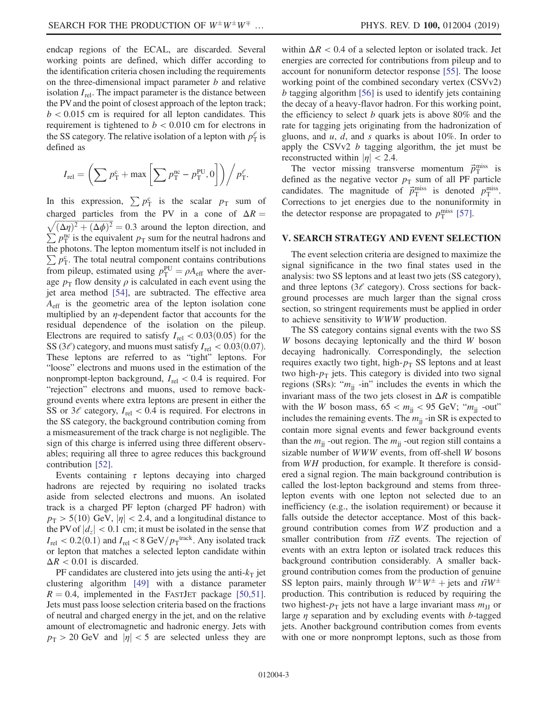endcap regions of the ECAL, are discarded. Several working points are defined, which differ according to the identification criteria chosen including the requirements on the three-dimensional impact parameter  $b$  and relative isolation  $I_{rel}$ . The impact parameter is the distance between the PV and the point of closest approach of the lepton track;  $b < 0.015$  cm is required for all lepton candidates. This requirement is tightened to  $b < 0.010$  cm for electrons in the SS category. The relative isolation of a lepton with  $p_T^{\ell}$  is defined as

$$
I_{\rm rel} = \left(\sum p_{\rm T}^{\rm c} + \max\left[\sum p_{\rm T}^{\rm nc} - p_{\rm T}^{\rm PU}, 0\right]\right) / p_{\rm T}^{\ell}.
$$

In this expression,  $\sum p_T^c$  is the scalar  $p_T$  sum of charged particles from the PV in a cone of  $\Delta R = \sqrt{(\Delta \eta)^2 + (\Delta \phi)^2} = 0.3$  around the lepton direction, and  $\sqrt{(\Delta \eta)^2 + (\Delta \phi)^2} = 0.3$  around the lepton direction, and  $\sum p_T^{\text{no}}$  is the equivalent  $p_T$  sum for the neutral hadrons and the photons. The lepton momentum itself is not included in  $\sum_{i} p_{\rm T}^{\rm c}$ . The total neutral component contains contributions from pileup, estimated using  $p_T^{PU} = \rho A_{eff}$  where the average  $p_T$  flow density  $\rho$  is calculated in each event using the jet area method [\[54\],](#page-12-9) are subtracted. The effective area  $A<sub>eff</sub>$  is the geometric area of the lepton isolation cone multiplied by an  $\eta$ -dependent factor that accounts for the residual dependence of the isolation on the pileup. Electrons are required to satisfy  $I_{rel} < 0.03(0.05)$  for the SS (3 $\ell$ ) category, and muons must satisfy  $I_{rel} < 0.03(0.07)$ . These leptons are referred to as "tight" leptons. For "loose" electrons and muons used in the estimation of the nonprompt-lepton background,  $I_{rel} < 0.4$  is required. For "rejection" electrons and muons, used to remove background events where extra leptons are present in either the SS or  $3\ell$  category,  $I_{rel} < 0.4$  is required. For electrons in the SS category, the background contribution coming from a mismeasurement of the track charge is not negligible. The sign of this charge is inferred using three different observables; requiring all three to agree reduces this background contribution [\[52\].](#page-12-7)

Events containing  $\tau$  leptons decaying into charged hadrons are rejected by requiring no isolated tracks aside from selected electrons and muons. An isolated track is a charged PF lepton (charged PF hadron) with  $p_{\rm T} > 5(10)$  GeV,  $|\eta| < 2.4$ , and a longitudinal distance to the PV of  $|d_z|$  < 0.1 cm; it must be isolated in the sense that  $I_{\text{rel}} < 0.2(0.1)$  and  $I_{\text{rel}} < 8 \text{ GeV}/p_{\text{T}}^{\text{track}}$ . Any isolated track or lepton that matches a selected lepton candidate within  $\Delta R < 0.01$  is discarded.

PF candidates are clustered into jets using the anti- $k<sub>T</sub>$  jet clustering algorithm [\[49\]](#page-12-6) with a distance parameter  $R = 0.4$ , implemented in the FASTJET package [\[50,51\]](#page-12-10). Jets must pass loose selection criteria based on the fractions of neutral and charged energy in the jet, and on the relative amount of electromagnetic and hadronic energy. Jets with  $p_{\rm T} > 20$  GeV and  $|\eta| < 5$  are selected unless they are within  $\Delta R < 0.4$  of a selected lepton or isolated track. Jet energies are corrected for contributions from pileup and to account for nonuniform detector response [\[55\]](#page-12-11). The loose working point of the combined secondary vertex (CSVv2) b tagging algorithm [\[56\]](#page-12-12) is used to identify jets containing the decay of a heavy-flavor hadron. For this working point, the efficiency to select b quark jets is above  $80\%$  and the rate for tagging jets originating from the hadronization of gluons, and  $u$ ,  $d$ , and  $s$  quarks is about 10%. In order to apply the CSVv2 b tagging algorithm, the jet must be reconstructed within  $|\eta| < 2.4$ .

The vector missing transverse momentum  $\vec{p}_{\text{T}}^{\text{miss}}$  is defined as the negative vector  $p_T$  sum of all PF particle candidates. The magnitude of  $\vec{p}_{\text{T}}^{\text{miss}}$  is denoted  $p_{\text{T}}^{\text{miss}}$ . Corrections to jet energies due to the nonuniformity in the detector response are propagated to  $p_T^{\text{miss}}$  [\[57\]](#page-12-13).

## <span id="page-2-0"></span>V. SEARCH STRATEGY AND EVENT SELECTION

The event selection criteria are designed to maximize the signal significance in the two final states used in the analysis: two SS leptons and at least two jets (SS category), and three leptons  $(3\ell \text{ category})$ . Cross sections for background processes are much larger than the signal cross section, so stringent requirements must be applied in order to achieve sensitivity to WWW production.

The SS category contains signal events with the two SS W bosons decaying leptonically and the third W boson decaying hadronically. Correspondingly, the selection requires exactly two tight, high- $p<sub>T</sub>$  SS leptons and at least two high- $p<sub>T</sub>$  jets. This category is divided into two signal regions (SRs): " $m_{ij}$  -in" includes the events in which the invariant mass of the two jets closest in  $\Delta R$  is compatible with the W boson mass,  $65 < m_{ii} < 95$  GeV; " $m_{ii}$  -out" includes the remaining events. The  $m_{ii}$  -in SR is expected to contain more signal events and fewer background events than the  $m_{ij}$  -out region. The  $m_{ij}$  -out region still contains a sizable number of WWW events, from off-shell W bosons from WH production, for example. It therefore is considered a signal region. The main background contribution is called the lost-lepton background and stems from threelepton events with one lepton not selected due to an inefficiency (e.g., the isolation requirement) or because it falls outside the detector acceptance. Most of this background contribution comes from WZ production and a smaller contribution from  $t\bar{t}Z$  events. The rejection of events with an extra lepton or isolated track reduces this background contribution considerably. A smaller background contribution comes from the production of genuine SS lepton pairs, mainly through  $W^{\pm}W^{\pm}$  + jets and  $t\bar{t}W^{\pm}$ production. This contribution is reduced by requiring the two highest- $p_T$  jets not have a large invariant mass  $m_{JJ}$  or large  $\eta$  separation and by excluding events with b-tagged jets. Another background contribution comes from events with one or more nonprompt leptons, such as those from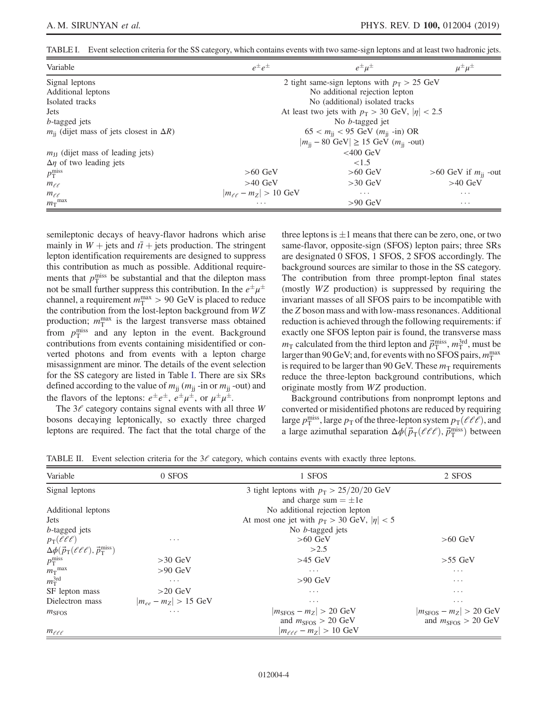<span id="page-3-0"></span>TABLE I. Event selection criteria for the SS category, which contains events with two same-sign leptons and at least two hadronic jets.

| Variable                                             | $e^{\pm}e^{\pm}$                                                              | $e^{\pm} \mu^{\pm}$                                   |                          |  |  |
|------------------------------------------------------|-------------------------------------------------------------------------------|-------------------------------------------------------|--------------------------|--|--|
| Signal leptons                                       |                                                                               | 2 tight same-sign leptons with $p_T > 25$ GeV         |                          |  |  |
| Additional leptons                                   |                                                                               | No additional rejection lepton                        |                          |  |  |
| Isolated tracks                                      |                                                                               | No (additional) isolated tracks                       |                          |  |  |
| <b>Jets</b>                                          |                                                                               | At least two jets with $p_T > 30$ GeV, $ \eta  < 2.5$ |                          |  |  |
| <i>b</i> -tagged jets                                | No <i>b</i> -tagged jet                                                       |                                                       |                          |  |  |
| $m_{ii}$ (dijet mass of jets closest in $\Delta R$ ) | $65 < m_{ii} < 95$ GeV $(m_{ii}$ -in) OR                                      |                                                       |                          |  |  |
|                                                      | $ m_{\text{ii}} - 80 \text{ GeV}  \ge 15 \text{ GeV}$ ( $m_{\text{ii}}$ -out) |                                                       |                          |  |  |
| $m_{\text{II}}$ (dijet mass of leading jets)         | $<400$ GeV                                                                    |                                                       |                          |  |  |
| $\Delta$ <i>n</i> of two leading jets                |                                                                               | ${<}1.5$                                              |                          |  |  |
| $p_{\rm T}^{\rm miss}$                               | $>60$ GeV                                                                     | $>60$ GeV                                             | >60 GeV if $m_{ii}$ -out |  |  |
| $m_{\ell\ell}$                                       | $>40$ GeV<br>$>30$ GeV<br>$>40$ GeV                                           |                                                       |                          |  |  |
| $m_{\ell,\ell}$                                      | $ m_{\ell\ell} - m_Z  > 10 \text{ GeV}$<br>$\cdots$<br>$\cdots$               |                                                       |                          |  |  |
| $m_T$ <sup>max</sup>                                 | $>90$ GeV<br>$\cdots$<br>$\cdots$                                             |                                                       |                          |  |  |

semileptonic decays of heavy-flavor hadrons which arise mainly in  $W$  + jets and  $t\bar{t}$  + jets production. The stringent lepton identification requirements are designed to suppress this contribution as much as possible. Additional requirements that  $p_T^{\text{miss}}$  be substantial and that the dilepton mass not be small further suppress this contribution. In the  $e^{\pm}\mu^{\pm}$ channel, a requirement  $m_{\rm T}^{\rm max} > 90~{\rm GeV}$  is placed to reduce the contribution from the lost-lepton background from WZ production;  $m_{\text{T}}^{\text{max}}$  is the largest transverse mass obtained from  $p_T^{\text{miss}}$  and any lepton in the event. Background contributions from events containing misidentified or converted photons and from events with a lepton charge misassignment are minor. The details of the event selection for the SS category are listed in Table [I.](#page-3-0) There are six SRs defined according to the value of  $m_{ij}$  ( $m_{ji}$  -in or  $m_{ji}$  -out) and the flavors of the leptons:  $e^{\pm}e^{\pm}$ ,  $e^{\pm}\mu^{\pm}$ , or  $\mu^{\pm}\mu^{\pm}$ .

The  $3\ell$  category contains signal events with all three W bosons decaying leptonically, so exactly three charged leptons are required. The fact that the total charge of the three leptons is  $\pm 1$  means that there can be zero, one, or two same-flavor, opposite-sign (SFOS) lepton pairs; three SRs are designated 0 SFOS, 1 SFOS, 2 SFOS accordingly. The background sources are similar to those in the SS category. The contribution from three prompt-lepton final states (mostly WZ production) is suppressed by requiring the invariant masses of all SFOS pairs to be incompatible with the Z boson mass and with low-mass resonances. Additional reduction is achieved through the following requirements: if exactly one SFOS lepton pair is found, the transverse mass  $m_T$  calculated from the third lepton and  $\vec{p}_T^{\text{miss}}, m_T^{\text{3rd}},$  must be larger than 90 GeV; and, for events with no SFOS pairs,  $m_{\rm T}^{\rm max}$ is required to be larger than 90 GeV. These  $m<sub>T</sub>$  requirements reduce the three-lepton background contributions, which originate mostly from WZ production.

Background contributions from nonprompt leptons and converted or misidentified photons are reduced by requiring large  $p_T^{\text{miss}}$ , large  $p_T$  of the three-lepton system  $p_T(\ell \ell \ell)$ , and a large azimuthal separation  $\Delta \phi(\vec{p}_{T}(\ell \ell \ell), \vec{p}_{T}^{\text{miss}})$  between

<span id="page-3-1"></span>TABLE II. Event selection criteria for the  $3\ell$  category, which contains events with exactly three leptons.

| Variable                                                               | 0 SFOS<br>1 SFOS          |                                                   | 2 SFOS                                 |
|------------------------------------------------------------------------|---------------------------|---------------------------------------------------|----------------------------------------|
| Signal leptons                                                         |                           | 3 tight leptons with $p_T > 25/20/20$ GeV         |                                        |
|                                                                        |                           | and charge sum $= \pm 1e$                         |                                        |
| Additional leptons                                                     |                           | No additional rejection lepton                    |                                        |
| <b>Jets</b>                                                            |                           | At most one jet with $p_T > 30$ GeV, $ \eta  < 5$ |                                        |
| <i>b</i> -tagged jets                                                  |                           | No <i>b</i> -tagged jets                          |                                        |
| $p_T(\ell \ell \ell)$                                                  | $\cdots$                  | $>60$ GeV                                         | $>60$ GeV                              |
| $\Delta\phi(\vec{p}_{\rm T}(\ell\ell\ell),\vec{p}_{\rm T}^{\rm miss})$ |                           | >2.5                                              |                                        |
| $p_T^{\text{miss}}$                                                    | $>30$ GeV                 | $>45$ GeV                                         | $>55$ GeV                              |
| $m_T$ <sup>max</sup>                                                   | $>90$ GeV                 | $\cdots$                                          | $\cdots$                               |
| $m_T^{3rd}$                                                            | $\cdots$                  | $>90$ GeV                                         | $\cdots$                               |
| SF lepton mass                                                         | $>20$ GeV                 | $\cdots$                                          | $\cdots$                               |
| Dielectron mass                                                        | $ m_{ee} - m_Z  > 15$ GeV | $\cdots$                                          | $\cdots$                               |
| $m_{\rm SFOS}$                                                         | $\cdots$                  | $ m_{\rm SFOS}-m_Z >20{\rm ~GeV}$                 | $ m_{\rm SFOS}-m_Z >20{\rm ~GeV}$      |
|                                                                        |                           | and $m_{\text{SFOS}} > 20 \text{ GeV}$            | and $m_{\text{SFOS}} > 20 \text{ GeV}$ |
| $m_{\ell\ell\ell}$                                                     |                           | $ m_{\ell\ell\ell} - m_Z  > 10$ GeV               |                                        |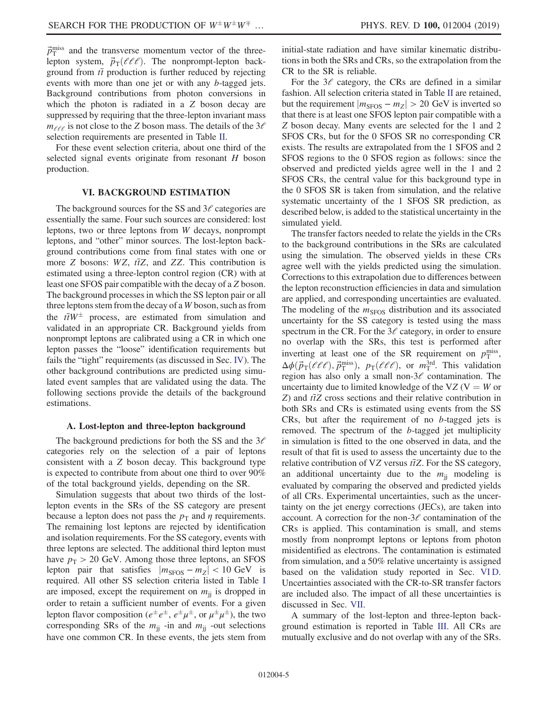$\vec{p}_{\rm T}^{\rm miss}$  and the transverse momentum vector of the threelepton system,  $\vec{p}_{\text{T}}(\ell \ell \ell)$ . The nonprompt-lepton background from  $t\bar{t}$  production is further reduced by rejecting events with more than one jet or with any b-tagged jets. Background contributions from photon conversions in which the photon is radiated in a Z boson decay are suppressed by requiring that the three-lepton invariant mass  $m_{\ell\ell\ell}$  is not close to the Z boson mass. The details of the  $3\ell$ selection requirements are presented in Table [II.](#page-3-1)

For these event selection criteria, about one third of the selected signal events originate from resonant H boson production.

#### VI. BACKGROUND ESTIMATION

<span id="page-4-0"></span>The background sources for the SS and  $3\ell$  categories are essentially the same. Four such sources are considered: lost leptons, two or three leptons from W decays, nonprompt leptons, and "other" minor sources. The lost-lepton background contributions come from final states with one or more Z bosons:  $WZ$ ,  $t\bar{t}Z$ , and ZZ. This contribution is estimated using a three-lepton control region (CR) with at least one SFOS pair compatible with the decay of a Z boson. The background processes in which the SS lepton pair or all three leptons stem from the decay of a W boson, such as from the  $t\bar{t}W^{\pm}$  process, are estimated from simulation and validated in an appropriate CR. Background yields from nonprompt leptons are calibrated using a CR in which one lepton passes the "loose" identification requirements but fails the "tight" requirements (as discussed in Sec. [IV](#page-1-1)). The other background contributions are predicted using simulated event samples that are validated using the data. The following sections provide the details of the background estimations.

#### A. Lost-lepton and three-lepton background

The background predictions for both the SS and the  $3\ell$ categories rely on the selection of a pair of leptons consistent with a Z boson decay. This background type is expected to contribute from about one third to over 90% of the total background yields, depending on the SR.

Simulation suggests that about two thirds of the lostlepton events in the SRs of the SS category are present because a lepton does not pass the  $p_T$  and  $\eta$  requirements. The remaining lost leptons are rejected by identification and isolation requirements. For the SS category, events with three leptons are selected. The additional third lepton must have  $p_T > 20$  GeV. Among those three leptons, an SFOS lepton pair that satisfies  $|m_{SFOS} - m_Z| < 10 \text{ GeV}$  is required. All other SS selection criteria listed in Table [I](#page-3-0) are imposed, except the requirement on  $m_{ij}$  is dropped in order to retain a sufficient number of events. For a given lepton flavor composition ( $e^{\pm}e^{\pm}$ ,  $e^{\pm}\mu^{\pm}$ , or  $\mu^{\pm}\mu^{\pm}$ ), the two corresponding SRs of the  $m_{ii}$  -in and  $m_{ii}$  -out selections have one common CR. In these events, the jets stem from initial-state radiation and have similar kinematic distributions in both the SRs and CRs, so the extrapolation from the CR to the SR is reliable.

For the  $3\ell$  category, the CRs are defined in a similar fashion. All selection criteria stated in Table [II](#page-3-1) are retained, but the requirement  $|m_{\text{SFOS}} - m_Z| > 20$  GeV is inverted so that there is at least one SFOS lepton pair compatible with a Z boson decay. Many events are selected for the 1 and 2 SFOS CRs, but for the 0 SFOS SR no corresponding CR exists. The results are extrapolated from the 1 SFOS and 2 SFOS regions to the 0 SFOS region as follows: since the observed and predicted yields agree well in the 1 and 2 SFOS CRs, the central value for this background type in the 0 SFOS SR is taken from simulation, and the relative systematic uncertainty of the 1 SFOS SR prediction, as described below, is added to the statistical uncertainty in the simulated yield.

The transfer factors needed to relate the yields in the CRs to the background contributions in the SRs are calculated using the simulation. The observed yields in these CRs agree well with the yields predicted using the simulation. Corrections to this extrapolation due to differences between the lepton reconstruction efficiencies in data and simulation are applied, and corresponding uncertainties are evaluated. The modeling of the  $m<sub>SFOS</sub>$  distribution and its associated uncertainty for the SS category is tested using the mass spectrum in the CR. For the  $3\ell$  category, in order to ensure no overlap with the SRs, this test is performed after inverting at least one of the SR requirement on  $p_T^{\text{miss}}$ ,  $\Delta \phi(\vec{p}_{T}(\ell \ell \ell), \vec{p}_{T}^{\text{miss}}), p_{T}(\ell \ell \ell), \text{ or } m_{T}^{3rd}.$  This validation region has also only a small non- $3\ell$  contamination. The uncertainty due to limited knowledge of the VZ ( $V = W$  or  $Z$ ) and  $t\bar{t}Z$  cross sections and their relative contribution in both SRs and CRs is estimated using events from the SS CRs, but after the requirement of no b-tagged jets is removed. The spectrum of the b-tagged jet multiplicity in simulation is fitted to the one observed in data, and the result of that fit is used to assess the uncertainty due to the relative contribution of VZ versus  $t\bar{t}Z$ . For the SS category, an additional uncertainty due to the  $m_{ij}$  modeling is evaluated by comparing the observed and predicted yields of all CRs. Experimental uncertainties, such as the uncertainty on the jet energy corrections (JECs), are taken into account. A correction for the non- $3\ell$  contamination of the CRs is applied. This contamination is small, and stems mostly from nonprompt leptons or leptons from photon misidentified as electrons. The contamination is estimated from simulation, and a 50% relative uncertainty is assigned based on the validation study reported in Sec. [VI D](#page-6-0). Uncertainties associated with the CR-to-SR transfer factors are included also. The impact of all these uncertainties is discussed in Sec. [VII.](#page-6-1)

A summary of the lost-lepton and three-lepton background estimation is reported in Table [III](#page-5-0). All CRs are mutually exclusive and do not overlap with any of the SRs.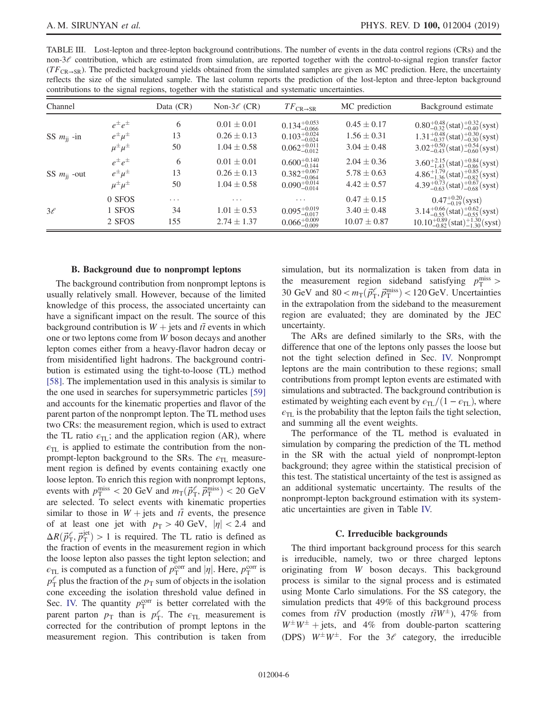<span id="page-5-0"></span>

| TABLE III. Lost-lepton and three-lepton background contributions. The number of events in the data control regions (CRs) and the                  |  |
|---------------------------------------------------------------------------------------------------------------------------------------------------|--|
| non- $3\ell$ contribution, which are estimated from simulation, are reported together with the control-to-signal region transfer factor           |  |
| $(TF_{CP\rightarrow SP})$ . The predicted background yields obtained from the simulated samples are given as MC prediction. Here, the uncertainty |  |
| reflects the size of the simulated sample. The last column reports the prediction of the lost-lepton and three-lepton background                  |  |
| contributions to the signal regions, together with the statistical and systematic uncertainties.                                                  |  |

| Channel              |                       | Data (CR) | Non-3 $\ell$ (CR) | $TF_{\text{CR}\rightarrow\text{SR}}$ | MC prediction    | Background estimate                                      |
|----------------------|-----------------------|-----------|-------------------|--------------------------------------|------------------|----------------------------------------------------------|
|                      | $e^{\pm}e^{\pm}$      | 6         | $0.01 \pm 0.01$   | $0.134_{-0.066}^{+0.053}$            | $0.45 \pm 0.17$  | $0.80^{+0.48}_{-0.32}$ (stat) $^{+0.32}_{-0.40}$ (syst)  |
| SS $m_{ii}$ -in      | $e^{\pm} \mu^{\pm}$   | 13        | $0.26 \pm 0.13$   | $0.103_{-0.024}^{+0.024}$            | $1.56 \pm 0.31$  | $1.31^{+0.48}_{-0.37}$ (stat) $^{+0.30}_{-0.30}$ (syst)  |
|                      | $\mu^{\pm} \mu^{\pm}$ | 50        | $1.04 \pm 0.58$   | $0.062^{+0.011}_{-0.012}$            | $3.04 \pm 0.48$  | $3.02^{+0.50}_{-0.43}$ (stat) <sup>+0.54</sup> (syst)    |
|                      | $e^{\pm}e^{\pm}$      | 6         | $0.01 \pm 0.01$   | $0.600^{+0.140}_{-0.144}$            | $2.04 \pm 0.36$  | $3.60^{+2.15}_{-1.43}$ (stat) <sup>+0.84</sup> (syst)    |
| SS $m_{\rm ii}$ -out | $e^{\pm} \mu^{\pm}$   | 13        | $0.26 \pm 0.13$   | $0.382^{+0.067}_{-0.064}$            | $5.78 \pm 0.63$  | $4.86^{+1.79}_{-1.36}$ (stat) $^{+0.85}_{-0.82}$ (syst)  |
|                      | $\mu^{\pm} \mu^{\pm}$ | 50        | $1.04 \pm 0.58$   | $0.090^{+0.014}_{-0.014}$            | $4.42 \pm 0.57$  | $4.39^{+0.73}_{-0.63}$ (stat) <sup>+0.67</sup> (syst)    |
|                      | 0 SFOS                | $\cdots$  | .                 | .                                    | $0.47 \pm 0.15$  | $0.47^{+0.20}_{-0.19}$ (syst)                            |
| $3\ell$              | 1 SFOS                | 34        | $1.01 \pm 0.53$   | $0.095_{-0.017}^{+0.019}$            | $3.40 \pm 0.48$  | $3.14^{+0.66}_{-0.55}$ (stat) $^{+0.62}_{-0.55}$ (syst)  |
|                      | 2 SFOS                | 155       | $2.74 \pm 1.37$   | $0.066^{+0.009}_{-0.009}$            | $10.07 \pm 0.87$ | $10.10^{+0.89}_{-0.82}$ (stat) $^{+1.30}_{-1.30}$ (syst) |

## B. Background due to nonprompt leptons

The background contribution from nonprompt leptons is usually relatively small. However, because of the limited knowledge of this process, the associated uncertainty can have a significant impact on the result. The source of this background contribution is  $W +$  jets and  $t\bar{t}$  events in which one or two leptons come from W boson decays and another lepton comes either from a heavy-flavor hadron decay or from misidentified light hadrons. The background contribution is estimated using the tight-to-loose (TL) method [\[58\]](#page-12-14). The implementation used in this analysis is similar to the one used in searches for supersymmetric particles [\[59\]](#page-12-15) and accounts for the kinematic properties and flavor of the parent parton of the nonprompt lepton. The TL method uses two CRs: the measurement region, which is used to extract the TL ratio  $\epsilon_{\text{TL}}$ ; and the application region (AR), where  $\epsilon_{TL}$  is applied to estimate the contribution from the nonprompt-lepton background to the SRs. The  $\epsilon_{\text{TL}}$  measurement region is defined by events containing exactly one loose lepton. To enrich this region with nonprompt leptons, events with  $p_T^{\text{miss}} < 20 \text{ GeV}$  and  $m_T(\vec{p}_T^e, \vec{p}_T^{\text{miss}}) < 20 \text{ GeV}$ are selected. To select events with kinematic properties similar to those in  $W + \text{jets}$  and  $t\bar{t}$  events, the presence of at least one jet with  $p_T > 40$  GeV,  $|\eta| < 2.4$  and  $\Delta R(\vec{p}_{\rm T}^{\ell}, \vec{p}_{\rm T}^{\rm jet}) > 1$  is required. The TL ratio is defined as the fraction of events in the measurement region in which the loose lepton also passes the tight lepton selection; and  $\epsilon_{\text{TL}}$  is computed as a function of  $p_{\text{T}}^{\text{corr}}$  and  $|\eta|$ . Here,  $p_{\text{T}}^{\text{corr}}$  is  $p_{\text{T}}^{\ell}$  plus the fraction of the  $p_{\text{T}}$  sum of objects in the isolation cone exceeding the isolation threshold value defined in Sec. [IV.](#page-1-1) The quantity  $p_T^{\text{corr}}$  is better correlated with the parent parton  $p_{\text{T}}$  than is  $p_{\text{T}}^e$ . The  $\epsilon_{\text{TL}}$  measurement is corrected for the contribution of prompt leptons in the measurement region. This contribution is taken from simulation, but its normalization is taken from data in the measurement region sideband satisfying  $p_T^{\text{miss}}$  > 30 GeV and  $80 < m_T(\vec{p}_T^e, \vec{p}_T^{\text{miss}}) < 120 \,\text{GeV}$ . Uncertainties in the extrapolation from the sideband to the measurement region are evaluated; they are dominated by the JEC uncertainty.

The ARs are defined similarly to the SRs, with the difference that one of the leptons only passes the loose but not the tight selection defined in Sec. [IV.](#page-1-1) Nonprompt leptons are the main contribution to these regions; small contributions from prompt lepton events are estimated with simulations and subtracted. The background contribution is estimated by weighting each event by  $\epsilon_{TL}/(1 - \epsilon_{TL})$ , where  $\epsilon_{\text{TL}}$  is the probability that the lepton fails the tight selection, and summing all the event weights.

The performance of the TL method is evaluated in simulation by comparing the prediction of the TL method in the SR with the actual yield of nonprompt-lepton background; they agree within the statistical precision of this test. The statistical uncertainty of the test is assigned as an additional systematic uncertainty. The results of the nonprompt-lepton background estimation with its systematic uncertainties are given in Table [IV.](#page-6-2)

## C. Irreducible backgrounds

The third important background process for this search is irreducible, namely, two or three charged leptons originating from W boson decays. This background process is similar to the signal process and is estimated using Monte Carlo simulations. For the SS category, the simulation predicts that 49% of this background process comes from  $t\bar{t}V$  production (mostly  $t\bar{t}W^{\pm}$ ), 47% from  $W^{\pm}W^{\pm}$  + jets, and 4% from double-parton scattering (DPS)  $W^{\pm}W^{\pm}$ . For the 3 $\ell$  category, the irreducible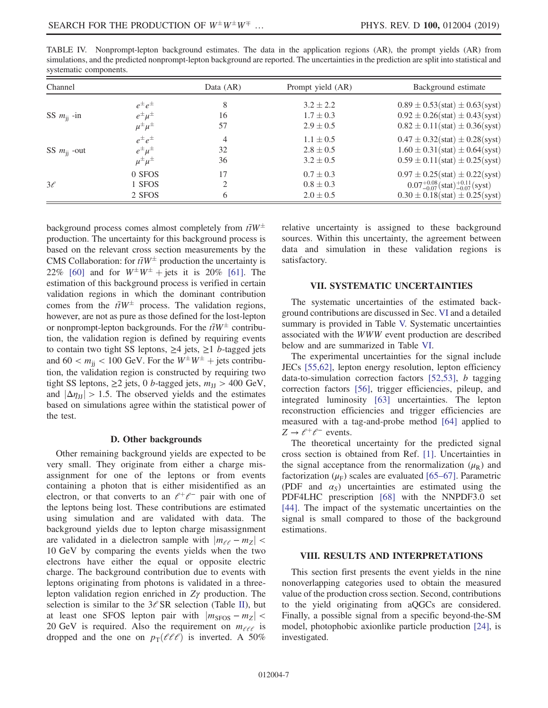| $\sigma$ , stematic components. |                      |           |                   |                                                         |  |  |  |
|---------------------------------|----------------------|-----------|-------------------|---------------------------------------------------------|--|--|--|
| Channel                         |                      | Data (AR) | Prompt yield (AR) | Background estimate                                     |  |  |  |
|                                 | $e^{\pm}e^{\pm}$     | 8         | $3.2 \pm 2.2$     | $0.89 \pm 0.53(stat) \pm 0.63(syst)$                    |  |  |  |
| SS $m_{\rm ii}$ -in             | $e^{\pm} \mu^{\pm}$  | 16        | $1.7 \pm 0.3$     | $0.92 \pm 0.26$ (stat) $\pm 0.43$ (syst)                |  |  |  |
|                                 | $\mu^{\pm}\mu^{\pm}$ | 57        | $2.9 \pm 0.5$     | $0.82 \pm 0.11(stat) \pm 0.36(syst)$                    |  |  |  |
|                                 | $e^{\pm}e^{\pm}$     | 4         | $1.1 \pm 0.5$     | $0.47 \pm 0.32$ (stat) $\pm 0.28$ (syst)                |  |  |  |
| SS $m_{ij}$ -out                | $e^{\pm} \mu^{\pm}$  | 32        | $2.8 \pm 0.5$     | $1.60 \pm 0.31(stat) \pm 0.64(syst)$                    |  |  |  |
|                                 | $\mu^{\pm}\mu^{\pm}$ | 36        | $3.2 \pm 0.5$     | $0.59 \pm 0.11(stat) \pm 0.25(syst)$                    |  |  |  |
|                                 | 0 SFOS               | 17        | $0.7 \pm 0.3$     | $0.97 \pm 0.25$ (stat) $\pm 0.22$ (syst)                |  |  |  |
| $3\ell$                         | 1 SFOS               |           | $0.8 \pm 0.3$     | $0.07^{+0.08}_{-0.07}$ (stat) $^{+0.11}_{-0.07}$ (syst) |  |  |  |
|                                 | 2 SFOS               | 6         | $2.0 \pm 0.5$     | $0.30 \pm 0.18(stat) \pm 0.25(syst)$                    |  |  |  |

<span id="page-6-2"></span>TABLE IV. Nonprompt-lepton background estimates. The data in the application regions (AR), the prompt yields (AR) from simulations, and the predicted nonprompt-lepton background are reported. The uncertainties in the prediction are split into statistical and systematic components.

background process comes almost completely from  $t\bar{t}W^{\pm}$ production. The uncertainty for this background process is based on the relevant cross section measurements by the CMS Collaboration: for  $t\bar{t}W^{\pm}$  production the uncertainty is 22% [\[60\]](#page-12-16) and for  $W^{\pm}W^{\pm}$  + jets it is 20% [\[61\]](#page-12-17). The estimation of this background process is verified in certain validation regions in which the dominant contribution comes from the  $t\bar{t}W^{\pm}$  process. The validation regions, however, are not as pure as those defined for the lost-lepton or nonprompt-lepton backgrounds. For the  $t\bar{t}W^{\pm}$  contribution, the validation region is defined by requiring events to contain two tight SS leptons,  $\geq 4$  jets,  $\geq 1$  *b*-tagged jets and  $60 < m_{ij} < 100 \text{ GeV}$ . For the  $W^{\pm}W^{\pm}$  + jets contribution, the validation region is constructed by requiring two tight SS leptons,  $\geq 2$  jets, 0 *b*-tagged jets,  $m_{\text{JJ}} > 400 \text{ GeV}$ , and  $|\Delta \eta_{\text{II}}| > 1.5$ . The observed yields and the estimates based on simulations agree within the statistical power of the test.

#### D. Other backgrounds

<span id="page-6-0"></span>Other remaining background yields are expected to be very small. They originate from either a charge misassignment for one of the leptons or from events containing a photon that is either misidentified as an electron, or that converts to an  $\ell^+ \ell^-$  pair with one of the leptons being lost. These contributions are estimated using simulation and are validated with data. The background yields due to lepton charge misassignment are validated in a dielectron sample with  $|m_{\ell \ell} - m_Z|$  < 10 GeV by comparing the events yields when the two electrons have either the equal or opposite electric charge. The background contribution due to events with leptons originating from photons is validated in a threelepton validation region enriched in Zγ production. The selection is similar to the  $3\ell$  SR selection (Table [II\)](#page-3-1), but at least one SFOS lepton pair with  $|m_{SFOS} - m_Z|$  < 20 GeV is required. Also the requirement on  $m_{\ell \ell \ell}$  is dropped and the one on  $p_T(\ell\ell\ell)$  is inverted. A 50% relative uncertainty is assigned to these background sources. Within this uncertainty, the agreement between data and simulation in these validation regions is satisfactory.

## VII. SYSTEMATIC UNCERTAINTIES

<span id="page-6-1"></span>The systematic uncertainties of the estimated background contributions are discussed in Sec. [VI](#page-4-0) and a detailed summary is provided in Table [V.](#page-7-0) Systematic uncertainties associated with the WWW event production are described below and are summarized in Table [VI](#page-7-1).

The experimental uncertainties for the signal include JECs [\[55,62\]](#page-12-11), lepton energy resolution, lepton efficiency data-to-simulation correction factors [\[52,53\]](#page-12-7), b tagging correction factors [\[56\],](#page-12-12) trigger efficiencies, pileup, and integrated luminosity [\[63\]](#page-12-18) uncertainties. The lepton reconstruction efficiencies and trigger efficiencies are measured with a tag-and-probe method [\[64\]](#page-12-19) applied to  $Z \rightarrow \ell^+ \ell^-$  events.

The theoretical uncertainty for the predicted signal cross section is obtained from Ref. [\[1\]](#page-11-0). Uncertainties in the signal acceptance from the renormalization  $(\mu_R)$  and factorization  $(\mu_F)$  scales are evaluated [65–[67\].](#page-12-20) Parametric (PDF and  $\alpha_s$ ) uncertainties are estimated using the PDF4LHC prescription [\[68\]](#page-12-21) with the NNPDF3.0 set [\[44\].](#page-12-1) The impact of the systematic uncertainties on the signal is small compared to those of the background estimations.

## VIII. RESULTS AND INTERPRETATIONS

This section first presents the event yields in the nine nonoverlapping categories used to obtain the measured value of the production cross section. Second, contributions to the yield originating from aQGCs are considered. Finally, a possible signal from a specific beyond-the-SM model, photophobic axionlike particle production [\[24\],](#page-11-14) is investigated.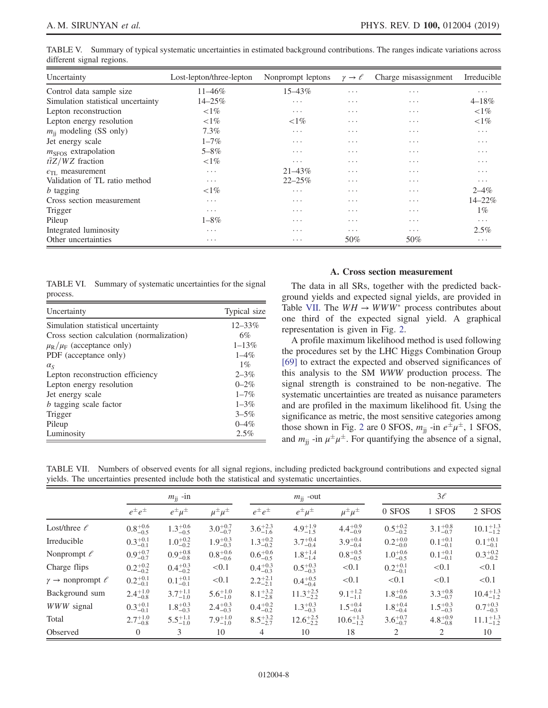<span id="page-7-0"></span>

|                           | TABLE V. Summary of typical systematic uncertainties in estimated background contributions. The ranges indicate variations across |  |  |  |
|---------------------------|-----------------------------------------------------------------------------------------------------------------------------------|--|--|--|
| different signal regions. |                                                                                                                                   |  |  |  |

| Uncertainty                        | Lost-lepton/three-lepton | Nonprompt leptons | $\gamma \rightarrow \ell$ | Charge misassignment    | Irreducible             |
|------------------------------------|--------------------------|-------------------|---------------------------|-------------------------|-------------------------|
| Control data sample size           | $11 - 46\%$              | $15 - 43\%$       | $\cdots$                  | $\cdots$                | $\cdots$                |
| Simulation statistical uncertainty | 14-25%                   | $\cdots$          | $\cdots$                  | $\cdots$                | $4 - 18%$               |
| Lepton reconstruction              | ${<}1\%$                 | $\cdots$          | $\cdots$                  | $\cdots$                | ${<}1\%$                |
| Lepton energy resolution           | ${<}1\%$                 | ${<}1\%$          | $\cdots$                  | $\cdots$                | ${<}1\%$                |
| $m_{\rm ii}$ modeling (SS only)    | $7.3\%$                  | $\cdots$          | $\cdots$                  | $\cdots$                | $\cdots$                |
| Jet energy scale                   | $1 - 7\%$                | .                 | $\cdot$ $\cdot$ $\cdot$   | $\cdot$ $\cdot$ $\cdot$ | $\cdots$                |
| $mSFOS$ extrapolation              | $5 - 8\%$                | .                 | $\cdots$                  | $\cdots$                | $\cdot$ $\cdot$ $\cdot$ |
| $t\bar{t}Z/WZ$ fraction            | ${<}1\%$                 | .                 | $\cdots$                  | $\cdots$                | $\cdot$ $\cdot$ $\cdot$ |
| $\epsilon_{\text{TI}}$ measurement | $\cdots$                 | $21 - 43\%$       | $\cdots$                  | $\cdots$                | $\cdot$ $\cdot$ $\cdot$ |
| Validation of TL ratio method      | $\cdots$                 | $22 - 25\%$       | $\cdots$                  | $\cdots$                | $\cdots$                |
| <i>b</i> tagging                   | ${<}1\%$                 | .                 | $\cdots$                  | $\cdots$                | $2 - 4\%$               |
| Cross section measurement          | $\cdots$                 | .                 | $\cdots$                  | $\cdots$                | 14-22%                  |
| Trigger                            | $\cdots$                 | .                 | $\cdots$                  | .                       | $1\%$                   |
| Pileup                             | $1 - 8\%$                | .                 | $\cdots$                  | $\cdots$                | $\cdots$                |
| Integrated luminosity              | $\cdots$                 | .                 | $\cdots$                  | .                       | $2.5\%$                 |
| Other uncertainties                | $\cdots$                 | .                 | 50%                       | 50%                     | $\cdots$                |

<span id="page-7-1"></span>TABLE VI. Summary of systematic uncertainties for the signal process.

| Uncertainty                                 | Typical size |
|---------------------------------------------|--------------|
| Simulation statistical uncertainty          | $12 - 33\%$  |
| Cross section calculation (normalization)   | 6%           |
| $\mu_{\rm R}/\mu_{\rm F}$ (acceptance only) | $1 - 13%$    |
| PDF (acceptance only)                       | $1 - 4\%$    |
| $\alpha_{\rm S}$                            | $1\%$        |
| Lepton reconstruction efficiency            | $2 - 3\%$    |
| Lepton energy resolution                    | $0 - 2\%$    |
| Jet energy scale                            | $1 - 7\%$    |
| <i>b</i> tagging scale factor               | $1 - 3\%$    |
| Trigger                                     | $3 - 5\%$    |
| Pileup                                      | $0 - 4\%$    |
| Luminosity                                  | 2.5%         |

#### A. Cross section measurement

<span id="page-7-3"></span>The data in all SRs, together with the predicted background yields and expected signal yields, are provided in Table [VII.](#page-7-2) The  $WH \rightarrow WWW^*$  process contributes about one third of the expected signal yield. A graphical representation is given in Fig. [2.](#page-8-0)

A profile maximum likelihood method is used following the procedures set by the LHC Higgs Combination Group [\[69\]](#page-12-22) to extract the expected and observed significances of this analysis to the SM WWW production process. The signal strength is constrained to be non-negative. The systematic uncertainties are treated as nuisance parameters and are profiled in the maximum likelihood fit. Using the significance as metric, the most sensitive categories among those shown in Fig. [2](#page-8-0) are 0 SFOS,  $m_{ij}$  -in  $e^{\pm}\mu^{\pm}$ , 1 SFOS, and  $m_{ii}$  -in  $\mu^{\pm} \mu^{\pm}$ . For quantifying the absence of a signal,

<span id="page-7-2"></span>TABLE VII. Numbers of observed events for all signal regions, including predicted background contributions and expected signal yields. The uncertainties presented include both the statistical and systematic uncertainties.

|                                       | $m_{\rm jj}$ -in    |                     |                     |                     | $m_{\rm ii}$ -out    |                      |                     | $3\ell$             |                      |  |
|---------------------------------------|---------------------|---------------------|---------------------|---------------------|----------------------|----------------------|---------------------|---------------------|----------------------|--|
|                                       | $e^{\pm}e^{\pm}$    | $e^{\pm} \mu^{\pm}$ | $\mu^\pm \mu^\pm$   | $e^{\pm}e^{\pm}$    | $e^{\pm} \mu^{\pm}$  | $\mu^{\pm}\mu^{\pm}$ | 0 SFOS              | 1 SFOS              | 2 SFOS               |  |
| Lost/three $\ell$                     | $0.8^{+0.6}_{-0.5}$ | $1.3^{+0.6}_{-0.5}$ | $3.0^{+0.7}_{-0.7}$ | $3.6^{+2.3}_{-1.6}$ | $4.9^{+1.9}_{-1.5}$  | $4.4^{+0.9}_{-0.9}$  | $0.5^{+0.2}_{-0.2}$ | $3.1^{+0.8}_{-0.7}$ | $10.1_{-1.2}^{+1.3}$ |  |
| Irreducible                           | $0.3^{+0.1}_{-0.1}$ | $1.0^{+0.2}_{-0.2}$ | $1.9^{+0.3}_{-0.3}$ | $1.3^{+0.2}_{-0.2}$ | $3.7^{+0.4}_{-0.4}$  | $3.9^{+0.4}_{-0.4}$  | $0.2^{+0.0}_{-0.0}$ | $0.1^{+0.1}_{-0.1}$ | $0.1^{+0.1}_{-0.1}$  |  |
| Nonprompt $\ell$                      | $0.9_{-0.7}^{+0.7}$ | $0.9^{+0.8}_{-0.8}$ | $0.8^{+0.6}_{-0.6}$ | $0.6^{+0.6}_{-0.5}$ | $1.8^{+1.4}_{-1.4}$  | $0.8^{+0.5}_{-0.5}$  | $1.0^{+0.6}_{-0.5}$ | $0.1^{+0.1}_{-0.1}$ | $0.3^{+0.2}_{-0.2}$  |  |
| Charge flips                          | $0.2^{+0.2}_{-0.2}$ | $0.4^{+0.3}_{-0.2}$ | < 0.1               | $0.4^{+0.3}_{-0.3}$ | $0.5^{+0.3}_{-0.3}$  | < 0.1                | $0.2^{+0.1}_{-0.1}$ | < 0.1               | < 0.1                |  |
| $\gamma \rightarrow$ nonprompt $\ell$ | $0.2^{+0.1}_{-0.1}$ | $0.1_{-0.1}^{+0.1}$ | < 0.1               | $2.2^{+2.1}_{-2.1}$ | $0.4^{+0.5}_{-0.4}$  | < 0.1                | < 0.1               | < 0.1               | < 0.1                |  |
| Background sum                        | $2.4^{+1.0}_{-0.8}$ | $3.7^{+1.1}_{-1.0}$ | $5.6^{+1.0}_{-1.0}$ | $8.1^{+3.2}_{-2.8}$ | $11.3^{+2.5}_{-2.2}$ | $9.1^{+1.2}_{-1.1}$  | $1.8^{+0.6}_{-0.6}$ | $3.3^{+0.8}_{-0.7}$ | $10.4^{+1.3}_{-1.2}$ |  |
| WWW signal                            | $0.3^{+0.1}_{-0.1}$ | $1.8^{+0.3}_{-0.3}$ | $2.4^{+0.3}_{-0.3}$ | $0.4^{+0.2}_{-0.2}$ | $1.3^{+0.3}_{-0.3}$  | $1.5^{+0.4}_{-0.4}$  | $1.8^{+0.4}_{-0.4}$ | $1.5^{+0.3}_{-0.3}$ | $0.7^{+0.3}_{-0.3}$  |  |
| Total                                 | $2.7^{+1.0}_{-0.8}$ | $5.5^{+1.1}_{-1.0}$ | $7.9^{+1.0}_{-1.0}$ | $8.5^{+3.2}_{-2.7}$ | $12.6^{+2.5}_{-2.2}$ | $10.6^{+1.3}_{-1.2}$ | $3.6^{+0.7}_{-0.7}$ | $4.8^{+0.9}_{-0.8}$ | $11.1^{+1.3}_{-1.2}$ |  |
| Observed                              | $\overline{0}$      | 3                   | 10                  | 4                   | 10                   | 18                   | 2                   | 2                   | 10                   |  |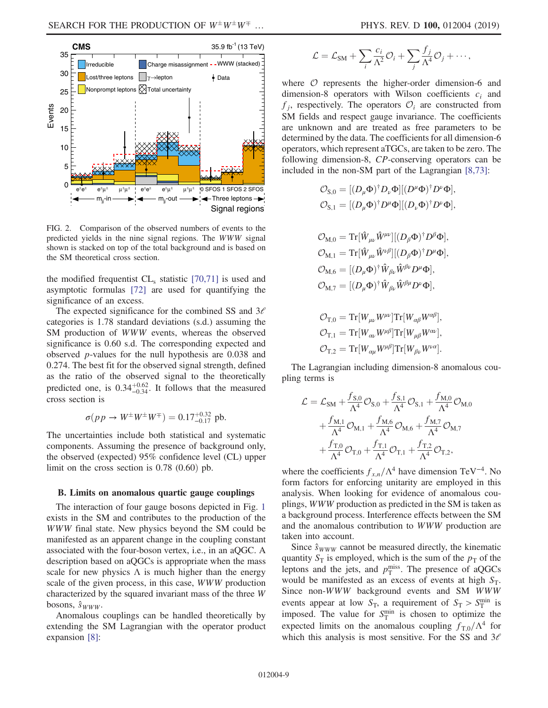<span id="page-8-0"></span>

FIG. 2. Comparison of the observed numbers of events to the predicted yields in the nine signal regions. The WWW signal shown is stacked on top of the total background and is based on the SM theoretical cross section.

the modified frequentist  $CL<sub>s</sub>$  statistic [\[70,71\]](#page-12-23) is used and asymptotic formulas [\[72\]](#page-12-24) are used for quantifying the significance of an excess.

The expected significance for the combined SS and  $3\ell$ categories is 1.78 standard deviations (s.d.) assuming the SM production of WWW events, whereas the observed significance is 0.60 s.d. The corresponding expected and observed p-values for the null hypothesis are 0.038 and 0.274. The best fit for the observed signal strength, defined as the ratio of the observed signal to the theoretically predicted one, is  $0.34_{-0.34}^{+0.62}$ . It follows that the measured cross section is

$$
\sigma(p \, p \to W^{\pm} W^{\pm} W^{\mp}) = 0.17^{+0.32}_{-0.17} \, \text{pb}.
$$

The uncertainties include both statistical and systematic components. Assuming the presence of background only, the observed (expected) 95% confidence level (CL) upper limit on the cross section is  $0.78$   $(0.60)$  pb.

#### <span id="page-8-1"></span>B. Limits on anomalous quartic gauge couplings

The interaction of four gauge bosons depicted in Fig. [1](#page-1-0) exists in the SM and contributes to the production of the WWW final state. New physics beyond the SM could be manifested as an apparent change in the coupling constant associated with the four-boson vertex, i.e., in an aQGC. A description based on aQGCs is appropriate when the mass scale for new physics  $\Lambda$  is much higher than the energy scale of the given process, in this case, WWW production characterized by the squared invariant mass of the three W bosons,  $\hat{s}_{WWW}$ .

Anomalous couplings can be handled theoretically by extending the SM Lagrangian with the operator product expansion [\[8\]:](#page-11-15)

$$
\mathcal{L} = \mathcal{L}_{\text{SM}} + \sum_{i} \frac{c_i}{\Lambda^2} \mathcal{O}_i + \sum_{j} \frac{f_j}{\Lambda^4} \mathcal{O}_j + \cdots,
$$

where  $O$  represents the higher-order dimension-6 and dimension-8 operators with Wilson coefficients  $c_i$  and  $f_i$ , respectively. The operators  $\mathcal{O}_i$  are constructed from SM fields and respect gauge invariance. The coefficients are unknown and are treated as free parameters to be determined by the data. The coefficients for all dimension-6 operators, which represent aTGCs, are taken to be zero. The following dimension-8, CP-conserving operators can be included in the non-SM part of the Lagrangian [\[8,73\]:](#page-11-15)

$$
\begin{aligned} \mathcal{O}_{\mathrm{S},0} &= [(D_\mu \Phi)^\dagger D_\nu \Phi] [(D^\mu \Phi)^\dagger D^\nu \Phi],\\ \mathcal{O}_{\mathrm{S},1} &= [(D_\mu \Phi)^\dagger D^\mu \Phi] [(D_\nu \Phi)^\dagger D^\nu \Phi], \end{aligned}
$$

$$
\begin{split} &\mathcal{O}_{\mathrm{M},0} = \mathrm{Tr}[\hat{W}_{\mu\nu}\hat{W}^{\mu\nu}][(D_{\beta}\Phi)^{\dagger}D^{\beta}\Phi],\\ &\mathcal{O}_{\mathrm{M},1} = \mathrm{Tr}[\hat{W}_{\mu\nu}\hat{W}^{\nu\beta}][(D_{\beta}\Phi)^{\dagger}D^{\mu}\Phi],\\ &\mathcal{O}_{\mathrm{M},6} = [(D_{\mu}\Phi)^{\dagger}\hat{W}_{\beta\nu}\hat{W}^{\beta\nu}D^{\mu}\Phi],\\ &\mathcal{O}_{\mathrm{M},7} = [(D_{\mu}\Phi)^{\dagger}\hat{W}_{\beta\nu}\hat{W}^{\beta\mu}D^{\nu}\Phi], \end{split}
$$

$$
\mathcal{O}_{T,0} = \text{Tr}[W_{\mu\nu}W^{\mu\nu}]\text{Tr}[W_{\alpha\beta}W^{\alpha\beta}],
$$
  
\n
$$
\mathcal{O}_{T,1} = \text{Tr}[W_{\alpha\nu}W^{\mu\beta}]\text{Tr}[W_{\mu\beta}W^{\alpha\nu}],
$$
  
\n
$$
\mathcal{O}_{T,2} = \text{Tr}[W_{\alpha\mu}W^{\mu\beta}]\text{Tr}[W_{\beta\nu}W^{\nu\alpha}].
$$

The Lagrangian including dimension-8 anomalous coupling terms is

$$
\begin{aligned} \mathcal{L} &= \mathcal{L}_{\text{SM}} + \frac{f_{\text{S},0}}{\Lambda^4} \mathcal{O}_{\text{S},0} + \frac{f_{\text{S},1}}{\Lambda^4} \mathcal{O}_{\text{S},1} + \frac{f_{\text{M},0}}{\Lambda^4} \mathcal{O}_{\text{M},0} \\ &+ \frac{f_{\text{M},1}}{\Lambda^4} \mathcal{O}_{\text{M},1} + \frac{f_{\text{M},6}}{\Lambda^4} \mathcal{O}_{\text{M},6} + \frac{f_{\text{M},7}}{\Lambda^4} \mathcal{O}_{\text{M},7} \\ &+ \frac{f_{\text{T},0}}{\Lambda^4} \mathcal{O}_{\text{T},0} + \frac{f_{\text{T},1}}{\Lambda^4} \mathcal{O}_{\text{T},1} + \frac{f_{\text{T},2}}{\Lambda^4} \mathcal{O}_{\text{T},2}, \end{aligned}
$$

where the coefficients  $f_{x,n}/\Lambda^4$  have dimension TeV<sup>-4</sup>. No form factors for enforcing unitarity are employed in this analysis. When looking for evidence of anomalous couplings, WWW production as predicted in the SM is taken as a background process. Interference effects between the SM and the anomalous contribution to WWW production are taken into account.

Since  $\hat{s}_{WWW}$  cannot be measured directly, the kinematic quantity  $S_T$  is employed, which is the sum of the  $p_T$  of the leptons and the jets, and  $p_T^{\text{miss}}$ . The presence of aQGCs would be manifested as an excess of events at high  $S_T$ . Since non-WWW background events and SM WWW events appear at low  $S_T$ , a requirement of  $S_T > S_T^{\text{min}}$  is imposed. The value for  $S_T^{\text{min}}$  is chosen to optimize the expected limits on the anomalous coupling  $f_{T0}/\Lambda^4$  for which this analysis is most sensitive. For the SS and  $3\ell$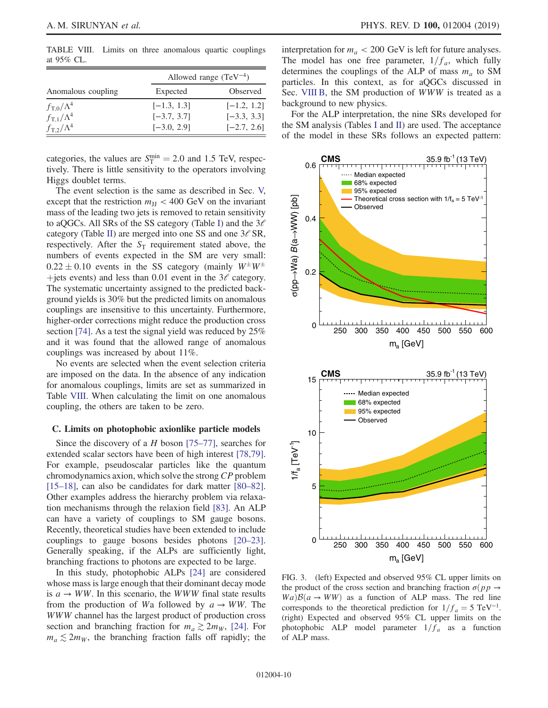<span id="page-9-0"></span>TABLE VIII. Limits on three anomalous quartic couplings at 95% CL.

|                         |               | Allowed range $(TeV^{-4})$ |
|-------------------------|---------------|----------------------------|
| Anomalous coupling      | Expected      | Observed                   |
| $f_{\rm T,0}/\Lambda^4$ | $[-1.3, 1.3]$ | $[-1.2, 1.2]$              |
| $f_{\rm T,1}/\Lambda^4$ | $[-3.7, 3.7]$ | $[-3.3, 3.3]$              |
| $f_{\rm T.2}/\Lambda^4$ | $[-3.0, 2.9]$ | $[-2.7, 2.6]$              |

categories, the values are  $S_T^{\text{min}} = 2.0$  and 1.5 TeV, respectively. There is little sensitivity to the operators involving Higgs doublet terms.

The event selection is the same as described in Sec. [V,](#page-2-0) except that the restriction  $m_{\text{H}} < 400 \text{ GeV}$  on the invariant mass of the leading two jets is removed to retain sensitivity to aQGCs. All SRs of the SS category (Table [I](#page-3-0)) and the  $3\ell$ category (Table [II](#page-3-1)) are merged into one SS and one  $3\ell$  SR, respectively. After the  $S_T$  requirement stated above, the numbers of events expected in the SM are very small:  $0.22 \pm 0.10$  events in the SS category (mainly  $W^{\pm}W^{\pm}$ +jets events) and less than 0.01 event in the  $3\ell$  category. The systematic uncertainty assigned to the predicted background yields is 30% but the predicted limits on anomalous couplings are insensitive to this uncertainty. Furthermore, higher-order corrections might reduce the production cross section [\[74\]](#page-13-0). As a test the signal yield was reduced by 25% and it was found that the allowed range of anomalous couplings was increased by about 11%.

No events are selected when the event selection criteria are imposed on the data. In the absence of any indication for anomalous couplings, limits are set as summarized in Table [VIII](#page-9-0). When calculating the limit on one anomalous coupling, the others are taken to be zero.

#### C. Limits on photophobic axionlike particle models

Since the discovery of a H boson  $[75-77]$ , searches for extended scalar sectors have been of high interest [\[78,79\]](#page-13-2). For example, pseudoscalar particles like the quantum chromodynamics axion, which solve the strong CP problem [\[15](#page-11-6)–18], can also be candidates for dark matter [\[80](#page-13-3)–82]. Other examples address the hierarchy problem via relaxation mechanisms through the relaxion field [\[83\]](#page-13-4). An ALP can have a variety of couplings to SM gauge bosons. Recently, theoretical studies have been extended to include couplings to gauge bosons besides photons [\[20](#page-11-16)–23]. Generally speaking, if the ALPs are sufficiently light, branching fractions to photons are expected to be large.

In this study, photophobic ALPs [\[24\]](#page-11-14) are considered whose mass is large enough that their dominant decay mode is  $a \rightarrow WW$ . In this scenario, the WWW final state results from the production of Wa followed by  $a \rightarrow WW$ . The WWW channel has the largest product of production cross section and branching fraction for  $m_a \gtrsim 2m_W$ , [\[24\]](#page-11-14). For  $m_a \lesssim 2m_W$ , the branching fraction falls off rapidly; the interpretation for  $m_a < 200$  GeV is left for future analyses. The model has one free parameter,  $1/f_a$ , which fully determines the couplings of the ALP of mass  $m_a$  to SM particles. In this context, as for aQGCs discussed in Sec. [VIII B](#page-8-1), the SM production of WWW is treated as a background to new physics.

For the ALP interpretation, the nine SRs developed for the SM analysis (Tables [I](#page-3-0) and [II](#page-3-1)) are used. The acceptance of the model in these SRs follows an expected pattern:

<span id="page-9-1"></span>

FIG. 3. (left) Expected and observed 95% CL upper limits on the product of the cross section and branching fraction  $\sigma(pp \to$  $Wa)B(a \rightarrow WW)$  as a function of ALP mass. The red line corresponds to the theoretical prediction for  $1/f_a = 5 \text{ TeV}^{-1}$ . (right) Expected and observed 95% CL upper limits on the photophobic ALP model parameter  $1/f_a$  as a function of ALP mass.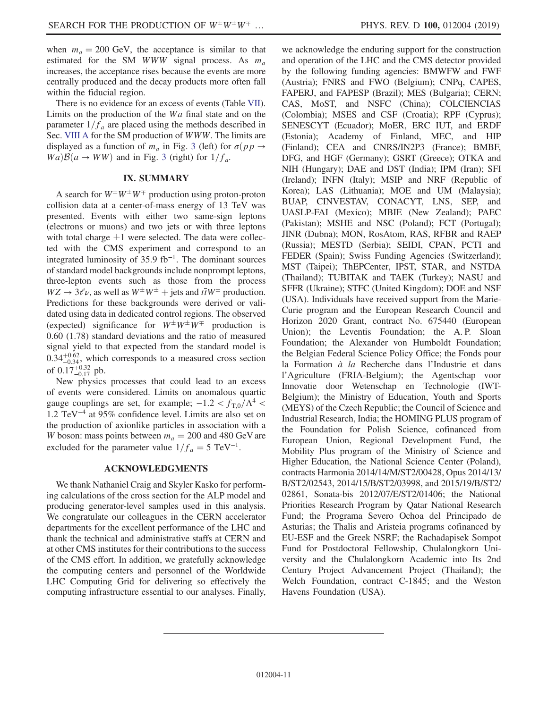when  $m_a = 200$  GeV, the acceptance is similar to that estimated for the SM WWW signal process. As  $m_a$ increases, the acceptance rises because the events are more centrally produced and the decay products more often fall within the fiducial region.

There is no evidence for an excess of events (Table [VII](#page-7-2)). Limits on the production of the Wa final state and on the parameter  $1/f_a$  are placed using the methods described in Sec. [VIII A](#page-7-3) for the SM production of WWW. The limits are displayed as a function of  $m_a$  in Fig. [3](#page-9-1) (left) for  $\sigma(pp \to$  $Wa)B(a \rightarrow WW)$  and in Fig. [3](#page-9-1) (right) for  $1/f_a$ .

#### IX. SUMMARY

A search for  $W^{\pm}W^{\pm}W^{\mp}$  production using proton-proton collision data at a center-of-mass energy of 13 TeV was presented. Events with either two same-sign leptons (electrons or muons) and two jets or with three leptons with total charge  $\pm 1$  were selected. The data were collected with the CMS experiment and correspond to an integrated luminosity of 35.9 fb<sup>-1</sup>. The dominant sources of standard model backgrounds include nonprompt leptons, three-lepton events such as those from the process  $WZ \rightarrow 3\ell\nu$ , as well as  $W^{\pm}W^{\pm}$  + jets and  $t\bar{t}W^{\pm}$  production. Predictions for these backgrounds were derived or validated using data in dedicated control regions. The observed (expected) significance for  $W^{\pm}W^{\pm}W^{\mp}$  production is 0.60 (1.78) standard deviations and the ratio of measured signal yield to that expected from the standard model is  $0.34_{-0.34}^{+0.62}$ , which corresponds to a measured cross section of  $0.17^{+0.32}_{-0.17}$  pb.

New physics processes that could lead to an excess of events were considered. Limits on anomalous quartic gauge couplings are set, for example;  $-1.2 < f_{T,0}/\Lambda^4$ 1.2 TeV<sup>−</sup><sup>4</sup> at 95% confidence level. Limits are also set on the production of axionlike particles in association with a W boson: mass points between  $m_a = 200$  and 480 GeV are excluded for the parameter value  $1/f_a = 5 \text{ TeV}^{-1}$ .

## ACKNOWLEDGMENTS

We thank Nathaniel Craig and Skyler Kasko for performing calculations of the cross section for the ALP model and producing generator-level samples used in this analysis. We congratulate our colleagues in the CERN accelerator departments for the excellent performance of the LHC and thank the technical and administrative staffs at CERN and at other CMS institutes for their contributions to the success of the CMS effort. In addition, we gratefully acknowledge the computing centers and personnel of the Worldwide LHC Computing Grid for delivering so effectively the computing infrastructure essential to our analyses. Finally, we acknowledge the enduring support for the construction and operation of the LHC and the CMS detector provided by the following funding agencies: BMWFW and FWF (Austria); FNRS and FWO (Belgium); CNPq, CAPES, FAPERJ, and FAPESP (Brazil); MES (Bulgaria); CERN; CAS, MoST, and NSFC (China); COLCIENCIAS (Colombia); MSES and CSF (Croatia); RPF (Cyprus); SENESCYT (Ecuador); MoER, ERC IUT, and ERDF (Estonia); Academy of Finland, MEC, and HIP (Finland); CEA and CNRS/IN2P3 (France); BMBF, DFG, and HGF (Germany); GSRT (Greece); OTKA and NIH (Hungary); DAE and DST (India); IPM (Iran); SFI (Ireland); INFN (Italy); MSIP and NRF (Republic of Korea); LAS (Lithuania); MOE and UM (Malaysia); BUAP, CINVESTAV, CONACYT, LNS, SEP, and UASLP-FAI (Mexico); MBIE (New Zealand); PAEC (Pakistan); MSHE and NSC (Poland); FCT (Portugal); JINR (Dubna); MON, RosAtom, RAS, RFBR and RAEP (Russia); MESTD (Serbia); SEIDI, CPAN, PCTI and FEDER (Spain); Swiss Funding Agencies (Switzerland); MST (Taipei); ThEPCenter, IPST, STAR, and NSTDA (Thailand); TUBITAK and TAEK (Turkey); NASU and SFFR (Ukraine); STFC (United Kingdom); DOE and NSF (USA). Individuals have received support from the Marie-Curie program and the European Research Council and Horizon 2020 Grant, contract No. 675440 (European Union); the Leventis Foundation; the A. P. Sloan Foundation; the Alexander von Humboldt Foundation; the Belgian Federal Science Policy Office; the Fonds pour la Formation  $\dot{a}$  la Recherche dans l'Industrie et dans l'Agriculture (FRIA-Belgium); the Agentschap voor Innovatie door Wetenschap en Technologie (IWT-Belgium); the Ministry of Education, Youth and Sports (MEYS) of the Czech Republic; the Council of Science and Industrial Research, India; the HOMING PLUS program of the Foundation for Polish Science, cofinanced from European Union, Regional Development Fund, the Mobility Plus program of the Ministry of Science and Higher Education, the National Science Center (Poland), contracts Harmonia 2014/14/M/ST2/00428, Opus 2014/13/ B/ST2/02543, 2014/15/B/ST2/03998, and 2015/19/B/ST2/ 02861, Sonata-bis 2012/07/E/ST2/01406; the National Priorities Research Program by Qatar National Research Fund; the Programa Severo Ochoa del Principado de Asturias; the Thalis and Aristeia programs cofinanced by EU-ESF and the Greek NSRF; the Rachadapisek Sompot Fund for Postdoctoral Fellowship, Chulalongkorn University and the Chulalongkorn Academic into Its 2nd Century Project Advancement Project (Thailand); the Welch Foundation, contract C-1845; and the Weston Havens Foundation (USA).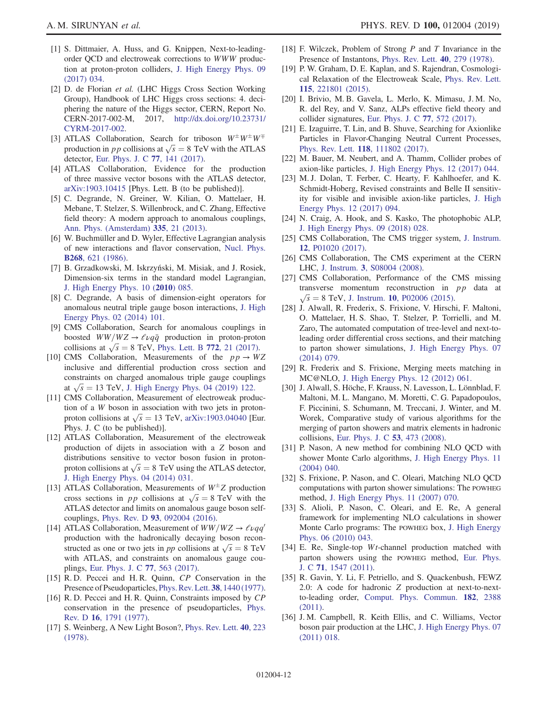- <span id="page-11-0"></span>[1] S. Dittmaier, A. Huss, and G. Knippen, Next-to-leadingorder QCD and electroweak corrections to WWW production at proton-proton colliders, [J. High Energy Phys. 09](https://doi.org/10.1007/JHEP09(2017)034) [\(2017\) 034.](https://doi.org/10.1007/JHEP09(2017)034)
- <span id="page-11-1"></span>[2] D. de Florian et al. (LHC Higgs Cross Section Working Group), Handbook of LHC Higgs cross sections: 4. deciphering the nature of the Higgs sector, CERN, Report No. CERN-2017-002-M, 2017, [http://dx.doi.org/10.23731/](http://dx.doi.org/10.23731/CYRM-2017-002) [CYRM-2017-002](http://dx.doi.org/10.23731/CYRM-2017-002).
- <span id="page-11-2"></span>[3] ATLAS Collaboration, Search for triboson  $W^{\pm}W^{\pm}W^{\mp}$ production in *p p* collisions at  $\sqrt{s} = 8$  TeV with the ATLAS detector, [Eur. Phys. J. C](https://doi.org/10.1140/epjc/s10052-017-4692-1) 77, 141 (2017).
- <span id="page-11-3"></span>[4] ATLAS Collaboration, Evidence for the production of three massive vector bosons with the ATLAS detector, [arXiv:1903.10415](http://arXiv.org/abs/1903.10415) [Phys. Lett. B (to be published)].
- <span id="page-11-4"></span>[5] C. Degrande, N. Greiner, W. Kilian, O. Mattelaer, H. Mebane, T. Stelzer, S. Willenbrock, and C. Zhang, Effective field theory: A modern approach to anomalous couplings, [Ann. Phys. \(Amsterdam\)](https://doi.org/10.1016/j.aop.2013.04.016) 335, 21 (2013).
- [6] W. Buchmüller and D. Wyler, Effective Lagrangian analysis of new interactions and flavor conservation, [Nucl. Phys.](https://doi.org/10.1016/0550-3213(86)90262-2) B268[, 621 \(1986\).](https://doi.org/10.1016/0550-3213(86)90262-2)
- [7] B. Grzadkowski, M. Iskrzyński, M. Misiak, and J. Rosiek, Dimension-six terms in the standard model Lagrangian, [J. High Energy Phys. 10 \(](https://doi.org/10.1007/JHEP10(2010)085)2010) 085.
- <span id="page-11-15"></span>[8] C. Degrande, A basis of dimension-eight operators for anomalous neutral triple gauge boson interactions, [J. High](https://doi.org/10.1007/JHEP02(2014)101) [Energy Phys. 02 \(2014\) 101.](https://doi.org/10.1007/JHEP02(2014)101)
- <span id="page-11-5"></span>[9] CMS Collaboration, Search for anomalous couplings in boosted  $WW/WZ \rightarrow \ell \nu q\bar{q}$  production in proton-proton collisions at  $\sqrt{s} = 8$  TeV, [Phys. Lett. B](https://doi.org/10.1016/j.physletb.2017.06.009) 772, 21 (2017).
- [10] CMS Collaboration, Measurements of the  $pp \rightarrow WZ$ inclusive and differential production cross section and constraints on charged anomalous triple gauge couplings at  $\sqrt{s} = 13$  TeV, [J. High Energy Phys. 04 \(2019\) 122.](https://doi.org/10.1007/JHEP04(2019)122)
- [11] CMS Collaboration, Measurement of electroweak production of a W boson in association with two jets in protonproton collisions at  $\sqrt{s} = 13$  TeV, [arXiv:1903.04040](http://arXiv.org/abs/1903.04040) [Eur. Phys. J. C (to be published)].
- [12] ATLAS Collaboration, Measurement of the electroweak production of dijets in association with a Z boson and distributions sensitive to vector boson fusion in protonproton collisions at  $\sqrt{s} = 8$  TeV using the ATLAS detector, [J. High Energy Phys. 04 \(2014\) 031.](https://doi.org/10.1007/JHEP04(2014)031)
- [13] ATLAS Collaboration, Measurements of  $W^{\pm}Z$  production cross sections in pp collisions at  $\sqrt{s} = 8 \text{ TeV}$  with the ATLAS detector and limits on anomalous gauge boson selfcouplings, Phys. Rev. D 93[, 092004 \(2016\).](https://doi.org/10.1103/PhysRevD.93.092004)
- [14] ATLAS Collaboration, Measurement of  $WW/WZ \rightarrow \ell \nu q q'$ production with the hadronically decaying boson reconstructed as one or two jets in *pp* collisions at  $\sqrt{s} = 8$  TeV with ATLAS, and constraints on anomalous gauge couplings, [Eur. Phys. J. C](https://doi.org/10.1140/epjc/s10052-017-5084-2) 77, 563 (2017).
- <span id="page-11-6"></span>[15] R. D. Peccei and H. R. Quinn, CP Conservation in the Presence of Pseudoparticles, [Phys. Rev. Lett.](https://doi.org/10.1103/PhysRevLett.38.1440) 38, 1440 (1977).
- [16] R. D. Peccei and H. R. Quinn, Constraints imposed by CP conservation in the presence of pseudoparticles, [Phys.](https://doi.org/10.1103/PhysRevD.16.1791) Rev. D 16[, 1791 \(1977\).](https://doi.org/10.1103/PhysRevD.16.1791)
- [17] S. Weinberg, A New Light Boson?, [Phys. Rev. Lett.](https://doi.org/10.1103/PhysRevLett.40.223) 40, 223 [\(1978\).](https://doi.org/10.1103/PhysRevLett.40.223)
- [18] F. Wilczek, Problem of Strong  $P$  and  $T$  Invariance in the Presence of Instantons, [Phys. Rev. Lett.](https://doi.org/10.1103/PhysRevLett.40.279) 40, 279 (1978).
- [19] P. W. Graham, D. E. Kaplan, and S. Rajendran, Cosmological Relaxation of the Electroweak Scale, [Phys. Rev. Lett.](https://doi.org/10.1103/PhysRevLett.115.221801) 115[, 221801 \(2015\).](https://doi.org/10.1103/PhysRevLett.115.221801)
- <span id="page-11-16"></span>[20] I. Brivio, M. B. Gavela, L. Merlo, K. Mimasu, J. M. No, R. del Rey, and V. Sanz, ALPs effective field theory and collider signatures, [Eur. Phys. J. C](https://doi.org/10.1140/epjc/s10052-017-5111-3) 77, 572 (2017).
- [21] E. Izaguirre, T. Lin, and B. Shuve, Searching for Axionlike Particles in Flavor-Changing Neutral Current Processes, Phys. Rev. Lett. 118[, 111802 \(2017\).](https://doi.org/10.1103/PhysRevLett.118.111802)
- [22] M. Bauer, M. Neubert, and A. Thamm, Collider probes of axion-like particles, [J. High Energy Phys. 12 \(2017\) 044.](https://doi.org/10.1007/JHEP12(2017)044)
- [23] M. J. Dolan, T. Ferber, C. Hearty, F. Kahlhoefer, and K. Schmidt-Hoberg, Revised constraints and Belle II sensitivity for visible and invisible axion-like particles, [J. High](https://doi.org/10.1007/JHEP12(2017)094) [Energy Phys. 12 \(2017\) 094.](https://doi.org/10.1007/JHEP12(2017)094)
- <span id="page-11-14"></span>[24] N. Craig, A. Hook, and S. Kasko, The photophobic ALP, [J. High Energy Phys. 09 \(2018\) 028.](https://doi.org/10.1007/JHEP09(2018)028)
- <span id="page-11-7"></span>[25] CMS Collaboration, The CMS trigger system, [J. Instrum.](https://doi.org/10.1088/1748-0221/12/01/P01020) 12[, P01020 \(2017\)](https://doi.org/10.1088/1748-0221/12/01/P01020).
- <span id="page-11-8"></span>[26] CMS Collaboration, The CMS experiment at the CERN LHC, J. Instrum. 3[, S08004 \(2008\).](https://doi.org/10.1088/1748-0221/3/08/S08004)
- <span id="page-11-9"></span>[27] CMS Collaboration, Performance of the CMS missing transverse momentum reconstruction in  $pp$  data at  $\sqrt{s} = 8$  TeV, J. Instrum. 10[, P02006 \(2015\).](https://doi.org/10.1088/1748-0221/10/02/P02006)
- <span id="page-11-10"></span>[28] J. Alwall, R. Frederix, S. Frixione, V. Hirschi, F. Maltoni, O. Mattelaer, H. S. Shao, T. Stelzer, P. Torrielli, and M. Zaro, The automated computation of tree-level and next-toleading order differential cross sections, and their matching to parton shower simulations, [J. High Energy Phys. 07](https://doi.org/10.1007/JHEP07(2014)079) [\(2014\) 079.](https://doi.org/10.1007/JHEP07(2014)079)
- <span id="page-11-11"></span>[29] R. Frederix and S. Frixione, Merging meets matching in MC@NLO, [J. High Energy Phys. 12 \(2012\) 061.](https://doi.org/10.1007/JHEP12(2012)061)
- <span id="page-11-12"></span>[30] J. Alwall, S. Höche, F. Krauss, N. Lavesson, L. Lönnblad, F. Maltoni, M. L. Mangano, M. Moretti, C. G. Papadopoulos, F. Piccinini, S. Schumann, M. Treccani, J. Winter, and M. Worek, Comparative study of various algorithms for the merging of parton showers and matrix elements in hadronic collisions, [Eur. Phys. J. C](https://doi.org/10.1140/epjc/s10052-007-0490-5) 53, 473 (2008).
- <span id="page-11-13"></span>[31] P. Nason, A new method for combining NLO QCD with shower Monte Carlo algorithms, [J. High Energy Phys. 11](https://doi.org/10.1088/1126-6708/2004/11/040) [\(2004\) 040.](https://doi.org/10.1088/1126-6708/2004/11/040)
- [32] S. Frixione, P. Nason, and C. Oleari, Matching NLO QCD computations with parton shower simulations: The POWHEG method, [J. High Energy Phys. 11 \(2007\) 070.](https://doi.org/10.1088/1126-6708/2007/11/070)
- [33] S. Alioli, P. Nason, C. Oleari, and E. Re, A general framework for implementing NLO calculations in shower Monte Carlo programs: The POWHEG box, [J. High Energy](https://doi.org/10.1007/JHEP06(2010)043) [Phys. 06 \(2010\) 043.](https://doi.org/10.1007/JHEP06(2010)043)
- [34] E. Re, Single-top *Wt*-channel production matched with parton showers using the POWHEG method, [Eur. Phys.](https://doi.org/10.1140/epjc/s10052-011-1547-z) J. C 71[, 1547 \(2011\)](https://doi.org/10.1140/epjc/s10052-011-1547-z).
- [35] R. Gavin, Y. Li, F. Petriello, and S. Quackenbush, FEWZ 2.0: A code for hadronic Z production at next-to-nextto-leading order, [Comput. Phys. Commun.](https://doi.org/10.1016/j.cpc.2011.06.008) 182, 2388 [\(2011\).](https://doi.org/10.1016/j.cpc.2011.06.008)
- [36] J. M. Campbell, R. Keith Ellis, and C. Williams, Vector boson pair production at the LHC, [J. High Energy Phys. 07](https://doi.org/10.1007/JHEP07(2011)018) [\(2011\) 018.](https://doi.org/10.1007/JHEP07(2011)018)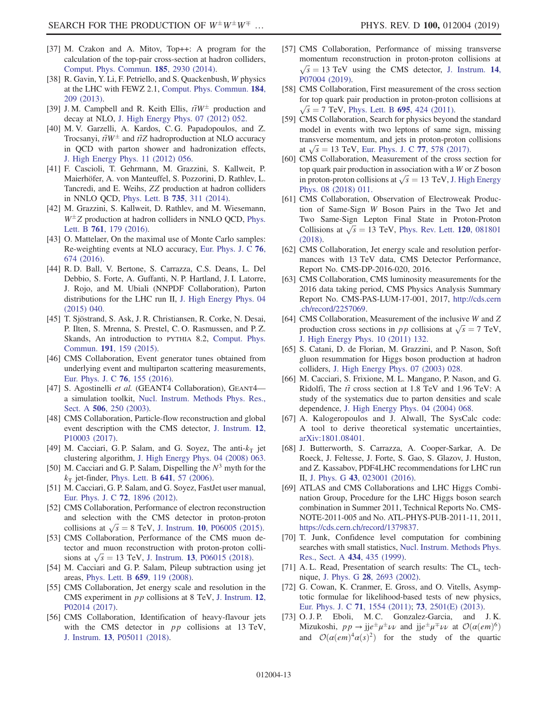- [37] M. Czakon and A. Mitov, Top++: A program for the calculation of the top-pair cross-section at hadron colliders, [Comput. Phys. Commun.](https://doi.org/10.1016/j.cpc.2014.06.021) 185, 2930 (2014).
- [38] R. Gavin, Y. Li, F. Petriello, and S. Quackenbush, W physics at the LHC with FEWZ 2.1, [Comput. Phys. Commun.](https://doi.org/10.1016/j.cpc.2012.09.005) 184, [209 \(2013\)](https://doi.org/10.1016/j.cpc.2012.09.005).
- [39] J.M. Campbell and R. Keith Ellis,  $t\bar{t}W^{\pm}$  production and decay at NLO, [J. High Energy Phys. 07 \(2012\) 052.](https://doi.org/10.1007/JHEP07(2012)052)
- [40] M. V. Garzelli, A. Kardos, C. G. Papadopoulos, and Z. Trocsanyi,  $t\bar{t}W^{\pm}$  and  $t\bar{t}Z$  hadroproduction at NLO accuracy in QCD with parton shower and hadronization effects, [J. High Energy Phys. 11 \(2012\) 056.](https://doi.org/10.1007/JHEP11(2012)056)
- [41] F. Cascioli, T. Gehrmann, M. Grazzini, S. Kallweit, P. Maierhöfer, A. von Manteuffel, S. Pozzorini, D. Rathlev, L. Tancredi, and E. Weihs, ZZ production at hadron colliders in NNLO QCD, [Phys. Lett. B](https://doi.org/10.1016/j.physletb.2014.06.056) 735, 311 (2014).
- [42] M. Grazzini, S. Kallweit, D. Rathlev, and M. Wiesemann,  $W^{\pm}Z$  production at hadron colliders in NNLO QCD, [Phys.](https://doi.org/10.1016/j.physletb.2016.08.017) Lett. B 761[, 179 \(2016\).](https://doi.org/10.1016/j.physletb.2016.08.017)
- <span id="page-12-0"></span>[43] O. Mattelaer, On the maximal use of Monte Carlo samples: Re-weighting events at NLO accuracy, [Eur. Phys. J. C](https://doi.org/10.1140/epjc/s10052-016-4533-7) 76, [674 \(2016\)](https://doi.org/10.1140/epjc/s10052-016-4533-7).
- <span id="page-12-1"></span>[44] R. D. Ball, V. Bertone, S. Carrazza, C.S. Deans, L. Del Debbio, S. Forte, A. Guffanti, N. P. Hartland, J. I. Latorre, J. Rojo, and M. Ubiali (NNPDF Collaboration), Parton distributions for the LHC run II, [J. High Energy Phys. 04](https://doi.org/10.1007/JHEP04(2015)040) [\(2015\) 040.](https://doi.org/10.1007/JHEP04(2015)040)
- <span id="page-12-2"></span>[45] T. Sjöstrand, S. Ask, J. R. Christiansen, R. Corke, N. Desai, P. Ilten, S. Mrenna, S. Prestel, C. O. Rasmussen, and P. Z. Skands, An introduction to PYTHIA 8.2, [Comput. Phys.](https://doi.org/10.1016/j.cpc.2015.01.024) Commun. 191[, 159 \(2015\)](https://doi.org/10.1016/j.cpc.2015.01.024).
- <span id="page-12-3"></span>[46] CMS Collaboration, Event generator tunes obtained from underlying event and multiparton scattering measurements, [Eur. Phys. J. C](https://doi.org/10.1140/epjc/s10052-016-3988-x) 76, 155 (2016).
- <span id="page-12-4"></span>[47] S. Agostinelli et al. (GEANT4 Collaboration), GEANT4a simulation toolkit, [Nucl. Instrum. Methods Phys. Res.,](https://doi.org/10.1016/S0168-9002(03)01368-8) Sect. A 506[, 250 \(2003\)](https://doi.org/10.1016/S0168-9002(03)01368-8).
- <span id="page-12-5"></span>[48] CMS Collaboration, Particle-flow reconstruction and global event description with the CMS detector, [J. Instrum.](https://doi.org/10.1088/1748-0221/12/10/P10003) 12, [P10003 \(2017\)](https://doi.org/10.1088/1748-0221/12/10/P10003).
- <span id="page-12-6"></span>[49] M. Cacciari, G. P. Salam, and G. Soyez, The anti- $k_T$  jet clustering algorithm, [J. High Energy Phys. 04 \(2008\) 063.](https://doi.org/10.1088/1126-6708/2008/04/063)
- <span id="page-12-10"></span>[50] M. Cacciari and G. P. Salam, Dispelling the  $N^3$  myth for the  $k_T$  jet-finder, [Phys. Lett. B](https://doi.org/10.1016/j.physletb.2006.08.037) 641, 57 (2006).
- <span id="page-12-7"></span>[51] M. Cacciari, G. P. Salam, and G. Soyez, FastJet user manual, [Eur. Phys. J. C](https://doi.org/10.1140/epjc/s10052-012-1896-2) 72, 1896 (2012).
- [52] CMS Collaboration, Performance of electron reconstruction and selection with the CMS detector in proton-proton collisions at  $\sqrt{s} = 8$  TeV, J. Instrum. 10[, P06005 \(2015\)](https://doi.org/10.1088/1748-0221/10/06/P06005).
- <span id="page-12-8"></span>[53] CMS Collaboration, Performance of the CMS muon detector and muon reconstruction with proton-proton collisions at  $\sqrt{s} = 13$  TeV, J. Instrum. 13[, P06015 \(2018\)](https://doi.org/10.1088/1748-0221/13/06/P06015).
- <span id="page-12-11"></span><span id="page-12-9"></span>[54] M. Cacciari and G. P. Salam, Pileup subtraction using jet areas, [Phys. Lett. B](https://doi.org/10.1016/j.physletb.2007.09.077) 659, 119 (2008).
- [55] CMS Collaboration, Jet energy scale and resolution in the CMS experiment in pp collisions at 8 TeV, [J. Instrum.](https://doi.org/10.1088/1748-0221/12/02/P02014) 12, [P02014 \(2017\)](https://doi.org/10.1088/1748-0221/12/02/P02014).
- <span id="page-12-12"></span>[56] CMS Collaboration, Identification of heavy-flavour jets with the CMS detector in *pp* collisions at 13 TeV, J. Instrum. 13[, P05011 \(2018\).](https://doi.org/10.1088/1748-0221/13/05/P05011)
- <span id="page-12-13"></span>[57] CMS Collaboration, Performance of missing transverse momentum reconstruction in proton-proton collisions at  $\sqrt{s} = 13$  TeV using the CMS detector, [J. Instrum.](https://doi.org/10.1088/1748-0221/14/07/P07004) 14, [P07004 \(2019\)](https://doi.org/10.1088/1748-0221/14/07/P07004).
- <span id="page-12-14"></span>[58] CMS Collaboration, First measurement of the cross section for top quark pair production in proton-proton collisions at  $\sqrt{s}$  = 7 TeV, [Phys. Lett. B](https://doi.org/10.1016/j.physletb.2010.11.058) 695, 424 (2011).
- <span id="page-12-15"></span>[59] CMS Collaboration, Search for physics beyond the standard model in events with two leptons of same sign, missing transverse momentum, and jets in proton-proton collisions at  $\sqrt{s} = 13$  TeV, [Eur. Phys. J. C](https://doi.org/10.1140/epjc/s10052-017-5079-z) 77, 578 (2017).
- <span id="page-12-16"></span>[60] CMS Collaboration, Measurement of the cross section for top quark pair production in association with a W or Z boson in proton-proton collisions at  $\sqrt{s} = 13$  TeV, [J. High Energy](https://doi.org/10.1007/JHEP08(2018)011) [Phys. 08 \(2018\) 011.](https://doi.org/10.1007/JHEP08(2018)011)
- <span id="page-12-17"></span>[61] CMS Collaboration, Observation of Electroweak Production of Same-Sign W Boson Pairs in the Two Jet and Two Same-Sign Lepton Final State in Proton-Proton Collisions at  $\sqrt{s} = 13$  TeV, [Phys. Rev. Lett.](https://doi.org/10.1103/PhysRevLett.120.081801) 120, 081801 [\(2018\).](https://doi.org/10.1103/PhysRevLett.120.081801)
- [62] CMS Collaboration, Jet energy scale and resolution performances with 13 TeV data, CMS Detector Performance, Report No. CMS-DP-2016-020, 2016.
- <span id="page-12-18"></span>[63] CMS Collaboration, CMS luminosity measurements for the 2016 data taking period, CMS Physics Analysis Summary Report No. CMS-PAS-LUM-17-001, 2017, [http://cds.cern](http://cds.cern.ch/record/2257069) [.ch/record/2257069](http://cds.cern.ch/record/2257069).
- <span id="page-12-19"></span>[64] CMS Collaboration, Measurement of the inclusive W and Z production cross sections in *pp* collisions at  $\sqrt{s} = 7$  TeV, [J. High Energy Phys. 10 \(2011\) 132.](https://doi.org/10.1007/JHEP10(2011)132)
- <span id="page-12-20"></span>[65] S. Catani, D. de Florian, M. Grazzini, and P. Nason, Soft gluon resummation for Higgs boson production at hadron colliders, [J. High Energy Phys. 07 \(2003\) 028.](https://doi.org/10.1088/1126-6708/2003/07/028)
- [66] M. Cacciari, S. Frixione, M. L. Mangano, P. Nason, and G. Ridolfi, The  $t\bar{t}$  cross section at 1.8 TeV and 1.96 TeV: A study of the systematics due to parton densities and scale dependence, [J. High Energy Phys. 04 \(2004\) 068.](https://doi.org/10.1088/1126-6708/2004/04/068)
- [67] A. Kalogeropoulos and J. Alwall, The SysCalc code: A tool to derive theoretical systematic uncertainties, [arXiv:1801.08401](http://arXiv.org/abs/1801.08401).
- <span id="page-12-21"></span>[68] J. Butterworth, S. Carrazza, A. Cooper-Sarkar, A. De Roeck, J. Feltesse, J. Forte, S. Gao, S. Glazov, J. Huston, and Z. Kassabov, PDF4LHC recommendations for LHC run II, J. Phys. G 43[, 023001 \(2016\)](https://doi.org/10.1088/0954-3899/43/2/023001).
- <span id="page-12-22"></span>[69] ATLAS and CMS Collaborations and LHC Higgs Combination Group, Procedure for the LHC Higgs boson search combination in Summer 2011, Technical Reports No. CMS-NOTE-2011-005 and No. ATL-PHYS-PUB-2011-11, 2011, [https://cds.cern.ch/record/1379837.](https://cds.cern.ch/record/1379837)
- <span id="page-12-23"></span>[70] T. Junk, Confidence level computation for combining searches with small statistics, [Nucl. Instrum. Methods Phys.](https://doi.org/10.1016/S0168-9002(99)00498-2) [Res., Sect. A](https://doi.org/10.1016/S0168-9002(99)00498-2) 434, 435 (1999).
- [71] A. L. Read, Presentation of search results: The  $CL<sub>s</sub>$  technique, J. Phys. G 28[, 2693 \(2002\).](https://doi.org/10.1088/0954-3899/28/10/313)
- <span id="page-12-24"></span>[72] G. Cowan, K. Cranmer, E. Gross, and O. Vitells, Asymptotic formulae for likelihood-based tests of new physics, [Eur. Phys. J. C](https://doi.org/10.1140/epjc/s10052-011-1554-0) 71, 1554 (2011); 73[, 2501\(E\) \(2013\).](https://doi.org/10.1140/epjc/s10052-013-2501-z)
- [73] O. J. P. Eboli, M. C. Gonzalez-Garcia, and J. K. Mizukoshi,  $pp \rightarrow i j e^{\pm} \mu^{\pm} \nu \nu$  and  $j j e^{\pm} \mu^{\mp} \nu \nu$  at  $\mathcal{O}(\alpha (em)^6)$ and  $\mathcal{O}(\alpha(em)^4\alpha(s)^2)$  for the study of the quartic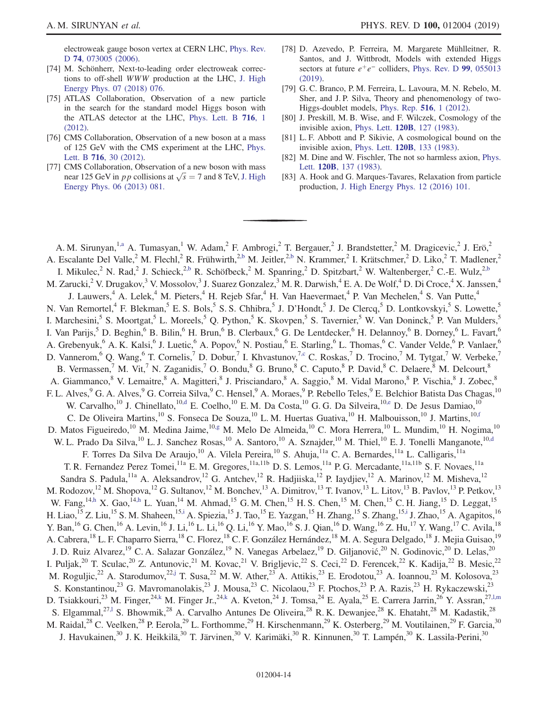electroweak gauge boson vertex at CERN LHC, [Phys. Rev.](https://doi.org/10.1103/PhysRevD.74.073005) D 74[, 073005 \(2006\)](https://doi.org/10.1103/PhysRevD.74.073005).

- <span id="page-13-0"></span>[74] M. Schönherr, Next-to-leading order electroweak corrections to off-shell WWW production at the LHC, [J. High](https://doi.org/10.1007/JHEP07(2018)076) [Energy Phys. 07 \(2018\) 076.](https://doi.org/10.1007/JHEP07(2018)076)
- <span id="page-13-1"></span>[75] ATLAS Collaboration, Observation of a new particle in the search for the standard model Higgs boson with the ATLAS detector at the LHC, [Phys. Lett. B](https://doi.org/10.1016/j.physletb.2012.08.020) 716, 1 [\(2012\).](https://doi.org/10.1016/j.physletb.2012.08.020)
- [76] CMS Collaboration, Observation of a new boson at a mass of 125 GeV with the CMS experiment at the LHC, [Phys.](https://doi.org/10.1016/j.physletb.2012.08.021) Lett. B 716[, 30 \(2012\)](https://doi.org/10.1016/j.physletb.2012.08.021).
- [77] CMS Collaboration, Observation of a new boson with mass near 125 GeV in *pp* collisions at  $\sqrt{s} = 7$  and 8 TeV, [J. High](https://doi.org/10.1007/JHEP06(2013)081) [Energy Phys. 06 \(2013\) 081.](https://doi.org/10.1007/JHEP06(2013)081)
- <span id="page-13-2"></span>[78] D. Azevedo, P. Ferreira, M. Margarete Mühlleitner, R. Santos, and J. Wittbrodt, Models with extended Higgs sectors at future  $e^+e^-$  colliders, [Phys. Rev. D](https://doi.org/10.1103/PhysRevD.99.055013) 99, 055013 [\(2019\).](https://doi.org/10.1103/PhysRevD.99.055013)
- [79] G. C. Branco, P. M. Ferreira, L. Lavoura, M. N. Rebelo, M. Sher, and J. P. Silva, Theory and phenomenology of two-Higgs-doublet models, [Phys. Rep.](https://doi.org/10.1016/j.physrep.2012.02.002) 516, 1 (2012).
- <span id="page-13-3"></span>[80] J. Preskill, M. B. Wise, and F. Wilczek, Cosmology of the invisible axion, Phys. Lett. 120B[, 127 \(1983\).](https://doi.org/10.1016/0370-2693(83)90637-8)
- [81] L. F. Abbott and P. Sikivie, A cosmological bound on the invisible axion, Phys. Lett. 120B[, 133 \(1983\).](https://doi.org/10.1016/0370-2693(83)90638-X)
- [82] M. Dine and W. Fischler, The not so harmless axion, [Phys.](https://doi.org/10.1016/0370-2693(83)90639-1) Lett. 120B[, 137 \(1983\).](https://doi.org/10.1016/0370-2693(83)90639-1)
- <span id="page-13-4"></span>[83] A. Hook and G. Marques-Tavares, Relaxation from particle production, [J. High Energy Phys. 12 \(2016\) 101.](https://doi.org/10.1007/JHEP12(2016)101)

<span id="page-13-16"></span><span id="page-13-15"></span><span id="page-13-14"></span><span id="page-13-13"></span><span id="page-13-12"></span><span id="page-13-11"></span><span id="page-13-10"></span><span id="page-13-9"></span><span id="page-13-8"></span><span id="page-13-7"></span><span id="page-13-6"></span><span id="page-13-5"></span>A. M. Sirunyan,<sup>1[,a](#page-23-0)</sup> A. Tumasyan,<sup>1</sup> W. Adam,<sup>2</sup> F. Ambrogi,<sup>2</sup> T. Bergauer,<sup>2</sup> J. Brandstetter,<sup>2</sup> M. Dragicevic,<sup>2</sup> J. Erö,<sup>2</sup> A. Escalante Del Valle,<sup>2</sup> M. Flechl,<sup>2</sup> R. Frühwirth,<sup>[2,b](#page-23-1)</sup> M. Jeitler,<sup>2,b</sup> N. Krammer,<sup>2</sup> I. Krätschmer,<sup>2</sup> D. Liko,<sup>2</sup> T. Madlener,<sup>2</sup> I. Mikulec,<sup>2</sup> N. Rad,<sup>2</sup> J. Schieck,<sup>[2,b](#page-23-1)</sup> R. Schöfbeck,<sup>2</sup> M. Spanring,<sup>2</sup> D. Spitzbart,<sup>2</sup> W. Waltenberger,<sup>2</sup> C.-E. Wulz,<sup>2,b</sup> M. Zarucki, <sup>2</sup> V. Drugakov, <sup>3</sup> V. Mossolov, <sup>3</sup> J. Suarez Gonzalez,  $3$  M. R. Darwish,  $4$  E. A. De Wolf,  $4$  D. Di Croce,  $4$  X. Janssen,  $4$ J. Lauwers,<sup>4</sup> A. Lelek,<sup>4</sup> M. Pieters,<sup>4</sup> H. Rejeb Sfar,<sup>4</sup> H. Van Haevermaet,<sup>4</sup> P. Van Mechelen,<sup>4</sup> S. Van Putte,<sup>4</sup> N. Van Remortel,<sup>4</sup> F. Blekman,<sup>5</sup> E. S. Bols,<sup>5</sup> S. S. Chhibra,<sup>5</sup> J. D'Hondt,<sup>5</sup> J. De Clercq,<sup>5</sup> D. Lontkovskyi,<sup>5</sup> S. Lowette,<sup>5</sup> I. Marchesini,<sup>5</sup> S. Moortgat,<sup>5</sup> L. Moreels,<sup>5</sup> Q. Python,<sup>5</sup> K. Skovpen,<sup>5</sup> S. Tavernier,<sup>5</sup> W. Van Doninck,<sup>5</sup> P. Van Mulders,<sup>5</sup> I. Van Parijs,<sup>5</sup> D. Beghin,<sup>6</sup> B. Bilin,<sup>6</sup> H. Brun,<sup>6</sup> B. Clerbaux,<sup>6</sup> G. De Lentdecker,<sup>6</sup> H. Delannoy,<sup>6</sup> B. Dorney,<sup>6</sup> L. Favart,<sup>6</sup> A. Grebenyuk,<sup>6</sup> A. K. Kalsi,<sup>6</sup> J. Luetic,<sup>6</sup> A. Popov,<sup>6</sup> N. Postiau,<sup>6</sup> E. Starling,<sup>6</sup> L. Thomas,<sup>6</sup> C. Vander Velde,<sup>6</sup> P. Vanlaer,<sup>6</sup> D. Vannerom,  $^6$  Q. Wang,  $^6$  T. Cornelis,  $^7$  D. Dobur,  $^7$  I. Khvastunov,  $^{7,c}$  $^{7,c}$  $^{7,c}$  C. Roskas,  $^7$  D. Trocino,  $^7$  M. Tytgat,  $^7$  W. Verbeke,  $^7$ B. Vermassen,<sup>7</sup> M. Vit,<sup>7</sup> N. Zaganidis,<sup>7</sup> O. Bondu,<sup>8</sup> G. Bruno,<sup>8</sup> C. Caputo,<sup>8</sup> P. David,<sup>8</sup> C. Delaere,<sup>8</sup> M. Delcourt,<sup>8</sup> A. Giammanco,<sup>8</sup> V. Lemaitre,<sup>8</sup> A. Magitteri,<sup>8</sup> J. Prisciandaro,<sup>8</sup> A. Saggio,<sup>8</sup> M. Vidal Marono,<sup>8</sup> P. Vischia,<sup>8</sup> J. Zobec,<sup>8</sup> F. L. Alves, <sup>9</sup> G. A. Alves, <sup>9</sup> G. Correia Silva, <sup>9</sup> C. Hensel, <sup>9</sup> A. Moraes, <sup>9</sup> P. Rebello Teles, <sup>9</sup> E. Belchior Batista Das Chagas, <sup>10</sup> W. Carvalho,<sup>10</sup> J. Chinellato,<sup>10[,d](#page-23-3)</sup> E. Coelho,<sup>10</sup> E. M. Da Costa,<sup>10</sup> G. G. Da Silveira,<sup>10[,e](#page-23-4)</sup> D. De Jesus Damiao,<sup>10</sup> C. De Oliveira Martins,<sup>10</sup> S. Fonseca De Souza,<sup>10</sup> L. M. Huertas Guativa,<sup>10</sup> H. Malbouisson,<sup>10</sup> J. Martins,<sup>10[,f](#page-23-5)</sup> D. Matos Figueiredo,<sup>10</sup> M. Medina Jaime,<sup>1[0,g](#page-23-6)</sup> M. Melo De Almeida,<sup>10</sup> C. Mora Herrera,<sup>10</sup> L. Mundim,<sup>10</sup> H. Nogima,<sup>10</sup> W. L. Prado Da Silva,<sup>10</sup> L. J. Sanchez Rosas,<sup>10</sup> A. Santoro,<sup>10</sup> A. Sznajder,<sup>10</sup> M. Thiel,<sup>10</sup> E. J. Tonelli Manganote,<sup>10[,d](#page-23-3)</sup> F. Torres Da Silva De Araujo,<sup>10</sup> A. Vilela Pereira,<sup>10</sup> S. Ahuja,<sup>11a</sup> C. A. Bernardes,<sup>11a</sup> L. Calligaris,<sup>11a</sup> T. R. Fernandez Perez Tomei,<sup>11a</sup> E. M. Gregores,<sup>11a,11b</sup> D. S. Lemos,<sup>11a</sup> P. G. Mercadante,<sup>11a,11b</sup> S. F. Novaes,<sup>11a</sup> Sandra S. Padula,<sup>11a</sup> A. Aleksandrov,<sup>12</sup> G. Antchev,<sup>12</sup> R. Hadjiiska,<sup>12</sup> P. Iaydjiev,<sup>12</sup> A. Marinov,<sup>12</sup> M. Misheva,<sup>12</sup> M. Rodozov,<sup>12</sup> M. Shopova,<sup>12</sup> G. Sultanov,<sup>12</sup> M. Bonchev,<sup>13</sup> A. Dimitrov,<sup>13</sup> T. Ivanov,<sup>13</sup> L. Litov,<sup>13</sup> B. Pavlov,<sup>13</sup> P. Petkov,<sup>13</sup> W. Fang,<sup>1[4,h](#page-23-7)</sup> X. Gao,<sup>14,h</sup> L. Yuan,<sup>14</sup> M. Ahmad,<sup>15</sup> G. M. Chen,<sup>15</sup> H. S. Chen,<sup>15</sup> M. Chen,<sup>15</sup> C. H. Jiang,<sup>15</sup> D. Leggat,<sup>15</sup> H. Liao,<sup>15</sup> Z. Liu,<sup>15</sup> S. M. Shaheen,<sup>15[,i](#page-23-8)</sup> A. Spiezia,<sup>15</sup> J. Tao,<sup>15</sup> E. Yazgan,<sup>15</sup> H. Zhang,<sup>15</sup> S. Zhang,<sup>1[5,i](#page-23-8)</sup> J. Zhao,<sup>15</sup> A. Agapitos,<sup>16</sup> Y. Ban, <sup>16</sup> G. Chen, <sup>16</sup> A. Levin, <sup>16</sup> J. Li, <sup>16</sup> L. Li, <sup>16</sup> Q. Li, <sup>16</sup> Y. Mao, <sup>16</sup> S. J. Qian, <sup>16</sup> D. Wang, <sup>16</sup> Z. Hu, <sup>17</sup> Y. Wang, <sup>17</sup> C. Avila, <sup>18</sup> A. Cabrera, <sup>18</sup> L. F. Chaparro Sierra, <sup>18</sup> C. Florez, <sup>18</sup> C. F. González Hernández, <sup>18</sup> M. A. Segura Delgado, <sup>18</sup> J. Mejia Guisao, <sup>19</sup> J. D. Ruiz Alvarez,<sup>19</sup> C. A. Salazar González,<sup>19</sup> N. Vanegas Arbelaez,<sup>19</sup> D. Giljanović,<sup>20</sup> N. Godinovic,<sup>20</sup> D. Lelas,<sup>20</sup> I. Puljak,<sup>20</sup> T. Sculac,<sup>20</sup> Z. Antunovic,<sup>21</sup> M. Kovac,<sup>21</sup> V. Brigljevic,<sup>22</sup> S. Ceci,<sup>22</sup> D. Ferencek,<sup>22</sup> K. Kadija,<sup>22</sup> B. Mesic,<sup>22</sup> M. Roguljic,<sup>22</sup> A. Starodumov,<sup>2[2,j](#page-23-9)</sup> T. Susa,<sup>22</sup> M. W. Ather,<sup>23</sup> A. Attikis,<sup>23</sup> E. Erodotou,<sup>23</sup> A. Ioannou,<sup>23</sup> M. Kolosova,<sup>23</sup> S. Konstantinou,<sup>23</sup> G. Mavromanolakis,<sup>23</sup> J. Mousa,<sup>23</sup> C. Nicolaou,<sup>23</sup> F. Ptochos,<sup>23</sup> P. A. Razis,<sup>23</sup> H. Rykaczewski,<sup>23</sup> D. Tsiakkouri,<sup>23</sup> M. Finger,<sup>2[4,k](#page-23-10)</sup> M. Finger Jr.,<sup>24,k</sup> A. Kveton,<sup>24</sup> J. Tomsa,<sup>24</sup> E. Ayala,<sup>25</sup> E. Carrera Jarrin,<sup>26</sup> Y. Assran,<sup>27,1,m</sup> S. Elgammal,<sup>27,1</sup> S. Bhowmik,<sup>28</sup> A. Carvalho Antunes De Oliveira,<sup>28</sup> R. K. Dewanjee,<sup>28</sup> K. Ehataht,<sup>28</sup> M. Kadastik,<sup>28</sup> M. Raidal,<sup>28</sup> C. Veelken,<sup>28</sup> P. Eerola,<sup>29</sup> L. Forthomme,<sup>29</sup> H. Kirschenmann,<sup>29</sup> K. Osterberg,<sup>29</sup> M. Voutilainen,<sup>29</sup> F. Garcia,<sup>30</sup> J. Havukainen,<sup>30</sup> J.K. Heikkilä,<sup>30</sup> T. Järvinen,<sup>30</sup> V. Karimäki,<sup>30</sup> R. Kinnunen,<sup>30</sup> T. Lampén,<sup>30</sup> K. Lassila-Perini,<sup>30</sup>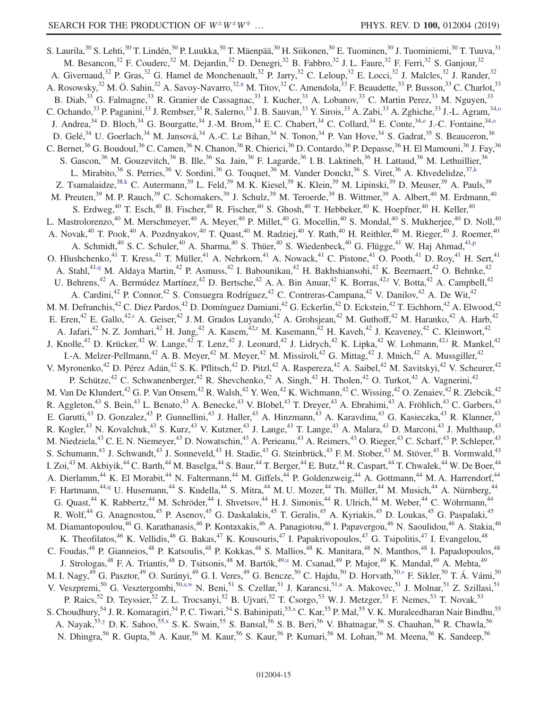<span id="page-14-9"></span><span id="page-14-8"></span><span id="page-14-7"></span><span id="page-14-6"></span><span id="page-14-5"></span><span id="page-14-4"></span><span id="page-14-3"></span><span id="page-14-2"></span><span id="page-14-1"></span><span id="page-14-0"></span>S. Laurila, <sup>30</sup> S. Lehti, <sup>30</sup> T. Lindén, <sup>30</sup> P. Luukka, <sup>30</sup> T. Mäenpää, <sup>30</sup> H. Siikonen, <sup>30</sup> E. Tuominen, <sup>30</sup> J. Tuominiemi, <sup>30</sup> T. Tuuva, <sup>31</sup> M. Besancon,<sup>32</sup> F. Couderc,<sup>32</sup> M. Dejardin,<sup>32</sup> D. Denegri,<sup>32</sup> B. Fabbro,<sup>32</sup> J.L. Faure,<sup>32</sup> F. Ferri,<sup>32</sup> S. Ganjour,<sup>32</sup> A. Givernaud,<sup>32</sup> P. Gras,<sup>32</sup> G. Hamel de Monchenault,<sup>32</sup> P. Jarry,<sup>32</sup> C. Leloup,<sup>32</sup> E. Locci,<sup>32</sup> J. Malcles,<sup>32</sup> J. Rander,<sup>32</sup> A. Rosowsky,<sup>32</sup> M. Ö. Sahin,<sup>32</sup> A. Savoy-Navarro,<sup>3[2,n](#page-23-12)</sup> M. Titov,<sup>32</sup> C. Amendola,<sup>33</sup> F. Beaudette,<sup>33</sup> P. Busson,<sup>33</sup> C. Charlot,<sup>33</sup> B. Diab,<sup>33</sup> G. Falmagne,<sup>33</sup> R. Granier de Cassagnac,<sup>33</sup> I. Kucher,<sup>33</sup> A. Lobanov,<sup>33</sup> C. Martin Perez,<sup>33</sup> M. Nguyen,<sup>33</sup> C. Ochando,<sup>33</sup> P. Paganini,<sup>33</sup> J. Rembser,<sup>33</sup> R. Salerno,<sup>33</sup> J. B. Sauvan,<sup>33</sup> Y. Sirois,<sup>33</sup> A. Zabi,<sup>33</sup> A. Zghiche,<sup>33</sup> J.-L. Agram,<sup>34,0</sup> J. Andrea,<sup>34</sup> D. Bloch,<sup>34</sup> G. Bourgatte,<sup>34</sup> J.-M. Brom,<sup>34</sup> E.C. Chabert,<sup>34</sup> C. Collard,<sup>34</sup> E. Conte,<sup>34[,o](#page-23-13)</sup> J.-C. Fontaine,<sup>34,o</sup> D. Gelé,<sup>34</sup> U. Goerlach,<sup>34</sup> M. Jansová,<sup>34</sup> A.-C. Le Bihan,<sup>34</sup> N. Tonon,<sup>34</sup> P. Van Hove,<sup>34</sup> S. Gadrat,<sup>35</sup> S. Beauceron,<sup>36</sup> C. Bernet,<sup>36</sup> G. Boudoul,<sup>36</sup> C. Camen,<sup>36</sup> N. Chanon,<sup>36</sup> R. Chierici,<sup>36</sup> D. Contardo,<sup>36</sup> P. Depasse,<sup>36</sup> H. El Mamouni,<sup>36</sup> J. Fay,<sup>36</sup> S. Gascon,<sup>36</sup> M. Gouzevitch,<sup>36</sup> B. Ille,<sup>36</sup> Sa. Jain,<sup>36</sup> F. Lagarde,<sup>36</sup> I. B. Laktineh,<sup>36</sup> H. Lattaud,<sup>36</sup> M. Lethuillier,<sup>36</sup> L. Mirabito,<sup>36</sup> S. Perries,<sup>36</sup> V. Sordini,<sup>36</sup> G. Touquet,<sup>36</sup> M. Vander Donckt,<sup>36</sup> S. Viret,<sup>36</sup> A. Khvedelidze,<sup>37[,k](#page-23-10)</sup> Z. Tsamalaidze,<sup>3[8,k](#page-23-10)</sup> C. Autermann,<sup>39</sup> L. Feld,<sup>39</sup> M. K. Kiesel,<sup>39</sup> K. Klein,<sup>39</sup> M. Lipinski,<sup>39</sup> D. Meuser,<sup>39</sup> A. Pauls,<sup>39</sup> M. Preuten,<sup>39</sup> M. P. Rauch,<sup>39</sup> C. Schomakers,<sup>39</sup> J. Schulz,<sup>39</sup> M. Teroerde,<sup>39</sup> B. Wittmer,<sup>39</sup> A. Albert,<sup>40</sup> M. Erdmann,<sup>40</sup> S. Erdweg, $^{40}$  T. Esch, $^{40}$  B. Fischer, $^{40}$  R. Fischer, $^{40}$  S. Ghosh, $^{40}$  T. Hebbeker, $^{40}$  K. Hoepfner, $^{40}$  H. Keller, $^{40}$ L. Mastrolorenzo,<sup>40</sup> M. Merschmeyer,<sup>40</sup> A. Meyer,<sup>40</sup> P. Millet,<sup>40</sup> G. Mocellin,<sup>40</sup> S. Mondal,<sup>40</sup> S. Mukherjee,<sup>40</sup> D. Noll,<sup>40</sup> A. Novak,<sup>40</sup> T. Pook,<sup>40</sup> A. Pozdnyakov,<sup>40</sup> T. Quast,<sup>40</sup> M. Radziej,<sup>40</sup> Y. Rath,<sup>40</sup> H. Reithler,<sup>40</sup> M. Rieger,<sup>40</sup> J. Roemer,<sup>40</sup> A. Schmidt,<sup>40</sup> S. C. Schuler,<sup>40</sup> A. Sharma,<sup>40</sup> S. Thüer,<sup>40</sup> S. Wiedenbeck,<sup>40</sup> G. Flügge,<sup>41</sup> W. Haj Ahmad,<sup>41[,p](#page-23-14)</sup> O. Hlushchenko,<sup>41</sup> T. Kress,<sup>41</sup> T. Müller,<sup>41</sup> A. Nehrkorn,<sup>41</sup> A. Nowack,<sup>41</sup> C. Pistone,<sup>41</sup> O. Pooth,<sup>41</sup> D. Roy,<sup>41</sup> H. Sert,<sup>41</sup> A. Stahl,<sup>4[1,q](#page-23-15)</sup> M. Aldaya Martin,<sup>42</sup> P. Asmuss,<sup>42</sup> I. Babounikau,<sup>42</sup> H. Bakhshiansohi,<sup>42</sup> K. Beernaert,<sup>42</sup> O. Behnke,<sup>42</sup> U. Behrens,<sup>42</sup> A. Bermúdez Martínez,<sup>42</sup> D. Bertsche,<sup>42</sup> A. A. Bin Anuar,<sup>42</sup> K. Borras,<sup>4[2,r](#page-23-16)</sup> V. Botta,<sup>42</sup> A. Campbell,<sup>42</sup> A. Cardini,<sup>42</sup> P. Connor,<sup>42</sup> S. Consuegra Rodríguez,<sup>42</sup> C. Contreras-Campana,<sup>42</sup> V. Danilov,<sup>42</sup> A. De Wit,<sup>42</sup> M. M. Defranchis,<sup>42</sup> C. Diez Pardos,<sup>42</sup> D. Domínguez Damiani,<sup>42</sup> G. Eckerlin,<sup>42</sup> D. Eckstein,<sup>42</sup> T. Eichhorn,<sup>42</sup> A. Elwood,<sup>42</sup> E. Eren,<sup>42</sup> E. Gallo,<sup>42[,s](#page-23-17)</sup> A. Geiser,<sup>42</sup> J. M. Grados Luyando,<sup>42</sup> A. Grohsjean,<sup>42</sup> M. Guthoff,<sup>42</sup> M. Haranko,<sup>42</sup> A. Harb,<sup>42</sup> A. Jafari,<sup>42</sup> N. Z. Jomhari,<sup>42</sup> H. Jung,<sup>42</sup> A. Kasem,<sup>42[,r](#page-23-16)</sup> M. Kasemann,<sup>42</sup> H. Kaveh,<sup>42</sup> J. Keaveney,<sup>42</sup> C. Kleinwort,<sup>42</sup> J. Knolle,<sup>42</sup> D. Krücker,<sup>42</sup> W. Lange,<sup>42</sup> T. Lenz,<sup>42</sup> J. Leonard,<sup>42</sup> J. Lidrych,<sup>42</sup> K. Lipka,<sup>42</sup> W. Lohmann,<sup>4[2,t](#page-23-18)</sup> R. Mankel,<sup>42</sup> I.-A. Melzer-Pellmann,<sup>42</sup> A. B. Meyer,<sup>42</sup> M. Meyer,<sup>42</sup> M. Missiroli,<sup>42</sup> G. Mittag,<sup>42</sup> J. Mnich,<sup>42</sup> A. Mussgiller,<sup>42</sup> V. Myronenko,<sup>42</sup> D. Pérez Adán,<sup>42</sup> S. K. Pflitsch,<sup>42</sup> D. Pitzl,<sup>42</sup> A. Raspereza,<sup>42</sup> A. Saibel,<sup>42</sup> M. Savitskyi,<sup>42</sup> V. Scheurer,<sup>42</sup> P. Schütze,<sup>42</sup> C. Schwanenberger,<sup>42</sup> R. Shevchenko,<sup>42</sup> A. Singh,<sup>42</sup> H. Tholen,<sup>42</sup> O. Turkot,<sup>42</sup> A. Vagnerini,<sup>42</sup> M. Van De Klundert,<sup>42</sup> G. P. Van Onsem,<sup>42</sup> R. Walsh,<sup>42</sup> Y. Wen,<sup>42</sup> K. Wichmann,<sup>42</sup> C. Wissing,<sup>42</sup> O. Zenaiev,<sup>42</sup> R. Zlebcik,<sup>42</sup> R. Aggleton,<sup>43</sup> S. Bein,<sup>43</sup> L. Benato,<sup>43</sup> A. Benecke,<sup>43</sup> V. Blobel,<sup>43</sup> T. Dreyer,<sup>43</sup> A. Ebrahimi,<sup>43</sup> A. Fröhlich,<sup>43</sup> C. Garbers,<sup>43</sup> E. Garutti,<sup>43</sup> D. Gonzalez,<sup>43</sup> P. Gunnellini,<sup>43</sup> J. Haller,<sup>43</sup> A. Hinzmann,<sup>43</sup> A. Karavdina,<sup>43</sup> G. Kasieczka,<sup>43</sup> R. Klanner,<sup>43</sup> R. Kogler,<sup>43</sup> N. Kovalchuk,<sup>43</sup> S. Kurz,<sup>43</sup> V. Kutzner,<sup>43</sup> J. Lange,<sup>43</sup> T. Lange,<sup>43</sup> A. Malara,<sup>43</sup> D. Marconi,<sup>43</sup> J. Multhaup,<sup>43</sup> M. Niedziela,<sup>43</sup> C. E. N. Niemeyer,<sup>43</sup> D. Nowatschin,<sup>43</sup> A. Perieanu,<sup>43</sup> A. Reimers,<sup>43</sup> O. Rieger,<sup>43</sup> C. Scharf,<sup>43</sup> P. Schleper,<sup>43</sup> S. Schumann,<sup>43</sup> J. Schwandt,<sup>43</sup> J. Sonneveld,<sup>43</sup> H. Stadie,<sup>43</sup> G. Steinbrück,<sup>43</sup> F. M. Stober,<sup>43</sup> M. Stöver,<sup>43</sup> B. Vormwald,<sup>43</sup> I. Zoi,<sup>43</sup> M. Akbiyik,<sup>44</sup> C. Barth,<sup>44</sup> M. Baselga,<sup>44</sup> S. Baur,<sup>44</sup> T. Berger,<sup>44</sup> E. Butz,<sup>44</sup> R. Caspart,<sup>44</sup> T. Chwalek,<sup>44</sup> W. De Boer,<sup>44</sup> A. Dierlamm,<sup>44</sup> K. El Morabit,<sup>44</sup> N. Faltermann,<sup>44</sup> M. Giffels,<sup>44</sup> P. Goldenzweig,<sup>44</sup> A. Gottmann,<sup>44</sup> M. A. Harrendorf,<sup>44</sup> F. Hartmann,<sup>4[4,q](#page-23-15)</sup> U. Husemann,<sup>44</sup> S. Kudella,<sup>44</sup> S. Mitra,<sup>44</sup> M. U. Mozer,<sup>44</sup> Th. Müller,<sup>44</sup> M. Musich,<sup>44</sup> A. Nürnberg,<sup>44</sup> G. Quast,<sup>44</sup> K. Rabbertz,<sup>44</sup> M. Schröder,<sup>44</sup> I. Shvetsov,<sup>44</sup> H. J. Simonis,<sup>44</sup> R. Ulrich,<sup>44</sup> M. Weber,<sup>44</sup> C. Wöhrmann,<sup>44</sup> R. Wolf,<sup>44</sup> G. Anagnostou,<sup>45</sup> P. Asenov,<sup>45</sup> G. Daskalakis,<sup>45</sup> T. Geralis,<sup>45</sup> A. Kyriakis,<sup>45</sup> D. Loukas,<sup>45</sup> G. Paspalaki,<sup>45</sup> M. Diamantopoulou,<sup>46</sup> G. Karathanasis,<sup>46</sup> P. Kontaxakis,<sup>46</sup> A. Panagiotou,<sup>46</sup> I. Papavergou,<sup>46</sup> N. Saoulidou,<sup>46</sup> A. Stakia,<sup>46</sup> K. Theofilatos,<sup>46</sup> K. Vellidis,<sup>46</sup> G. Bakas,<sup>47</sup> K. Kousouris,<sup>47</sup> I. Papakrivopoulos,<sup>47</sup> G. Tsipolitis,<sup>47</sup> I. Evangelou,<sup>48</sup> C. Foudas,<sup>48</sup> P. Gianneios,<sup>48</sup> P. Katsoulis,<sup>48</sup> P. Kokkas,<sup>48</sup> S. Mallios,<sup>48</sup> K. Manitara,<sup>48</sup> N. Manthos,<sup>48</sup> I. Papadopoulos,<sup>48</sup> J. Strologas,<sup>48</sup> F. A. Triantis,<sup>48</sup> D. Tsitsonis,<sup>48</sup> M. Bartók,<sup>4[9,u](#page-23-19)</sup> M. Csanad,<sup>49</sup> P. Major,<sup>49</sup> K. Mandal,<sup>49</sup> A. Mehta,<sup>49</sup> M. I. Nagy,<sup>49</sup> G. Pasztor,<sup>49</sup> O. Surányi,<sup>49</sup> G. I. Veres,<sup>49</sup> G. Bencze,<sup>50</sup> C. Hajdu,<sup>50</sup> D. Horvath,<sup>5[0,v](#page-23-20)</sup> F. Sikler,<sup>50</sup> T. Á. Vámi,<sup>50</sup> V. Veszpremi,<sup>50</sup> G. Vesztergombi,<sup>5[0,a,w](#page-23-0)</sup> N. Beni,<sup>51</sup> S. Czellar,<sup>51</sup> J. Karancsi,<sup>5[1,u](#page-23-19)</sup> A. Makovec,<sup>51</sup> J. Molnar,<sup>51</sup> Z. Szillasi,<sup>51</sup> P. Raics,<sup>52</sup> D. Teyssier,<sup>52</sup> Z. L. Trocsanyi,<sup>52</sup> B. Ujvari,<sup>52</sup> T. Csorgo,<sup>53</sup> W. J. Metzger,<sup>53</sup> F. Nemes,<sup>53</sup> T. Novak,<sup>53</sup> S. Choudhury,<sup>54</sup> J. R. Komaragiri,<sup>54</sup> P. C. Tiwari,<sup>54</sup> S. Bahinipati,<sup>5[5,x](#page-23-21)</sup> C. Kar,<sup>55</sup> P. Mal,<sup>55</sup> V. K. Muraleedharan Nair Bindhu,<sup>55</sup> A. Nayak,<sup>55[,y](#page-23-22)</sup> D. K. Sahoo,<sup>5[5,x](#page-23-21)</sup> S. K. Swain,<sup>55</sup> S. Bansal,<sup>56</sup> S. B. Beri,<sup>56</sup> V. Bhatnagar,<sup>56</sup> S. Chauhan,<sup>56</sup> R. Chawla,<sup>56</sup> N. Dhingra,<sup>56</sup> R. Gupta,<sup>56</sup> A. Kaur,<sup>56</sup> M. Kaur,<sup>56</sup> S. Kaur,<sup>56</sup> P. Kumari,<sup>56</sup> M. Lohan,<sup>56</sup> M. Meena,<sup>56</sup> K. Sandeep,<sup>56</sup>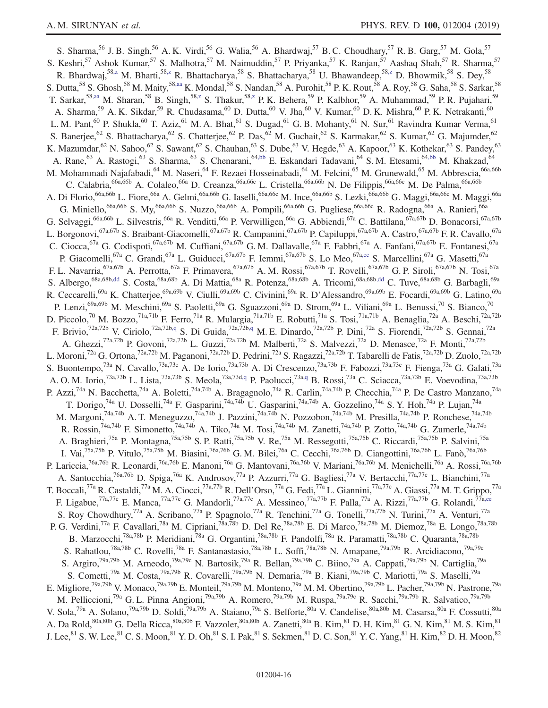<span id="page-15-4"></span><span id="page-15-3"></span><span id="page-15-2"></span><span id="page-15-1"></span><span id="page-15-0"></span>S. Sharma,<sup>56</sup> J. B. Singh,<sup>56</sup> A. K. Virdi,<sup>56</sup> G. Walia,<sup>56</sup> A. Bhardwaj,<sup>57</sup> B. C. Choudhary,<sup>57</sup> R. B. Garg,<sup>57</sup> M. Gola,<sup>57</sup> S. Keshri,<sup>57</sup> Ashok Kumar,<sup>57</sup> S. Malhotra,<sup>57</sup> M. Naimuddin,<sup>57</sup> P. Priyanka,<sup>57</sup> K. Ranjan,<sup>57</sup> Aashaq Shah,<sup>57</sup> R. Sharma,<sup>57</sup> R. Bhardwaj,<sup>58[,z](#page-23-23)</sup> M. Bharti,<sup>5[8,z](#page-23-23)</sup> R. Bhattacharya,<sup>58</sup> S. Bhattacharya,<sup>58</sup> U. Bhawandeep,<sup>58,z</sup> D. Bhowmik,<sup>58</sup> S. Dey,<sup>58</sup> S. Dutta,<sup>58</sup> S. Ghosh,<sup>58</sup> M. Maity,<sup>58[,aa](#page-23-24)</sup> K. Mondal,<sup>58</sup> S. Nandan,<sup>58</sup> A. Purohit,<sup>58</sup> P. K. Rout,<sup>58</sup> A. Roy,<sup>58</sup> G. Saha,<sup>58</sup> S. Sarkar,<sup>58</sup> T. Sarkar,<sup>5[8,aa](#page-23-24)</sup> M. Sharan,<sup>58</sup> B. Singh,<sup>58[,z](#page-23-23)</sup> S. Thakur,<sup>5[8,z](#page-23-23)</sup> P. K. Behera,<sup>59</sup> P. Kalbhor,<sup>59</sup> A. Muhammad,<sup>59</sup> P. R. Pujahari,<sup>59</sup> A. Sharma,<sup>59</sup> A. K. Sikdar,<sup>59</sup> R. Chudasama,<sup>60</sup> D. Dutta,<sup>60</sup> V. Jha,<sup>60</sup> V. Kumar,<sup>60</sup> D. K. Mishra,<sup>60</sup> P. K. Netrakanti,<sup>60</sup> L. M. Pant,<sup>60</sup> P. Shukla,<sup>60</sup> T. Aziz,<sup>61</sup> M. A. Bhat,<sup>61</sup> S. Dugad,<sup>61</sup> G. B. Mohanty,<sup>61</sup> N. Sur,<sup>61</sup> Ravindra Kumar Verma,<sup>61</sup> S. Banerjee,<sup>62</sup> S. Bhattacharya,<sup>62</sup> S. Chatterjee,<sup>62</sup> P. Das,<sup>62</sup> M. Guchait,<sup>62</sup> S. Karmakar,<sup>62</sup> S. Kumar,<sup>62</sup> G. Majumder,<sup>62</sup> K. Mazumdar, <sup>62</sup> N. Sahoo, <sup>62</sup> S. Sawant, <sup>62</sup> S. Chauhan, <sup>63</sup> S. Dube, <sup>63</sup> V. Hegde, <sup>63</sup> A. Kapoor, <sup>63</sup> K. Kothekar, <sup>63</sup> S. Pandey, <sup>63</sup> A. Rane,<sup>63</sup> A. Rastogi,<sup>63</sup> S. Sharma,<sup>63</sup> S. Chenarani,<sup>6[4,bb](#page-23-25)</sup> E. Eskandari Tadavani,<sup>64</sup> S. M. Etesami,<sup>64,bb</sup> M. Khakzad,<sup>64</sup> M. Mohammadi Najafabadi,<sup>64</sup> M. Naseri,<sup>64</sup> F. Rezaei Hosseinabadi,<sup>64</sup> M. Felcini,<sup>65</sup> M. Grunewald,<sup>65</sup> M. Abbrescia,<sup>66a,66b</sup> C. Calabria, <sup>66a,66b</sup> A. Colaleo, <sup>66a</sup> D. Creanza, <sup>66a,66c</sup> L. Cristella, <sup>66a,66b</sup> N. De Filippis, <sup>66a,66c</sup> M. De Palma, <sup>66a,66b</sup> A. Di Florio,<sup>66a,66b</sup> L. Fiore,<sup>66a</sup> A. Gelmi,<sup>66a,66b</sup> G. Iaselli,<sup>66a,66c</sup> M. Ince,<sup>66a,66b</sup> S. Lezki,<sup>66a,66b</sup> G. Maggi,<sup>66a,66c</sup> M. Maggi,<sup>66a</sup> G. Miniello,  $\frac{6.6666}{660}$  S. My,  $\frac{66a,66b}{660}$  S. Nuzzo,  $\frac{66a,66b}{660}$  A. Pompili,  $\frac{66a,66b}{660}$  G. Pugliese,  $\frac{66a,66c}{660}$  R. Radogna,  $\frac{66a}{660}$  A. Ranieri,  $\frac{66a}{660}$ G. Selvaggi,<sup>66a,66b</sup> L. Silvestris,<sup>66a</sup> R. Venditti,<sup>66a</sup> P. Verwilligen,<sup>66a</sup> G. Abbiendi,<sup>67a</sup> C. Battilana,<sup>67a,67b</sup> D. Bonacorsi,<sup>67a,67b</sup> L. Borgonovi, <sup>67a,67b</sup> S. Braibant-Giacomelli, <sup>67a,67b</sup> R. Campanini, <sup>67a,67b</sup> P. Capiluppi, <sup>67a,67b</sup> A. Castro, <sup>67a,67b</sup> F. R. Cavallo, <sup>67a</sup> C. Ciocca,<sup>67a</sup> G. Codispoti,<sup>67a,67b</sup> M. Cuffiani,<sup>67a,67b</sup> G. M. Dallavalle,<sup>67a</sup> F. Fabbri,<sup>67a</sup> A. Fanfani,<sup>67a,67b</sup> E. Fontanesi,<sup>67a</sup> P. Giacomelli,<sup>67a</sup> C. Grandi,<sup>67a</sup> L. Guiducci,<sup>67a,67b</sup> F. Iemmi,<sup>67a,67b</sup> S. Lo Meo,<sup>67a[,cc](#page-23-26)</sup> S. Marcellini,<sup>67a</sup> G. Masetti,<sup>67a</sup> F. L. Navarria,<sup>67a,67b</sup> A. Perrotta,<sup>67a</sup> F. Primavera,<sup>67a,67b</sup> A. M. Rossi,<sup>67a,67b</sup> T. Rovelli,<sup>67a,67b</sup> G. P. Siroli,<sup>67a,67b</sup> N. Tosi,<sup>67a</sup> S. Albergo,  $^{68a,68b,dd}$  $^{68a,68b,dd}$  $^{68a,68b,dd}$  S. Costa, $^{68a,68b}$  A. Di Mattia, $^{68a}$  R. Potenza, $^{68a,68b}$  A. Tricomi, $^{68a,68b,dd}$  $^{68a,68b,dd}$  $^{68a,68b,dd}$  C. Tuve, $^{68a,68b}$  G. Barbagli, $^{69a}$ R. Ceccarelli,<sup>69a</sup> K. Chatterjee,<sup>69a,69b</sup> V. Ciulli,<sup>69a,69b</sup> C. Civinini,<sup>69a</sup> R. D'Alessandro,<sup>69a,69b</sup> E. Focardi,<sup>69a,69b</sup> G. Latino,<sup>69a</sup>,69<sup>8</sup> P. Lenzi,<sup>69a,69b</sup> M. Meschini,<sup>69a</sup> S. Paoletti,<sup>69a</sup> G. Sguazzoni,<sup>69a</sup> D. Strom,<sup>69a</sup> L. Viliani,<sup>69a</sup> L. Benussi,<sup>70</sup> S. Bianco,<sup>70</sup> D. Piccolo,<sup>70</sup> M. Bozzo,<sup>71a,71b</sup> F. Ferro,<sup>71a</sup> R. Mulargia,<sup>71a,71b</sup> E. Robutti,<sup>71a</sup> S. Tosi,<sup>71a,71b</sup> A. Benaglia,<sup>72a</sup> A. Beschi,<sup>72a,72b</sup> F. Brivio,<sup>72a,72b</sup> V. Ciriolo,<sup>72a,72[b,q](#page-23-15)</sup> S. Di Guida,<sup>72a,72b[,q](#page-23-15)</sup> M. E. Dinardo,<sup>72a,72b</sup> P. Dini,<sup>72a</sup> S. Fiorendi,<sup>72a,72b</sup> S. Gennai,<sup>72a</sup> A. Ghezzi,<sup>72a,72b</sup> P. Govoni,<sup>72a,72b</sup> L. Guzzi,<sup>72a,72b</sup> M. Malberti,<sup>72a</sup> S. Malvezzi,<sup>72a</sup> D. Menasce,<sup>72a</sup> F. Monti,<sup>72a,72b</sup> L. Moroni,<sup>72a</sup> G. Ortona,<sup>72a,72b</sup> M. Paganoni,<sup>72a,72b</sup> D. Pedrini,<sup>72a</sup> S. Ragazzi,<sup>72a,72b</sup> T. Tabarelli de Fatis,<sup>72a,72b</sup> D. Zuolo,<sup>72a,72b</sup> S. Buontempo,<sup>73a</sup> N. Cavallo,<sup>73a,73c</sup> A. De Iorio,<sup>73a,73b</sup> A. Di Crescenzo,<sup>73a,73b</sup> F. Fabozzi,<sup>73a,73c</sup> F. Fienga,<sup>73a</sup> G. Galati,<sup>73a</sup> A. O. M. Iorio,<sup>73a,73b</sup> L. Lista,<sup>73a,73b</sup> S. Meola,<sup>73a,73d[,q](#page-23-15)</sup> P. Paolucci,<sup>73a,q</sup> B. Rossi,<sup>73a</sup> C. Sciacca,<sup>73a,73b</sup> E. Voevodina,<sup>73a,73b</sup> P. Azzi,<sup>74a</sup> N. Bacchetta,<sup>74a</sup> A. Boletti,<sup>74a,74b</sup> A. Bragagnolo,<sup>74a</sup> R. Carlin,<sup>74a,74b</sup> P. Checchia,<sup>74a</sup> P. De Castro Manzano,<sup>74a</sup> T. Dorigo,<sup>74a</sup> U. Dosselli,<sup>74a</sup> F. Gasparini,<sup>74a,74b</sup> U. Gasparini,<sup>74a,74b</sup> A. Gozzelino,<sup>74a</sup> S. Y. Hoh,<sup>74a</sup> P. Lujan,<sup>74a</sup> M. Margoni,<sup>74a,74b</sup> A. T. Meneguzzo,<sup>74a,74b</sup> J. Pazzini,<sup>74a,74b</sup> N. Pozzobon,<sup>74a,74b</sup> M. Presilla,<sup>74a,74b</sup> P. Ronchese,<sup>74a,74b</sup> R. Rossin,<sup>74a,74b</sup> F. Simonetto,<sup>74a,74b</sup> A. Tiko,<sup>74a</sup> M. Tosi,<sup>74a,74b</sup> M. Zanetti,<sup>74a,74b</sup> P. Zotto,<sup>74a,74b</sup> G. Zumerle,<sup>74a,74b</sup> A. Braghieri,<sup>75a</sup> P. Montagna,<sup>75a,75b</sup> S. P. Ratti,<sup>75a,75b</sup> V. Re,<sup>75a</sup> M. Ressegotti,<sup>75a,75b</sup> C. Riccardi,<sup>75a,75b</sup> P. Salvini,<sup>75a</sup> I. Vai,<sup>75a,75b</sup> P. Vitulo,<sup>75a,75b</sup> M. Biasini,<sup>76a,76b</sup> G. M. Bilei,<sup>76a</sup> C. Cecchi,<sup>76a,76b</sup> D. Ciangottini,<sup>76a,76b</sup> L. Fanò,<sup>76a,76b</sup> P. Lariccia,<sup>76a,76b</sup> R. Leonardi,<sup>76a,76b</sup> E. Manoni,<sup>76a</sup> G. Mantovani,<sup>76a,76b</sup> V. Mariani,<sup>76a,76b</sup> M. Menichelli,<sup>76a</sup> A. Rossi,<sup>76a,76b</sup> A. Santocchia,<sup>76a,76b</sup> D. Spiga,<sup>76a</sup> K. Androsov,<sup>77a</sup> P. Azzurri,<sup>77a</sup> G. Bagliesi,<sup>77a</sup> V. Bertacchi,<sup>77a,77c</sup> L. Bianchini,<sup>77a</sup> T. Boccali,<sup>77a</sup> R. Castaldi,<sup>77a</sup> M. A. Ciocci,<sup>77a,77b</sup> R. Dell'Orso,<sup>77a</sup> G. Fedi,<sup>77a</sup> L. Giannini,<sup>77a,77c</sup> A. Giassi,<sup>77a</sup> M. T. Grippo,<sup>77a</sup> F. Ligabue,<sup>77a,77c</sup> E. Manca,<sup>77a,77c</sup> G. Mandorli,<sup>77a,77c</sup> A. Messineo,<sup>77a,77b</sup> F. Palla,<sup>77a</sup> A. Rizzi,<sup>77a,77b</sup> G. Rolandi,<sup>77a[,ee](#page-23-28)</sup> S. Roy Chowdhury,<sup>77a</sup> A. Scribano,<sup>77a</sup> P. Spagnolo,<sup>77a</sup> R. Tenchini,<sup>77a</sup> G. Tonelli,<sup>77a,77b</sup> N. Turini,<sup>77a</sup> A. Venturi,<sup>77a</sup> P. G. Verdini,<sup>77a</sup> F. Cavallari,<sup>78a</sup> M. Cipriani,<sup>78a,78b</sup> D. Del Re,<sup>78a,78b</sup> E. Di Marco,<sup>78a,78b</sup> M. Diemoz,<sup>78a</sup> E. Longo,<sup>78a,78b</sup> B. Marzocchi,<sup>78a,78b</sup> P. Meridiani,<sup>78a</sup> G. Organtini,<sup>78a,78b</sup> F. Pandolfi,<sup>78a</sup> R. Paramatti,<sup>78a,78b</sup> C. Quaranta,<sup>78a,78b</sup> S. Rahatlou,<sup>78a,78b</sup> C. Rovelli,<sup>78a</sup> F. Santanastasio,<sup>78a,78b</sup> L. Soffi,<sup>78a,78b</sup> N. Amapane,<sup>79a,79b</sup> R. Arcidiacono,<sup>79a,79c</sup> S. Argiro,<sup>79a,79b</sup> M. Arneodo,<sup>79a,79c</sup> N. Bartosik,<sup>79a</sup> R. Bellan,<sup>79a,79b</sup> C. Biino,<sup>79a</sup> A. Cappati,<sup>79a,79b</sup> N. Cartiglia,<sup>79a</sup> S. Cometti,<sup>79a</sup> M. Costa,<sup>79a,79b</sup> R. Covarelli,<sup>79a,79b</sup> N. Demaria,<sup>79a</sup> B. Kiani,<sup>79a,79b</sup> C. Mariotti,<sup>79a</sup> S. Maselli,<sup>79a</sup> E. Migliore,<sup>79a,79b</sup> V. Monaco,<sup>79a,79b</sup> E. Monteil,<sup>79a,79b</sup> M. Monteno,<sup>79a</sup> M. M. Obertino,<sup>79a,79b</sup> L. Pacher,<sup>79a,79b</sup> N. Pastrone,<sup>79a</sup> M. Pelliccioni,<sup>79a</sup> G. L. Pinna Angioni,<sup>79a,79b</sup> A. Romero,<sup>79a,79b</sup> M. Ruspa,<sup>79a,79c</sup> R. Sacchi,<sup>79a,79b</sup> R. Salvatico,<sup>79a,79b</sup> V. Sola,<sup>79a</sup> A. Solano,<sup>79a,79b</sup> D. Soldi,<sup>79a,79b</sup> A. Staiano,<sup>79a</sup> S. Belforte,<sup>80a</sup> V. Candelise,<sup>80a,80b</sup> M. Casarsa,<sup>80a</sup> F. Cossutti,<sup>80a</sup> A. Da Rold,<sup>80a,80b</sup> G. Della Ricca,<sup>80a,80b</sup> F. Vazzoler,<sup>80a,80b</sup> A. Zanetti,<sup>80a</sup> B. Kim,<sup>81</sup> D. H. Kim,<sup>81</sup> G. N. Kim,<sup>81</sup> M. S. Kim,<sup>81</sup> J. Lee,  $81$  S. W. Lee,  $81$  C. S. Moon,  $81$  Y. D. Oh,  $81$  S. I. Pak,  $81$  S. Sekmen,  $81$  D. C. Son,  $81$  Y. C. Yang,  $81$  H. Kim,  $82$  D. H. Moon,  $82$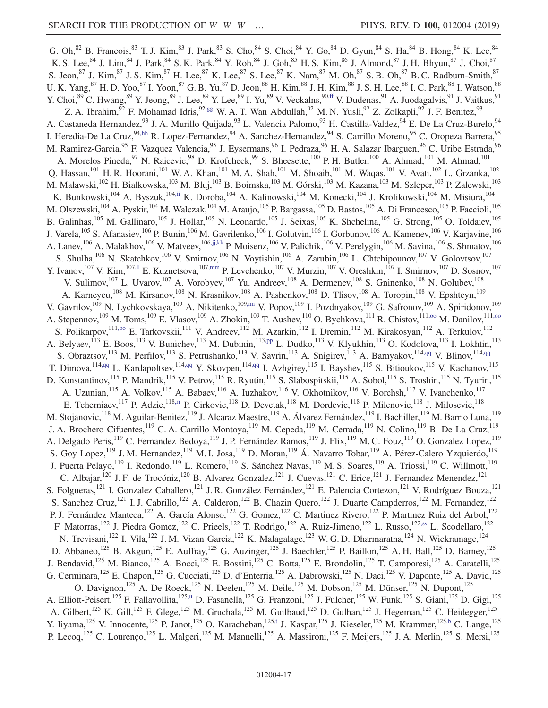<span id="page-16-12"></span><span id="page-16-11"></span><span id="page-16-10"></span><span id="page-16-9"></span><span id="page-16-8"></span><span id="page-16-7"></span><span id="page-16-6"></span><span id="page-16-5"></span><span id="page-16-4"></span><span id="page-16-3"></span><span id="page-16-2"></span><span id="page-16-1"></span><span id="page-16-0"></span>G. Oh,  $82$  B. Francois,  $83$  T. J. Kim,  $83$  J. Park,  $83$  S. Cho,  $84$  S. Choi,  $84$  Y. Go,  $84$  D. Gyun,  $84$  S. Ha,  $84$  B. Hong,  $84$  K. Lee,  $84$ K. S. Lee,  $84$  J. Lim,  $84$  J. Park,  $84$  S. K. Park,  $84$  Y. Roh,  $84$  J. Goh,  $85$  H. S. Kim,  $86$  J. Almond,  $87$  J. H. Bhyun,  $87$  J. Choi,  $87$ S. Jeon,  $87$  J. Kim,  $87$  J. S. Kim,  $87$  H. Lee,  $87$  K. Lee,  $87$  S. Lee,  $87$  K. Nam,  $87$  M. Oh,  $87$  S. B. Oh,  $87$  B. C. Radburn-Smith,  $87$ U. K. Yang,  $87$  H. D. Yoo,  $87$  I. Yoon,  $87$  G. B. Yu,  $87$  D. Jeon,  $88$  H. Kim,  $88$  J. H. Kim,  $88$  J. S. H. Lee,  $88$  I. C. Park,  $88$  I. Watson,  $88$ Y. Choi, <sup>89</sup> C. Hwang, <sup>89</sup> Y. Jeong, <sup>89</sup> J. Lee, <sup>89</sup> Y. Lee, <sup>89</sup> I. Yu, <sup>89</sup> V. Veckalns, <sup>90[,ff](#page-23-29)</sup> V. Dudenas, <sup>91</sup> A. Juodagalvis, <sup>91</sup> J. Vaitkus, <sup>91</sup> Z. A. Ibrahim,  $92$  F. Mohamad Idris,  $92,gg$  $92,gg$  W. A. T. Wan Abdullah,  $92$  M. N. Yusli,  $92$  Z. Zolkapli,  $92$  J. F. Benitez,  $93$ A. Castaneda Hernandez, <sup>93</sup> J. A. Murillo Quijada, <sup>93</sup> L. Valencia Palomo, <sup>93</sup> H. Castilla-Valdez, <sup>94</sup> E. De La Cruz-Burelo, <sup>94</sup> I. Heredia-De La Cruz, <sup>94[,hh](#page-23-31)</sup> R. Lopez-Fernandez, <sup>94</sup> A. Sanchez-Hernandez, <sup>94</sup> S. Carrillo Moreno, <sup>95</sup> C. Oropeza Barrera, <sup>95</sup> M. Ramirez-Garcia,<sup>95</sup> F. Vazquez Valencia,<sup>95</sup> J. Eysermans,<sup>96</sup> I. Pedraza,<sup>96</sup> H. A. Salazar Ibarguen,<sup>96</sup> C. Uribe Estrada,<sup>96</sup> A. Morelos Pineda,<sup>97</sup> N. Raicevic,<sup>98</sup> D. Krofcheck,<sup>99</sup> S. Bheesette,<sup>100</sup> P. H. Butler,<sup>100</sup> A. Ahmad,<sup>101</sup> M. Ahmad,<sup>101</sup> Q. Hassan,<sup>101</sup> H. R. Hoorani,<sup>101</sup> W. A. Khan,<sup>101</sup> M. A. Shah,<sup>101</sup> M. Shoaib,<sup>101</sup> M. Waqas,<sup>101</sup> V. Avati,<sup>102</sup> L. Grzanka,<sup>102</sup> M. Malawski,<sup>102</sup> H. Bialkowska,<sup>103</sup> M. Bluj,<sup>103</sup> B. Boimska,<sup>103</sup> M. Górski,<sup>103</sup> M. Kazana,<sup>103</sup> M. Szleper,<sup>103</sup> P. Zalewski,<sup>103</sup> K. Bunkowski,<sup>104</sup> A. Byszuk,<sup>104[,ii](#page-23-32)</sup> K. Doroba,<sup>104</sup> A. Kalinowski,<sup>104</sup> M. Konecki,<sup>104</sup> J. Krolikowski,<sup>104</sup> M. Misiura,<sup>104</sup> M. Olszewski, <sup>104</sup> A. Pyskir, <sup>104</sup> M. Walczak, <sup>104</sup> M. Araujo, <sup>105</sup> P. Bargassa, <sup>105</sup> D. Bastos, <sup>105</sup> A. Di Francesco, <sup>105</sup> P. Faccioli, <sup>105</sup> B. Galinhas,<sup>105</sup> M. Gallinaro,<sup>105</sup> J. Hollar,<sup>105</sup> N. Leonardo,<sup>105</sup> J. Seixas,<sup>105</sup> K. Shchelina,<sup>105</sup> G. Strong,<sup>105</sup> O. Toldaiev,<sup>105</sup> J. Varela, <sup>105</sup> S. Afanasiev, <sup>106</sup> P. Bunin, <sup>106</sup> M. Gavrilenko, <sup>106</sup> I. Golutvin, <sup>106</sup> I. Gorbunov, <sup>106</sup> A. Kamenev, <sup>106</sup> V. Karjavine, <sup>106</sup> A. Lanev, <sup>106</sup> A. Malakhov, <sup>106</sup> V. Matveev, <sup>10[6,jj,kk](#page-23-33)</sup> P. Moisenz, <sup>106</sup> V. Palichik, <sup>106</sup> V. Perelygin, <sup>106</sup> M. Savina, <sup>106</sup> S. Shmatov, <sup>106</sup> S. Shulha,<sup>106</sup> N. Skatchkov,<sup>106</sup> V. Smirnov,<sup>106</sup> N. Voytishin,<sup>106</sup> A. Zarubin,<sup>106</sup> L. Chtchipounov,<sup>107</sup> V. Golovtsov,<sup>107</sup> Y. Ivanov,  $^{107}$  V. Kim,  $^{107,II}$  E. Kuznetsova,  $^{107,mm}$  $^{107,mm}$  $^{107,mm}$  P. Levchenko,  $^{107}$  V. Murzin,  $^{107}$  V. Oreshkin,  $^{107}$  I. Smirnov,  $^{107}$  D. Sosnov,  $^{107}$ V. Sulimov,<sup>107</sup> L. Uvarov,<sup>107</sup> A. Vorobyev,<sup>107</sup> Yu. Andreev,<sup>108</sup> A. Dermenev,<sup>108</sup> S. Gninenko,<sup>108</sup> N. Golubev,<sup>108</sup> A. Karneyeu,<sup>108</sup> M. Kirsanov,<sup>108</sup> N. Krasnikov,<sup>108</sup> A. Pashenkov,<sup>108</sup> D. Tlisov,<sup>108</sup> A. Toropin,<sup>108</sup> V. Epshteyn,<sup>109</sup> V. Gavrilov,<sup>109</sup> N. Lychkovskaya,<sup>109</sup> A. Nikitenko,<sup>109[,nn](#page-23-36)</sup> V. Popov,<sup>109</sup> I. Pozdnyakov,<sup>109</sup> G. Safronov,<sup>109</sup> A. Spiridonov,<sup>109</sup> A. Stepennov,<sup>109</sup> M. Toms,<sup>109</sup> E. Vlasov,<sup>109</sup> A. Zhokin,<sup>109</sup> T. Aushev,<sup>110</sup> O. Bychkova,<sup>111</sup> R. Chistov,<sup>111,00</sup> M. Danilov,<sup>111,00</sup> S. Polikarpov,<sup>111,00</sup> E. Tarkovskii,<sup>111</sup> V. Andreev,<sup>112</sup> M. Azarkin,<sup>112</sup> I. Dremin,<sup>112</sup> M. Kirakosyan,<sup>112</sup> A. Terkulov,<sup>112</sup> A. Belyaev, <sup>113</sup> E. Boos, <sup>113</sup> V. Bunichev, <sup>113</sup> M. Dubinin, <sup>11[3,pp](#page-24-1)</sup> L. Dudko, <sup>113</sup> V. Klyukhin, <sup>113</sup> O. Kodolova, <sup>113</sup> I. Lokhtin, <sup>113</sup> S. Obraztsov,<sup>113</sup> M. Perfilov,<sup>113</sup> S. Petrushanko,<sup>113</sup> V. Savrin,<sup>113</sup> A. Snigirev,<sup>113</sup> A. Barnyakov,<sup>11[4,qq](#page-24-2)</sup> V. Blinov,<sup>114,qq</sup> T. Dimova, <sup>11[4,qq](#page-24-2)</sup> L. Kardapoltsev, <sup>114,qq</sup> Y. Skovpen, <sup>114,qq</sup> I. Azhgirey, <sup>115</sup> I. Bayshev, <sup>115</sup> S. Bitioukov, <sup>115</sup> V. Kachanov, <sup>115</sup> D. Konstantinov,<sup>115</sup> P. Mandrik,<sup>115</sup> V. Petrov,<sup>115</sup> R. Ryutin,<sup>115</sup> S. Slabospitskii,<sup>115</sup> A. Sobol,<sup>115</sup> S. Troshin,<sup>115</sup> N. Tyurin,<sup>115</sup> A. Uzunian, <sup>115</sup> A. Volkov, <sup>115</sup> A. Babaev, <sup>116</sup> A. Iuzhakov, <sup>116</sup> V. Okhotnikov, <sup>116</sup> V. Borchsh, <sup>117</sup> V. Ivanchenko, <sup>117</sup> E. Tcherniaev, <sup>117</sup> P. Adzic, <sup>11[8,rr](#page-24-3)</sup> P. Cirkovic, <sup>118</sup> D. Devetak, <sup>118</sup> M. Dordevic, <sup>118</sup> P. Milenovic, <sup>118</sup> J. Milosevic, <sup>118</sup> M. Stojanovic,<sup>118</sup> M. Aguilar-Benitez,<sup>119</sup> J. Alcaraz Maestre,<sup>119</sup> A. Álvarez Fernández,<sup>119</sup> I. Bachiller,<sup>119</sup> M. Barrio Luna,<sup>119</sup> J. A. Brochero Cifuentes,<sup>119</sup> C. A. Carrillo Montoya,<sup>119</sup> M. Cepeda,<sup>119</sup> M. Cerrada,<sup>119</sup> N. Colino,<sup>119</sup> B. De La Cruz,<sup>119</sup> A. Delgado Peris,<sup>119</sup> C. Fernandez Bedoya,<sup>119</sup> J. P. Fernández Ramos,<sup>119</sup> J. Flix,<sup>119</sup> M. C. Fouz,<sup>119</sup> O. Gonzalez Lopez,<sup>119</sup> S. Goy Lopez,<sup>119</sup> J. M. Hernandez,<sup>119</sup> M. I. Josa,<sup>119</sup> D. Moran,<sup>119</sup> Á. Navarro Tobar,<sup>119</sup> A. Pérez-Calero Yzquierdo,<sup>119</sup> J. Puerta Pelayo,<sup>119</sup> I. Redondo,<sup>119</sup> L. Romero,<sup>119</sup> S. Sánchez Navas,<sup>119</sup> M. S. Soares,<sup>119</sup> A. Triossi,<sup>119</sup> C. Willmott,<sup>119</sup> C. Albajar,<sup>120</sup> J. F. de Trocóniz,<sup>120</sup> B. Alvarez Gonzalez,<sup>121</sup> J. Cuevas,<sup>121</sup> C. Erice,<sup>121</sup> J. Fernandez Menendez,<sup>121</sup> S. Folgueras,<sup>121</sup> I. Gonzalez Caballero,<sup>121</sup> J. R. González Fernández,<sup>121</sup> E. Palencia Cortezon,<sup>121</sup> V. Rodríguez Bouza,<sup>121</sup> S. Sanchez Cruz,<sup>121</sup> I. J. Cabrillo,<sup>122</sup> A. Calderon,<sup>122</sup> B. Chazin Quero,<sup>122</sup> J. Duarte Campderros,<sup>122</sup> M. Fernandez,<sup>122</sup> P. J. Fernández Manteca,<sup>122</sup> A. García Alonso,<sup>122</sup> G. Gomez,<sup>122</sup> C. Martinez Rivero,<sup>122</sup> P. Martinez Ruiz del Arbol,<sup>122</sup> F. Matorras,<sup>122</sup> J. Piedra Gomez,<sup>122</sup> C. Prieels,<sup>122</sup> T. Rodrigo,<sup>122</sup> A. Ruiz-Jimeno,<sup>122</sup> L. Russo,<sup>12[2,ss](#page-24-4)</sup> L. Scodellaro,<sup>122</sup> N. Trevisani,<sup>122</sup> I. Vila,<sup>122</sup> J. M. Vizan Garcia,<sup>122</sup> K. Malagalage,<sup>123</sup> W. G. D. Dharmaratna,<sup>124</sup> N. Wickramage,<sup>124</sup> D. Abbaneo,<sup>125</sup> B. Akgun,<sup>125</sup> E. Auffray,<sup>125</sup> G. Auzinger,<sup>125</sup> J. Baechler,<sup>125</sup> P. Baillon,<sup>125</sup> A. H. Ball,<sup>125</sup> D. Barney,<sup>125</sup> J. Bendavid,<sup>125</sup> M. Bianco,<sup>125</sup> A. Bocci,<sup>125</sup> E. Bossini,<sup>125</sup> C. Botta,<sup>125</sup> E. Brondolin,<sup>125</sup> T. Camporesi,<sup>125</sup> A. Caratelli,<sup>125</sup> G. Cerminara,<sup>125</sup> E. Chapon,<sup>125</sup> G. Cucciati,<sup>125</sup> D. d'Enterria,<sup>125</sup> A. Dabrowski,<sup>125</sup> N. Daci,<sup>125</sup> V. Daponte,<sup>125</sup> A. David,<sup>125</sup> O. Davignon,<sup>125</sup> A. De Roeck,<sup>125</sup> N. Deelen,<sup>125</sup> M. Deile,<sup>125</sup> M. Dobson,<sup>125</sup> M. Dünser,<sup>125</sup> N. Dupont,<sup>125</sup> A. Elliott-Peisert,<sup>125</sup> F. Fallavollita,<sup>125[,tt](#page-24-5)</sup> D. Fasanella,<sup>125</sup> G. Franzoni,<sup>125</sup> J. Fulcher,<sup>125</sup> W. Funk,<sup>125</sup> S. Giani,<sup>125</sup> D. Gigi,<sup>125</sup> A. Gilbert,<sup>125</sup> K. Gill,<sup>125</sup> F. Glege,<sup>125</sup> M. Gruchala,<sup>125</sup> M. Guilbaud,<sup>125</sup> D. Gulhan,<sup>125</sup> J. Hegeman,<sup>125</sup> C. Heidegger,<sup>125</sup> Y. Iiyama,<sup>125</sup> V. Innocente,<sup>125</sup> P. Janot,<sup>125</sup> O. Karacheban,<sup>12[5,t](#page-23-18)</sup> J. Kaspar,<sup>125</sup> J. Kieseler,<sup>125</sup> M. Krammer,<sup>125[,b](#page-23-1)</sup> C. Lange,<sup>125</sup> P. Lecoq,<sup>125</sup> C. Lourenco,<sup>125</sup> L. Malgeri,<sup>125</sup> M. Mannelli,<sup>125</sup> A. Massironi,<sup>125</sup> F. Meijers,<sup>125</sup> J. A. Merlin,<sup>125</sup> S. Mersi,<sup>125</sup>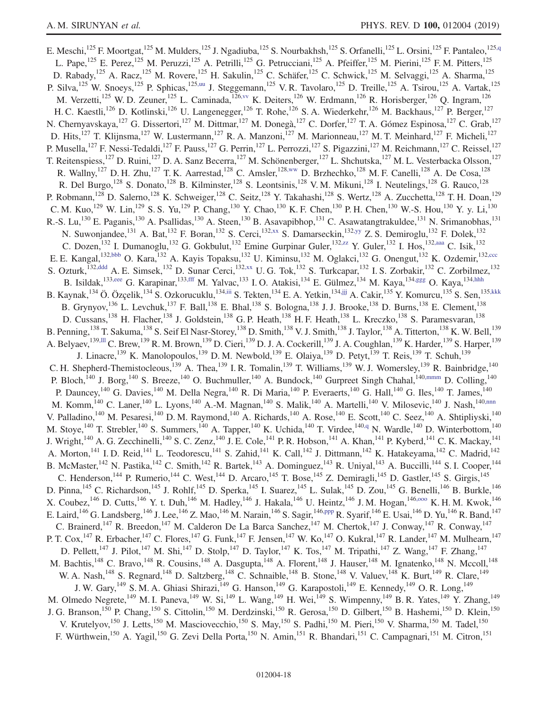<span id="page-17-13"></span><span id="page-17-12"></span><span id="page-17-11"></span><span id="page-17-10"></span><span id="page-17-9"></span><span id="page-17-8"></span><span id="page-17-7"></span><span id="page-17-6"></span><span id="page-17-5"></span><span id="page-17-4"></span><span id="page-17-3"></span><span id="page-17-2"></span><span id="page-17-1"></span><span id="page-17-0"></span>E. Meschi,<sup>125</sup> F. Moortgat,<sup>125</sup> M. Mulders,<sup>125</sup> J. Ngadiuba,<sup>125</sup> S. Nourbakhsh,<sup>125</sup> S. Orfanelli,<sup>125</sup> L. Orsini,<sup>125</sup> F. Pantaleo,<sup>125[,q](#page-23-15)</sup> L. Pape,<sup>125</sup> E. Perez,<sup>125</sup> M. Peruzzi,<sup>125</sup> A. Petrilli,<sup>125</sup> G. Petrucciani,<sup>125</sup> A. Pfeiffer,<sup>125</sup> M. Pierini,<sup>125</sup> F.M. Pitters,<sup>125</sup> D. Rabady,<sup>125</sup> A. Racz,<sup>125</sup> M. Rovere,<sup>125</sup> H. Sakulin,<sup>125</sup> C. Schäfer,<sup>125</sup> C. Schwick,<sup>125</sup> M. Selvaggi,<sup>125</sup> A. Sharma,<sup>125</sup> P. Silva,<sup>125</sup> W. Snoeys,<sup>125</sup> P. Sphicas,<sup>125[,uu](#page-24-6)</sup> J. Steggemann,<sup>125</sup> V. R. Tavolaro,<sup>125</sup> D. Treille,<sup>125</sup> A. Tsirou,<sup>125</sup> A. Vartak,<sup>125</sup> M. Verzetti,<sup>125</sup> W. D. Zeuner,<sup>125</sup> L. Caminada,<sup>126, vv</sup> K. Deiters,<sup>126</sup> W. Erdmann,<sup>126</sup> R. Horisberger,<sup>126</sup> Q. Ingram,<sup>126</sup> H. C. Kaestli,<sup>126</sup> D. Kotlinski,<sup>126</sup> U. Langenegger,<sup>126</sup> T. Rohe,<sup>126</sup> S. A. Wiederkehr,<sup>126</sup> M. Backhaus,<sup>127</sup> P. Berger,<sup>127</sup> N. Chernyavskaya, <sup>127</sup> G. Dissertori, <sup>127</sup> M. Dittmar, <sup>127</sup> M. Donegà, <sup>127</sup> C. Dorfer, <sup>127</sup> T. A. Gómez Espinosa, <sup>127</sup> C. Grab, <sup>127</sup> D. Hits,<sup>127</sup> T. Klijnsma,<sup>127</sup> W. Lustermann,<sup>127</sup> R. A. Manzoni,<sup>127</sup> M. Marionneau,<sup>127</sup> M. T. Meinhard,<sup>127</sup> F. Micheli,<sup>127</sup> P. Musella,<sup>127</sup> F. Nessi-Tedaldi,<sup>127</sup> F. Pauss,<sup>127</sup> G. Perrin,<sup>127</sup> L. Perrozzi,<sup>127</sup> S. Pigazzini,<sup>127</sup> M. Reichmann,<sup>127</sup> C. Reissel,<sup>127</sup> T. Reitenspiess,<sup>127</sup> D. Ruini,<sup>127</sup> D. A. Sanz Becerra,<sup>127</sup> M. Schönenberger,<sup>127</sup> L. Shchutska,<sup>127</sup> M. L. Vesterbacka Olsson,<sup>127</sup> R. Wallny,<sup>127</sup> D. H. Zhu,<sup>127</sup> T. K. Aarrestad,<sup>128</sup> C. Amsler,<sup>128[,ww](#page-24-8)</sup> D. Brzhechko,<sup>128</sup> M. F. Canelli,<sup>128</sup> A. De Cosa,<sup>128</sup> R. Del Burgo,<sup>128</sup> S. Donato,<sup>128</sup> B. Kilminster,<sup>128</sup> S. Leontsinis,<sup>128</sup> V. M. Mikuni,<sup>128</sup> I. Neutelings,<sup>128</sup> G. Rauco,<sup>128</sup> P. Robmann,<sup>128</sup> D. Salerno,<sup>128</sup> K. Schweiger,<sup>128</sup> C. Seitz,<sup>128</sup> Y. Takahashi,<sup>128</sup> S. Wertz,<sup>128</sup> A. Zucchetta,<sup>128</sup> T. H. Doan,<sup>129</sup> C. M. Kuo,<sup>129</sup> W. Lin,<sup>129</sup> S. S. Yu,<sup>129</sup> P. Chang,<sup>130</sup> Y. Chao,<sup>130</sup> K. F. Chen,<sup>130</sup> P. H. Chen,<sup>130</sup> W.-S. Hou,<sup>130</sup> Y. y. Li,<sup>130</sup> R.-S. Lu,<sup>130</sup> E. Paganis,<sup>130</sup> A. Psallidas,<sup>130</sup> A. Steen,<sup>130</sup> B. Asavapibhop,<sup>131</sup> C. Asawatangtrakuldee,<sup>131</sup> N. Srimanobhas,<sup>131</sup> N. Suwonjandee,<sup>131</sup> A. Bat,<sup>132</sup> F. Boran,<sup>132</sup> S. Cerci,<sup>132[,xx](#page-24-9)</sup> S. Damarseckin,<sup>13[2,yy](#page-24-10)</sup> Z. S. Demiroglu,<sup>132</sup> F. Dolek,<sup>132</sup> C. Dozen,<sup>132</sup> I. Dumanoglu,<sup>132</sup> G. Gokbulut,<sup>132</sup> Emine Gurpinar Guler,<sup>13[2,zz](#page-24-11)</sup> Y. Guler,<sup>132</sup> I. Hos,<sup>132[,aaa](#page-24-12)</sup> C. Isik,<sup>132</sup> E. E. Kangal,<sup>132[,bbb](#page-24-13)</sup> O. Kara,<sup>132</sup> A. Kayis Topaksu,<sup>132</sup> U. Kiminsu,<sup>132</sup> M. Oglakci,<sup>132</sup> G. Onengut,<sup>132</sup> K. Ozdemir,<sup>13[2,ccc](#page-24-14)</sup> S. Ozturk,<sup>132[,ddd](#page-24-15)</sup> A. E. Simsek,<sup>132</sup> D. Sunar Cerci,<sup>13[2,xx](#page-24-9)</sup> U. G. Tok,<sup>132</sup> S. Turkcapar,<sup>132</sup> I. S. Zorbakir,<sup>132</sup> C. Zorbilmez,<sup>132</sup> B. Isildak,<sup>133[,eee](#page-24-16)</sup> G. Karapinar,<sup>133[,fff](#page-24-17)</sup> M. Yalvac,<sup>133</sup> I. O. Atakisi,<sup>134</sup> E. Gülmez,<sup>134</sup> M. Kaya,<sup>13[4,ggg](#page-24-18)</sup> O. Kaya,<sup>13[4,hhh](#page-24-19)</sup> B. Kaynak,<sup>134</sup> Ö. Özçelik,<sup>134</sup> S. Ozkorucuklu,<sup>13[4,iii](#page-24-20)</sup> S. Tekten,<sup>134</sup> E. A. Yetkin,<sup>134</sup>,ijj A. Cakir,<sup>135</sup> Y. Komurcu,<sup>135</sup> S. Sen,<sup>135[,kkk](#page-24-22)</sup> B. Grynyov,<sup>136</sup> L. Levchuk,<sup>137</sup> F. Ball,<sup>138</sup> E. Bhal,<sup>138</sup> S. Bologna,<sup>138</sup> J. J. Brooke,<sup>138</sup> D. Burns,<sup>138</sup> E. Clement,<sup>138</sup> D. Cussans,<sup>138</sup> H. Flacher,<sup>138</sup> J. Goldstein,<sup>138</sup> G. P. Heath,<sup>138</sup> H. F. Heath,<sup>138</sup> L. Kreczko,<sup>138</sup> S. Paramesvaran,<sup>138</sup> B. Penning,  $^{138}$  T. Sakuma,  $^{138}$  S. Seif El Nasr-Storey,  $^{138}$  D. Smith,  $^{138}$  V. J. Smith,  $^{138}$  J. Taylor,  $^{138}$  A. Titterton,  $^{138}$  K. W. Bell,  $^{139}$ A. Belyaev,<sup>139[,lll](#page-24-23)</sup> C. Brew,<sup>139</sup> R. M. Brown,<sup>139</sup> D. Cieri,<sup>139</sup> D. J. A. Cockerill,<sup>139</sup> J. A. Coughlan,<sup>139</sup> K. Harder,<sup>139</sup> S. Harper,<sup>139</sup> J. Linacre,<sup>139</sup> K. Manolopoulos,<sup>139</sup> D. M. Newbold,<sup>139</sup> E. Olaiya,<sup>139</sup> D. Petyt,<sup>139</sup> T. Reis,<sup>139</sup> T. Schuh,<sup>139</sup> C. H. Shepherd-Themistocleous,<sup>139</sup> A. Thea,<sup>139</sup> I. R. Tomalin,<sup>139</sup> T. Williams,<sup>139</sup> W. J. Womersley,<sup>139</sup> R. Bainbridge,<sup>140</sup> P. Bloch,<sup>140</sup> J. Borg,<sup>140</sup> S. Breeze,<sup>140</sup> O. Buchmuller,<sup>140</sup> A. Bundock,<sup>140</sup> Gurpreet Singh Chahal,<sup>140[,mmm](#page-24-24)</sup> D. Colling,<sup>140</sup> P. Dauncey,<sup>140</sup> G. Davies,<sup>140</sup> M. Della Negra,<sup>140</sup> R. Di Maria,<sup>140</sup> P. Everaerts,<sup>140</sup> G. Hall,<sup>140</sup> G. Iles,<sup>140</sup> T. James,<sup>140</sup> M. Komm,<sup>140</sup> C. Laner,<sup>140</sup> L. Lyons,<sup>140</sup> A.-M. Magnan,<sup>140</sup> S. Malik,<sup>140</sup> A. Martelli,<sup>140</sup> V. Milosevic,<sup>140</sup> J. Nash,<sup>140[,nnn](#page-24-25)</sup> V. Palladino,<sup>140</sup> M. Pesaresi,<sup>140</sup> D. M. Raymond,<sup>140</sup> A. Richards,<sup>140</sup> A. Rose,<sup>140</sup> E. Scott,<sup>140</sup> C. Seez,<sup>140</sup> A. Shtipliyski,<sup>140</sup> M. Stoye,<sup>140</sup> T. Strebler,<sup>140</sup> S. Summers,<sup>140</sup> A. Tapper,<sup>140</sup> K. Uchida,<sup>140</sup> T. Virdee,<sup>140[,q](#page-23-15)</sup> N. Wardle,<sup>140</sup> D. Winterbottom,<sup>140</sup> J. Wright,<sup>140</sup> A. G. Zecchinelli,<sup>140</sup> S. C. Zenz,<sup>140</sup> J. E. Cole,<sup>141</sup> P. R. Hobson,<sup>141</sup> A. Khan,<sup>141</sup> P. Kyberd,<sup>141</sup> C. K. Mackay,<sup>141</sup> A. Morton,<sup>141</sup> I. D. Reid,<sup>141</sup> L. Teodorescu,<sup>141</sup> S. Zahid,<sup>141</sup> K. Call,<sup>142</sup> J. Dittmann,<sup>142</sup> K. Hatakeyama,<sup>142</sup> C. Madrid,<sup>142</sup> B. McMaster,<sup>142</sup> N. Pastika,<sup>142</sup> C. Smith,<sup>142</sup> R. Bartek,<sup>143</sup> A. Dominguez,<sup>143</sup> R. Uniyal,<sup>143</sup> A. Buccilli,<sup>144</sup> S. I. Cooper,<sup>144</sup> C. Henderson,<sup>144</sup> P. Rumerio,<sup>144</sup> C. West,<sup>144</sup> D. Arcaro,<sup>145</sup> T. Bose,<sup>145</sup> Z. Demiragli,<sup>145</sup> D. Gastler,<sup>145</sup> S. Girgis,<sup>145</sup> D. Pinna, <sup>145</sup> C. Richardson, <sup>145</sup> J. Rohlf, <sup>145</sup> D. Sperka, <sup>145</sup> I. Suarez, <sup>145</sup> L. Sulak, <sup>145</sup> D. Zou, <sup>145</sup> G. Benelli, <sup>146</sup> B. Burkle, <sup>146</sup> X. Coubez,  $^{146}$  D. Cutts,  $^{146}$  Y. t. Duh,  $^{146}$  M. Hadley,  $^{146}$  J. Hakala,  $^{146}$  U. Heintz,  $^{146}$  J. M. Hogan,  $^{146,000}$  K. H. M. Kwok,  $^{146}$ E. Laird,  $^{146}$  G. Landsberg,  $^{146}$  J. Lee,  $^{146}$  Z. Mao,  $^{146}$  M. Narain,  $^{146}$  S. Sagir,  $^{146,ppp}$  $^{146,ppp}$  $^{146,ppp}$  R. Syarif,  $^{146}$  E. Usai,  $^{146}$  D. Yu,  $^{146}$  R. Band,  $^{147}$ C. Brainerd,<sup>147</sup> R. Breedon,<sup>147</sup> M. Calderon De La Barca Sanchez,<sup>147</sup> M. Chertok,<sup>147</sup> J. Conway,<sup>147</sup> R. Conway,<sup>147</sup> P. T. Cox, <sup>147</sup> R. Erbacher, <sup>147</sup> C. Flores, <sup>147</sup> G. Funk, <sup>147</sup> F. Jensen, <sup>147</sup> W. Ko, <sup>147</sup> O. Kukral, <sup>147</sup> R. Lander, <sup>147</sup> M. Mulhearn, <sup>147</sup> D. Pellett,<sup>147</sup> J. Pilot,<sup>147</sup> M. Shi,<sup>147</sup> D. Stolp,<sup>147</sup> D. Taylor,<sup>147</sup> K. Tos,<sup>147</sup> M. Tripathi,<sup>147</sup> Z. Wang,<sup>147</sup> F. Zhang,<sup>147</sup> M. Bachtis,<sup>148</sup> C. Bravo,<sup>148</sup> R. Cousins,<sup>148</sup> A. Dasgupta,<sup>148</sup> A. Florent,<sup>148</sup> J. Hauser,<sup>148</sup> M. Ignatenko,<sup>148</sup> N. Mccoll,<sup>148</sup> W. A. Nash,<sup>148</sup> S. Regnard,<sup>148</sup> D. Saltzberg,<sup>148</sup> C. Schnaible,<sup>148</sup> B. Stone,<sup>148</sup> V. Valuev,<sup>148</sup> K. Burt,<sup>149</sup> R. Clare,<sup>149</sup> J. W. Gary, <sup>149</sup> S. M. A. Ghiasi Shirazi, <sup>149</sup> G. Hanson, <sup>149</sup> G. Karapostoli, <sup>149</sup> E. Kennedy, <sup>149</sup> O. R. Long, <sup>149</sup> M. Olmedo Negrete,<sup>149</sup> M. I. Paneva,<sup>149</sup> W. Si,<sup>149</sup> L. Wang,<sup>149</sup> H. Wei,<sup>149</sup> S. Wimpenny,<sup>149</sup> B. R. Yates,<sup>149</sup> Y. Zhang,<sup>149</sup> J. G. Branson,<sup>150</sup> P. Chang,<sup>150</sup> S. Cittolin,<sup>150</sup> M. Derdzinski,<sup>150</sup> R. Gerosa,<sup>150</sup> D. Gilbert,<sup>150</sup> B. Hashemi,<sup>150</sup> D. Klein,<sup>150</sup> V. Krutelyov,<sup>150</sup> J. Letts,<sup>150</sup> M. Masciovecchio,<sup>150</sup> S. May,<sup>150</sup> S. Padhi,<sup>150</sup> M. Pieri,<sup>150</sup> V. Sharma,<sup>150</sup> M. Tadel,<sup>150</sup> F. Würthwein,<sup>150</sup> A. Yagil,<sup>150</sup> G. Zevi Della Porta,<sup>150</sup> N. Amin,<sup>151</sup> R. Bhandari,<sup>151</sup> C. Campagnari,<sup>151</sup> M. Citron,<sup>151</sup>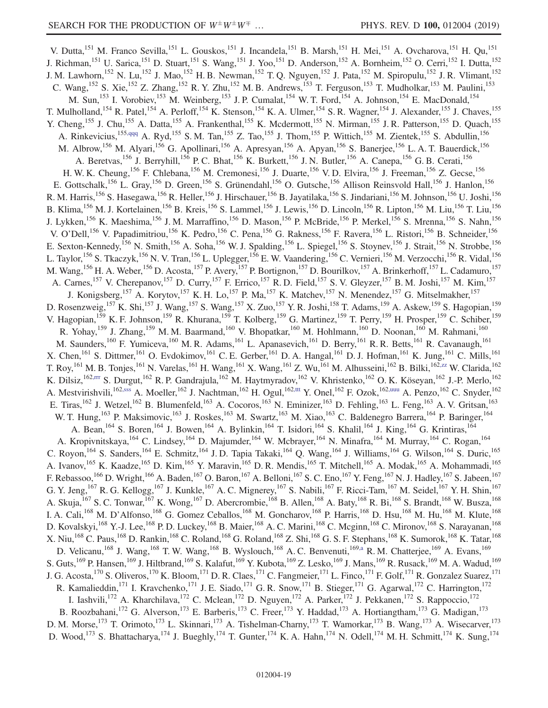<span id="page-18-2"></span><span id="page-18-1"></span><span id="page-18-0"></span>V. Dutta,<sup>151</sup> M. Franco Sevilla,<sup>151</sup> L. Gouskos,<sup>151</sup> J. Incandela,<sup>151</sup> B. Marsh,<sup>151</sup> H. Mei,<sup>151</sup> A. Ovcharova,<sup>151</sup> H. Qu,<sup>151</sup> J. Richman,<sup>151</sup> U. Sarica,<sup>151</sup> D. Stuart,<sup>151</sup> S. Wang,<sup>151</sup> J. Yoo,<sup>151</sup> D. Anderson,<sup>152</sup> A. Bornheim,<sup>152</sup> O. Cerri,<sup>152</sup> I. Dutta,<sup>152</sup> J. M. Lawhorn,<sup>152</sup> N. Lu,<sup>152</sup> J. Mao,<sup>152</sup> H. B. Newman,<sup>152</sup> T. Q. Nguyen,<sup>152</sup> J. Pata,<sup>152</sup> M. Spiropulu,<sup>152</sup> J. R. Vlimant,<sup>152</sup> C. Wang, <sup>152</sup> S. Xie, <sup>152</sup> Z. Zhang, <sup>152</sup> R. Y. Zhu, <sup>152</sup> M. B. Andrews, <sup>153</sup> T. Ferguson, <sup>153</sup> T. Mudholkar, <sup>153</sup> M. Paulini, <sup>153</sup> M. Sun,<sup>153</sup> I. Vorobiev,<sup>153</sup> M. Weinberg,<sup>153</sup> J. P. Cumalat,<sup>154</sup> W. T. Ford,<sup>154</sup> A. Johnson,<sup>154</sup> E. MacDonald,<sup>154</sup> T. Mulholland, <sup>154</sup> R. Patel, <sup>154</sup> A. Perloff, <sup>154</sup> K. Stenson, <sup>154</sup> K. A. Ulmer, <sup>154</sup> S. R. Wagner, <sup>154</sup> J. Alexander, <sup>155</sup> J. Chaves, <sup>155</sup> Y. Cheng,<sup>155</sup> J. Chu,<sup>155</sup> A. Datta,<sup>155</sup> A. Frankenthal,<sup>155</sup> K. Mcdermott,<sup>155</sup> N. Mirman,<sup>155</sup> J. R. Patterson,<sup>155</sup> D. Quach,<sup>155</sup> A. Rinkevicius,<sup>155[,qqq](#page-24-28)</sup> A. Ryd,<sup>155</sup> S.M. Tan,<sup>155</sup> Z. Tao,<sup>155</sup> J. Thom,<sup>155</sup> P. Wittich,<sup>155</sup> M. Zientek,<sup>155</sup> S. Abdullin,<sup>156</sup> M. Albrow,<sup>156</sup> M. Alyari,<sup>156</sup> G. Apollinari,<sup>156</sup> A. Apresyan,<sup>156</sup> A. Apyan,<sup>156</sup> S. Banerjee,<sup>156</sup> L. A. T. Bauerdick,<sup>156</sup> A. Beretvas,<sup>156</sup> J. Berryhill,<sup>156</sup> P. C. Bhat,<sup>156</sup> K. Burkett,<sup>156</sup> J. N. Butler,<sup>156</sup> A. Canepa,<sup>156</sup> G. B. Cerati,<sup>156</sup> H. W. K. Cheung,<sup>156</sup> F. Chlebana,<sup>156</sup> M. Cremonesi,<sup>156</sup> J. Duarte,<sup>156</sup> V. D. Elvira,<sup>156</sup> J. Freeman,<sup>156</sup> Z. Gecse,<sup>156</sup> E. Gottschalk,<sup>156</sup> L. Gray,<sup>156</sup> D. Green,<sup>156</sup> S. Grünendahl,<sup>156</sup> O. Gutsche,<sup>156</sup> Allison Reinsvold Hall,<sup>156</sup> J. Hanlon,<sup>156</sup> R. M. Harris,<sup>156</sup> S. Hasegawa,<sup>156</sup> R. Heller,<sup>156</sup> J. Hirschauer,<sup>156</sup> B. Jayatilaka,<sup>156</sup> S. Jindariani,<sup>156</sup> M. Johnson,<sup>156</sup> U. Joshi,<sup>156</sup> B. Klima, <sup>156</sup> M. J. Kortelainen, <sup>156</sup> B. Kreis, <sup>156</sup> S. Lammel, <sup>156</sup> J. Lewis, <sup>156</sup> D. Lincoln, <sup>156</sup> R. Lipton, <sup>156</sup> M. Liu, <sup>156</sup> T. Liu, <sup>156</sup> J. Lykken,<sup>156</sup> K. Maeshima,<sup>156</sup> J. M. Marraffino,<sup>156</sup> D. Mason,<sup>156</sup> P. McBride,<sup>156</sup> P. Merkel,<sup>156</sup> S. Mrenna,<sup>156</sup> S. Nahn,<sup>156</sup> V. O'Dell,<sup>156</sup> V. Papadimitriou,<sup>156</sup> K. Pedro,<sup>156</sup> C. Pena,<sup>156</sup> G. Rakness,<sup>156</sup> F. Ravera,<sup>156</sup> L. Ristori,<sup>156</sup> B. Schneider,<sup>156</sup> E. Sexton-Kennedy,<sup>156</sup> N. Smith,<sup>156</sup> A. Soha,<sup>156</sup> W. J. Spalding,<sup>156</sup> L. Spiegel,<sup>156</sup> S. Stoynev,<sup>156</sup> J. Strait,<sup>156</sup> N. Strobbe,<sup>156</sup> L. Taylor,<sup>156</sup> S. Tkaczyk,<sup>156</sup> N. V. Tran,<sup>156</sup> L. Uplegger,<sup>156</sup> E. W. Vaandering,<sup>156</sup> C. Vernieri,<sup>156</sup> M. Verzocchi,<sup>156</sup> R. Vidal,<sup>156</sup> M. Wang, <sup>156</sup> H. A. Weber, <sup>156</sup> D. Acosta, <sup>157</sup> P. Avery, <sup>157</sup> P. Bortignon, <sup>157</sup> D. Bourilkov, <sup>157</sup> A. Brinkerhoff, <sup>157</sup> L. Cadamuro, <sup>157</sup> A. Carnes,<sup>157</sup> V. Cherepanov,<sup>157</sup> D. Curry,<sup>157</sup> F. Errico,<sup>157</sup> R. D. Field,<sup>157</sup> S. V. Gleyzer,<sup>157</sup> B. M. Joshi,<sup>157</sup> M. Kim,<sup>157</sup> J. Konigsberg,<sup>157</sup> A. Korytov,<sup>157</sup> K. H. Lo,<sup>157</sup> P. Ma,<sup>157</sup> K. Matchev,<sup>157</sup> N. Menendez,<sup>157</sup> G. Mitselmakher,<sup>157</sup> D. Rosenzweig,<sup>157</sup> K. Shi,<sup>157</sup> J. Wang,<sup>157</sup> S. Wang,<sup>157</sup> X. Zuo,<sup>157</sup> Y. R. Joshi,<sup>158</sup> T. Adams,<sup>159</sup> A. Askew,<sup>159</sup> S. Hagopian,<sup>159</sup> V. Hagopian,<sup>159</sup> K. F. Johnson,<sup>159</sup> R. Khurana,<sup>159</sup> T. Kolberg,<sup>159</sup> G. Martinez,<sup>159</sup> T. Perry,<sup>159</sup> H. Prosper,<sup>159</sup> C. Schiber,<sup>159</sup> R. Yohay,<sup>159</sup> J. Zhang,<sup>159</sup> M. M. Baarmand,<sup>160</sup> V. Bhopatkar,<sup>160</sup> M. Hohlmann,<sup>160</sup> D. Noonan,<sup>160</sup> M. Rahmani,<sup>160</sup> M. Saunders,<sup>160</sup> F. Yumiceva,<sup>160</sup> M. R. Adams,<sup>161</sup> L. Apanasevich,<sup>161</sup> D. Berry,<sup>161</sup> R. R. Betts,<sup>161</sup> R. Cavanaugh,<sup>161</sup> R. X. Chen,<sup>161</sup> S. Dittmer,<sup>161</sup> O. Evdokimov,<sup>161</sup> C. E. Gerber,<sup>161</sup> D. A. Hangal,<sup>161</sup> D. J. Hofman,<sup>161</sup> K. Jung,<sup>161</sup> C. Mills,<sup>161</sup> T. Roy,<sup>161</sup> M. B. Tonjes,<sup>161</sup> N. Varelas,<sup>161</sup> H. Wang,<sup>161</sup> X. Wang,<sup>161</sup> Z. Wu,<sup>161</sup> M. Alhusseini,<sup>162</sup> B. Bilki,<sup>162[,zz](#page-24-11)</sup> W. Clarida,<sup>162</sup> K. Dilsiz,<sup>162[,rrr](#page-24-29)</sup> S. Durgut,<sup>162</sup> R. P. Gandrajula,<sup>162</sup> M. Haytmyradov,<sup>162</sup> V. Khristenko,<sup>162</sup> O. K. Köseyan,<sup>162</sup> J.-P. Merlo,<sup>162</sup> A. Mestvirishvili,<sup>162[,sss](#page-24-30)</sup> A. Moeller,<sup>162</sup> J. Nachtman,<sup>162</sup> H. Ogul,<sup>16[2,ttt](#page-24-31)</sup> Y. Onel,<sup>162</sup> F. Ozok,<sup>16[2,uuu](#page-24-32)</sup> A. Penzo,<sup>162</sup> C. Snyder,<sup>162</sup> E. Tiras,<sup>162</sup> J. Wetzel,<sup>162</sup> B. Blumenfeld,<sup>163</sup> A. Cocoros,<sup>163</sup> N. Eminizer,<sup>163</sup> D. Fehling,<sup>163</sup> L. Feng,<sup>163</sup> A. V. Gritsan,<sup>163</sup> W. T. Hung,<sup>163</sup> P. Maksimovic,<sup>163</sup> J. Roskes,<sup>163</sup> M. Swartz,<sup>163</sup> M. Xiao,<sup>163</sup> C. Baldenegro Barrera,<sup>164</sup> P. Baringer,<sup>164</sup> A. Bean, <sup>164</sup> S. Boren, <sup>164</sup> J. Bowen, <sup>164</sup> A. Bylinkin, <sup>164</sup> T. Isidori, <sup>164</sup> S. Khalil, <sup>164</sup> J. King, <sup>164</sup> G. Krintiras, <sup>164</sup> A. Kropivnitskaya,<sup>164</sup> C. Lindsey,<sup>164</sup> D. Majumder,<sup>164</sup> W. Mcbrayer,<sup>164</sup> N. Minafra,<sup>164</sup> M. Murray,<sup>164</sup> C. Rogan,<sup>164</sup> C. Royon,<sup>164</sup> S. Sanders,<sup>164</sup> E. Schmitz,<sup>164</sup> J. D. Tapia Takaki,<sup>164</sup> Q. Wang,<sup>164</sup> J. Williams,<sup>164</sup> G. Wilson,<sup>164</sup> S. Duric,<sup>165</sup> A. Ivanov,<sup>165</sup> K. Kaadze,<sup>165</sup> D. Kim,<sup>165</sup> Y. Maravin,<sup>165</sup> D. R. Mendis,<sup>165</sup> T. Mitchell,<sup>165</sup> A. Modak,<sup>165</sup> A. Mohammadi,<sup>165</sup> F. Rebassoo,<sup>166</sup> D. Wright,<sup>166</sup> A. Baden,<sup>167</sup> O. Baron,<sup>167</sup> A. Belloni,<sup>167</sup> S. C. Eno,<sup>167</sup> Y. Feng,<sup>167</sup> N. J. Hadley,<sup>167</sup> S. Jabeen,<sup>167</sup> G. Y. Jeng,<sup>167</sup> R. G. Kellogg,<sup>167</sup> J. Kunkle,<sup>167</sup> A. C. Mignerey,<sup>167</sup> S. Nabili,<sup>167</sup> F. Ricci-Tam,<sup>167</sup> M. Seidel,<sup>167</sup> Y. H. Shin,<sup>167</sup> A. Skuja, <sup>167</sup> S. C. Tonwar, <sup>167</sup> K. Wong, <sup>167</sup> D. Abercrombie, <sup>168</sup> B. Allen, <sup>168</sup> A. Baty, <sup>168</sup> R. Bi, <sup>168</sup> S. Brandt, <sup>168</sup> W. Busza, <sup>168</sup> I. A. Cali,<sup>168</sup> M. D'Alfonso,<sup>168</sup> G. Gomez Ceballos,<sup>168</sup> M. Goncharov,<sup>168</sup> P. Harris,<sup>168</sup> D. Hsu,<sup>168</sup> M. Hu,<sup>168</sup> M. Klute,<sup>168</sup> D. Kovalskyi,<sup>168</sup> Y.-J. Lee,<sup>168</sup> P. D. Luckey,<sup>168</sup> B. Maier,<sup>168</sup> A. C. Marini,<sup>168</sup> C. Mcginn,<sup>168</sup> C. Mironov,<sup>168</sup> S. Narayanan,<sup>168</sup> X. Niu,<sup>168</sup> C. Paus,<sup>168</sup> D. Rankin,<sup>168</sup> C. Roland,<sup>168</sup> G. Roland,<sup>168</sup> Z. Shi,<sup>168</sup> G. S. F. Stephans,<sup>168</sup> K. Sumorok,<sup>168</sup> K. Tatar,<sup>168</sup> D. Velicanu,<sup>168</sup> J. Wang,<sup>168</sup> T. W. Wang,<sup>168</sup> B. Wyslouch,<sup>168</sup> A. C. Benvenuti,<sup>16[9,a](#page-23-0)</sup> R. M. Chatterjee,<sup>169</sup> A. Evans,<sup>169</sup> S. Guts,<sup>169</sup> P. Hansen,<sup>169</sup> J. Hiltbrand,<sup>169</sup> S. Kalafut,<sup>169</sup> Y. Kubota,<sup>169</sup> Z. Lesko,<sup>169</sup> J. Mans,<sup>169</sup> R. Rusack,<sup>169</sup> M. A. Wadud,<sup>169</sup> J. G. Acosta,<sup>170</sup> S. Oliveros,<sup>170</sup> K. Bloom,<sup>171</sup> D. R. Claes,<sup>171</sup> C. Fangmeier,<sup>171</sup> L. Finco,<sup>171</sup> F. Golf,<sup>171</sup> R. Gonzalez Suarez,<sup>171</sup> R. Kamalieddin,<sup>171</sup> I. Kravchenko,<sup>171</sup> J. E. Siado,<sup>171</sup> G. R. Snow,<sup>171</sup> B. Stieger,<sup>171</sup> G. Agarwal,<sup>172</sup> C. Harrington,<sup>172</sup> I. Iashvili,<sup>172</sup> A. Kharchilava,<sup>172</sup> C. Mclean,<sup>172</sup> D. Nguyen,<sup>172</sup> A. Parker,<sup>172</sup> J. Pekkanen,<sup>172</sup> S. Rappoccio,<sup>172</sup> B. Roozbahani,<sup>172</sup> G. Alverson,<sup>173</sup> E. Barberis,<sup>173</sup> C. Freer,<sup>173</sup> Y. Haddad,<sup>173</sup> A. Hortiangtham,<sup>173</sup> G. Madigan,<sup>173</sup> D. M. Morse,<sup>173</sup> T. Orimoto,<sup>173</sup> L. Skinnari,<sup>173</sup> A. Tishelman-Charny,<sup>173</sup> T. Wamorkar,<sup>173</sup> B. Wang,<sup>173</sup> A. Wisecarver,<sup>173</sup> D. Wood,<sup>173</sup> S. Bhattacharya,<sup>174</sup> J. Bueghly,<sup>174</sup> T. Gunter,<sup>174</sup> K. A. Hahn,<sup>174</sup> N. Odell,<sup>174</sup> M. H. Schmitt,<sup>174</sup> K. Sung,<sup>174</sup>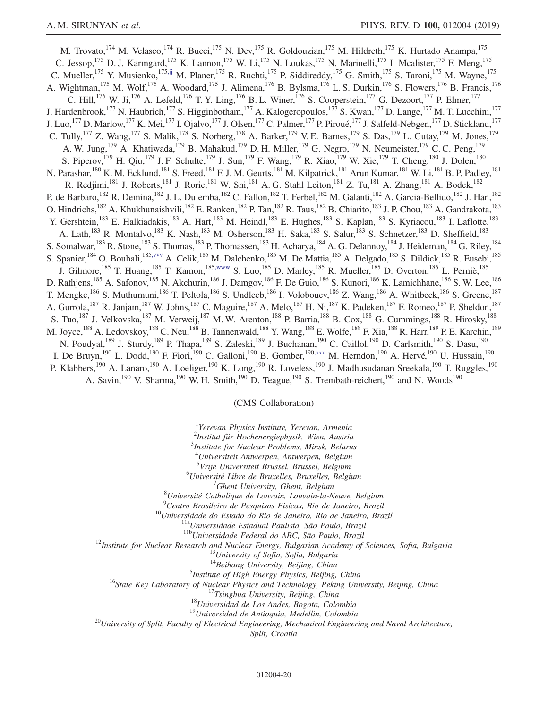<span id="page-19-1"></span><span id="page-19-0"></span>M. Trovato, <sup>174</sup> M. Velasco, <sup>174</sup> R. Bucci, <sup>175</sup> N. Dev, <sup>175</sup> R. Goldouzian, <sup>175</sup> M. Hildreth, <sup>175</sup> K. Hurtado Anampa, <sup>175</sup> C. Jessop,<sup>175</sup> D. J. Karmgard,<sup>175</sup> K. Lannon,<sup>175</sup> W. Li,<sup>175</sup> N. Loukas,<sup>175</sup> N. Marinelli,<sup>175</sup> I. Mcalister,<sup>175</sup> F. Meng,<sup>175</sup> C. Mueller, <sup>175</sup> Y. Musienko, <sup>17[5,jj](#page-23-33)</sup> M. Planer, <sup>175</sup> R. Ruchti, <sup>175</sup> P. Siddireddy, <sup>175</sup> G. Smith, <sup>175</sup> S. Taroni, <sup>175</sup> M. Wayne, <sup>175</sup> A. Wightman,<sup>175</sup> M. Wolf,<sup>175</sup> A. Woodard,<sup>175</sup> J. Alimena,<sup>176</sup> B. Bylsma,<sup>176</sup> L. S. Durkin,<sup>176</sup> S. Flowers,<sup>176</sup> B. Francis,<sup>176</sup> C. Hill,<sup>176</sup> W. Ji,<sup>176</sup> A. Lefeld,<sup>176</sup> T. Y. Ling,<sup>176</sup> B. L. Winer,<sup>176</sup> S. Cooperstein,<sup>177</sup> G. Dezoort,<sup>177</sup> P. Elmer,<sup>177</sup> J. Hardenbrook,<sup>177</sup> N. Haubrich,<sup>177</sup> S. Higginbotham,<sup>177</sup> A. Kalogeropoulos,<sup>177</sup> S. Kwan,<sup>177</sup> D. Lange,<sup>177</sup> M. T. Lucchini,<sup>177</sup> J. Luo,<sup>177</sup> D. Marlow,<sup>177</sup> K. Mei,<sup>177</sup> I. Ojalvo,<sup>177</sup> J. Olsen,<sup>177</sup> C. Palmer,<sup>177</sup> P. Piroué,<sup>177</sup> J. Salfeld-Nebgen,<sup>177</sup> D. Stickland,<sup>177</sup> C. Tully,<sup>177</sup> Z. Wang,<sup>177</sup> S. Malik,<sup>178</sup> S. Norberg,<sup>178</sup> A. Barker,<sup>179</sup> V. E. Barnes,<sup>179</sup> S. Das,<sup>179</sup> L. Gutay,<sup>179</sup> M. Jones,<sup>179</sup> A. W. Jung,  $^{179}$  A. Khatiwada,  $^{179}$  B. Mahakud,  $^{179}$  D. H. Miller,  $^{179}$  G. Negro,  $^{179}$  N. Neumeister,  $^{179}$  C. C. Peng,  $^{179}$ S. Piperov,<sup>179</sup> H. Qiu,<sup>179</sup> J. F. Schulte,<sup>179</sup> J. Sun,<sup>179</sup> F. Wang,<sup>179</sup> R. Xiao,<sup>179</sup> W. Xie,<sup>179</sup> T. Cheng,<sup>180</sup> J. Dolen,<sup>180</sup> N. Parashar,<sup>180</sup> K. M. Ecklund,<sup>181</sup> S. Freed,<sup>181</sup> F. J. M. Geurts,<sup>181</sup> M. Kilpatrick,<sup>181</sup> Arun Kumar,<sup>181</sup> W. Li,<sup>181</sup> B. P. Padley,<sup>181</sup> R. Redjimi,<sup>181</sup> J. Roberts,<sup>181</sup> J. Rorie,<sup>181</sup> W. Shi,<sup>181</sup> A. G. Stahl Leiton,<sup>181</sup> Z. Tu,<sup>181</sup> A. Zhang,<sup>181</sup> A. Bodek,<sup>182</sup> P. de Barbaro, <sup>182</sup> R. Demina, <sup>182</sup> J. L. Dulemba, <sup>182</sup> C. Fallon, <sup>182</sup> T. Ferbel, <sup>182</sup> M. Galanti, <sup>182</sup> A. Garcia-Bellido, <sup>182</sup> J. Han, <sup>182</sup> O. Hindrichs,<sup>182</sup> A. Khukhunaishvili,<sup>182</sup> E. Ranken,<sup>182</sup> P. Tan,<sup>182</sup> R. Taus,<sup>182</sup> B. Chiarito,<sup>183</sup> J. P. Chou,<sup>183</sup> A. Gandrakota,<sup>183</sup> Y. Gershtein,<sup>183</sup> E. Halkiadakis,<sup>183</sup> A. Hart,<sup>183</sup> M. Heindl,<sup>183</sup> E. Hughes,<sup>183</sup> S. Kaplan,<sup>183</sup> S. Kyriacou,<sup>183</sup> I. Laflotte,<sup>183</sup> A. Lath,<sup>183</sup> R. Montalvo,<sup>183</sup> K. Nash,<sup>183</sup> M. Osherson,<sup>183</sup> H. Saka,<sup>183</sup> S. Salur,<sup>183</sup> S. Schnetzer,<sup>183</sup> D. Sheffield,<sup>183</sup> S. Somalwar,<sup>183</sup> R. Stone,<sup>183</sup> S. Thomas,<sup>183</sup> P. Thomassen,<sup>183</sup> H. Acharya,<sup>184</sup> A. G. Delannoy,<sup>184</sup> J. Heideman,<sup>184</sup> G. Riley,<sup>184</sup> S. Spanier, <sup>184</sup> O. Bouhali, <sup>185, vvv</sup> A. Celik, <sup>185</sup> M. Dalchenko, <sup>185</sup> M. De Mattia, <sup>185</sup> A. Delgado, <sup>185</sup> S. Dildick, <sup>185</sup> R. Eusebi, <sup>185</sup> J. Gilmore, <sup>185</sup> T. Huang, <sup>185</sup> T. Kamon, <sup>18[5,www](#page-24-34)</sup> S. Luo, <sup>185</sup> D. Marley, <sup>185</sup> R. Mueller, <sup>185</sup> D. Overton, <sup>185</sup> L. Perniè, <sup>185</sup> D. Rathjens,<sup>185</sup> A. Safonov,<sup>185</sup> N. Akchurin,<sup>186</sup> J. Damgov,<sup>186</sup> F. De Guio,<sup>186</sup> S. Kunori,<sup>186</sup> K. Lamichhane,<sup>186</sup> S. W. Lee,<sup>186</sup> T. Mengke,<sup>186</sup> S. Muthumuni,<sup>186</sup> T. Peltola,<sup>186</sup> S. Undleeb,<sup>186</sup> I. Volobouev,<sup>186</sup> Z. Wang,<sup>186</sup> A. Whitbeck,<sup>186</sup> S. Greene,<sup>187</sup> A. Gurrola, <sup>187</sup> R. Janjam, <sup>187</sup> W. Johns, <sup>187</sup> C. Maguire, <sup>187</sup> A. Melo, <sup>187</sup> H. Ni, <sup>187</sup> K. Padeken, <sup>187</sup> F. Romeo, <sup>187</sup> P. Sheldon, <sup>187</sup> S. Tuo,<sup>187</sup> J. Velkovska,<sup>187</sup> M. Verweij,<sup>187</sup> M. W. Arenton,<sup>188</sup> P. Barria,<sup>188</sup> B. Cox,<sup>188</sup> G. Cummings,<sup>188</sup> R. Hirosky,<sup>188</sup> M. Joyce,<sup>188</sup> A. Ledovskoy,<sup>188</sup> C. Neu,<sup>188</sup> B. Tannenwald,<sup>188</sup> Y. Wang,<sup>188</sup> E. Wolfe,<sup>188</sup> F. Xia,<sup>188</sup> R. Harr,<sup>189</sup> P. E. Karchin,<sup>189</sup> N. Poudyal,<sup>189</sup> J. Sturdy,<sup>189</sup> P. Thapa,<sup>189</sup> S. Zaleski,<sup>189</sup> J. Buchanan,<sup>190</sup> C. Caillol,<sup>190</sup> D. Carlsmith,<sup>190</sup> S. Dasu,<sup>190</sup> I. De Bruyn,<sup>190</sup> L. Dodd,<sup>190</sup> F. Fiori,<sup>190</sup> C. Galloni,<sup>190</sup> B. Gomber,<sup>19[0,xxx](#page-24-35)</sup> M. Herndon,<sup>190</sup> A. Hervé,<sup>190</sup> U. Hussain,<sup>190</sup> P. Klabbers,<sup>190</sup> A. Lanaro,<sup>190</sup> A. Loeliger,<sup>190</sup> K. Long,<sup>190</sup> R. Loveless,<sup>190</sup> J. Madhusudanan Sreekala,<sup>190</sup> T. Ruggles,<sup>190</sup> A. Savin,<sup>190</sup> V. Sharma,<sup>190</sup> W. H. Smith,<sup>190</sup> D. Teague,<sup>190</sup> S. Trembath-reichert,<sup>190</sup> and N. Woods<sup>190</sup>

(CMS Collaboration)

<sup>1</sup>Yerevan Physics Institute, Yerevan, Armenia

2 Institut für Hochenergiephysik, Wien, Austria

3 Institute for Nuclear Problems, Minsk, Belarus

<sup>4</sup>Universiteit Antwerpen, Antwerpen, Belgium

<sup>5</sup>Vrije Universiteit Brussel, Brussel, Belgium<br><sup>6</sup>Université Libre de Bruxelles, Bruxelles, Belgium

<sup>6</sup>Université Libre de Bruxelles, Bruxelles, Belgium  ${}^{7}$ Ghent University, Ghent, Belgium

 $'$ Ghent University, Ghent, Belgium<br><sup>8</sup>Université Catholique de Louvain, Louvain la N

 $^8$ Université Catholique de Louvain, Louvain-la-Neuve, Belgium<br> $^9$ Cartre Presileire de Pesquisse Fisiese, Pie de Laneire, Presil

<span id="page-19-2"></span><sup>9</sup>Centro Brasileiro de Pesquisas Fisicas, Rio de Janeiro, Brazil<br><sup>10</sup>Universidade do Estado do Rio de Janeiro, Rio de Janeiro, Brazil<br><sup>11a</sup>Universidade Estadual Paulista, São Paulo, Brazil<br><sup>11b</sup>Universidade Federal do AB

<sup>15</sup>*Institute of High Energy Physics, Beijing, China*<br><sup>16</sup>*State Key Laboratory of Nuclear Physics and Technology, Peking University, Beijing, China*<br><sup>17</sup>*Tsinghua University, Beijing, China*<br><sup>18</sup>*Universidad de Los Ande* 

Split, Croatia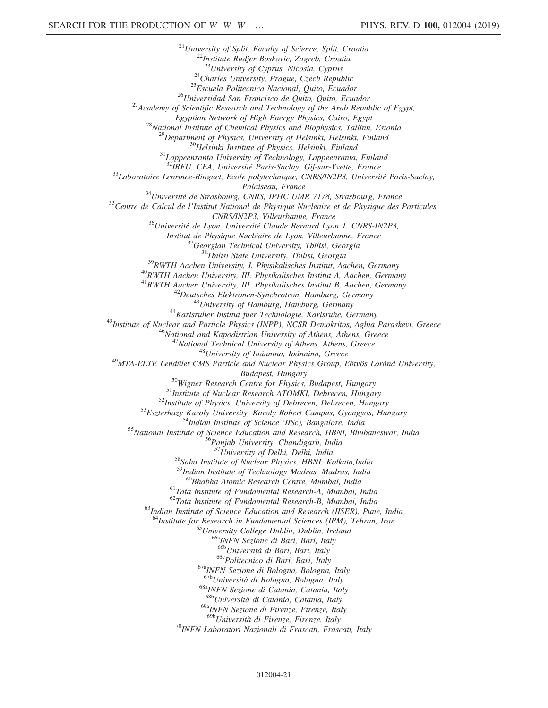<sup>21</sup>University of Split, Faculty of Science, Split, Croatia<sup>22</sup>Institute Rudjer Boskovic, Zagreb, Croatia<sup>23</sup>University of Cyprus, Nicosia, Cyprus <sup>24</sup>Charles University, Prague, Czech Republic<br><sup>25</sup>Escuela Politecnica Nacional, Quito, Ecuador<br><sup>26</sup>Universidad San Francisco de Quito, Quito, Ecuador<br><sup>27</sup>Academy of Scientific Research and Technology of the Arab Republic Egyptian Network of High Energy Physics, Cairo, Egypt<br><sup>28</sup>National Institute of Chemical Physics and Biophysics, Tallinn, Estonia<br><sup>29</sup>Department of Physics, University of Helsinki, Helsinki, Finland<br><sup>30</sup>Helsinki Institute <sup>33</sup>Laboratoire Leprince-Ringuet, Ecole polytechnique, CNRS/IN2P3, Université Paris-Saclay, Palaiseau, France<br><sup>34</sup>Université de Strasbourg, CNRS, IPHC UMR 7178, Strasbourg, France<br><sup>35</sup>Centre de Calcul de l'Institut National de Physique Nucleaire et de Physique des Particules, CNRS/IN2P3, Villeurbanne, France<br><sup>36</sup>Université de Lyon, Université Claude Bernard Lyon 1, CNRS-IN2P3,<br>Institut de Physique Nucléaire de Lyon, Villeurbanne, France <sup>37</sup>Georgian Technical University, Tbilisi, Georgia<br><sup>38</sup>Tbilisi State University, Tbilisi, Georgia<br><sup>39</sup>RWTH Aachen University, I. Physikalisches Institut, Aachen, Germany<br><sup>40</sup>RWTH Aachen University, III. Physikalisches In  $\begin{array}{c} \begin{array}{c} \text{42} \text{Deutsches Elektronen-Synchronous}, \text{Hamburg}, \text{Germany} \\ \text{43} \text{University of Hamburg}, \text{Hamburg}, \text{Germany} \end{array} \\ \begin{array}{c} \text{44} \text{Karlsruhe} \text{r Institute} \text{Institut fuer Technology}, \text{Karlsruhe}, \text{Germany} \\ \text{45} \text{Institute of Nuclear and Particle Physics (INPP), NCSR Demokritos}, \text{Aghia Paraskevi}, \text{Greece} \\ \begin{array}{c} \text{46} \text{National and Kapodistrian University of Athens}, \text{Athens}, \text{Greece} \\ \text{47} \text{National Technical University of Ab$ Budapest, Hungary<br>
<sup>50</sup>Wigner Research Centre for Physics, Budapest, Hungary<br>
<sup>51</sup>Institute of Nuclear Research ATOMKI, Debrecen, Hungary<br>
<sup>52</sup>Institute of Physics, University of Debrecen, Debrecen, Hungary<br>
<sup>53</sup>Eszterhazy <sup>58</sup>Saha Institute of Nuclear Physics, HBNI, Kolkata,India <sup>59</sup>Indian Institute of Technology Madras, Madras, India<br><sup>60</sup>Bhabha Atomic Research Centre, Mumbai, India <sup>61</sup>Tata Institute of Fundamental Research-A, Mumbai, India  $^{62}$ Tata Institute of Fundamental Research-B, Mumbai, India  $63$ Indian Institute of Science Education and Research (IISER), Pune, India <sup>64</sup>Institute for Research in Fundamental Sciences (IPM), Tehran, Iran <sup>65</sup>University College Dublin, Dublin, Ireland <sup>66a</sup>INFN Sezione di Bari, Bari, Italy <sup>66b</sup>Università di Bari, Bari, Italy <sup>66c</sup>Politecnico di Bari, Bari, Italy<br><sup>67a</sup>INFN Sezione di Bologna, Bologna, Italy <sup>67b</sup>Università di Bologna, Bologna, Italy <sup>68a</sup>INFN Sezione di Catania, Catania, Italy <sup>68b</sup>Università di Catania, Catania, Italy  $^{69a}$ INFN Sezione di Firenze, Firenze, Italy<br> $^{69b}$ Università di Firenze, Firenze, Italy <sup>70</sup>INFN Laboratori Nazionali di Frascati, Frascati, Italy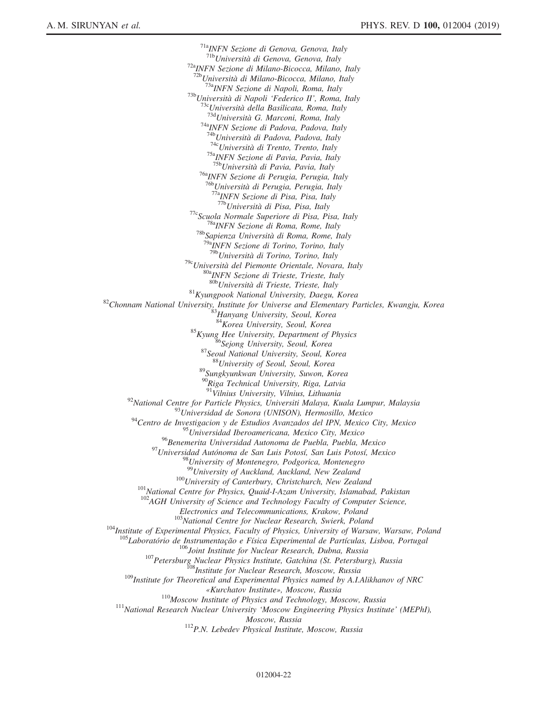<sup>71a</sup>INFN Sezione di Genova, Genova, Italy<br><sup>71b</sup>Università di Genova, Genova, Italy <sup>72a</sup>INFN Sezione di Milano-Bicocca, Milano, Italy  $^{72b}$ Università di Milano-Bicocca, Milano, Italy <sup>73a</sup>INFN Sezione di Napoli, Roma, Italy<br><sup>73b</sup>Università di Napoli 'Federico II', Roma, Italy<br><sup>73c</sup>Università della Basilicata, Roma, Italy<br><sup>73d</sup>Università G. Marconi, Roma, Italy<br><sup>74a</sup>INFN Sezione di Padova, Padova, Ital <sup>746</sup>Università di Padova, Padova, Italy <sup>74</sup><sup>c</sup>Università di Trento, Trento, Italy <sup>75a</sup>INFN Sezione di Pavia, Pavia, Italy <sup>75b</sup>Università di Pavia, Pavia, Italy <sup>76a</sup>INFN Sezione di Perugia, Perugia, Italy<br><sup>76b</sup>Università di Perugia, Perugia, Italy  $^{77a}NFN$  Sezione di Pisa, Pisa, Italy  $^{77b}Università$  di Pisa, Pisa, Italy <sup>77c</sup>Scuola Normale Superiore di Pisa, Pisa, Italy <sup>78a</sup>INFN Sezione di Roma, Rome, Italy <sup>78b</sup>Sapienza Università di Roma, Rome, Italy <sup>79a</sup>INFN Sezione di Torino, Torino, Italy <sup>79b</sup>Università di Torino, Torino, Italy <sup>79c</sup>Università del Piemonte Orientale, Novara, Italy  $^{80a}$ INFN Sezione di Trieste, Trieste, Italy  $^{80b}$ Università di Trieste, Trieste, Italy  $^{81}$ Kyungpook National University, Daegu, Korea  $^{82}$ Chonnam National University, Institute for Universe and Elementary Particles, Kwangju, Korea  $^{83}$ Hanyang University, Seoul, Korea 83Hanyang University, Seoul, Kore <sup>85</sup>Kyung Hee University, Department of Physics<br><sup>86</sup>Sejong University, Seoul, Korea<br><sup>87</sup>Seoul National University, Seoul, Korea<br><sup>88</sup>Sungkyunkwan University, Suwon, Korea<br><sup>89</sup>Sungkyunkwan University, Suwon, Korea <sup>90</sup>Riga Technical University, Riga, Latvia<br><sup>91</sup>Vilnius University, Vilnius, Lithuania <sup>92</sup>National Centre for Particle Physics, Universiti Malaya, Kuala Lumpur, Malaysia<br><sup>93</sup>Universidad de Sonora (UNISON), Hermosillo, Mexico<br><sup>94</sup>Centro de Investigacion y de Estudios Avanzados del IPN, Mexico City, Mexico <sup>95</sup>Universidad Iberoamericana, Mexico City, Mexico<br><sup>96</sup>Benemerita Universidad Autonoma de Puebla, Puebla, Mexico <sup>97</sup>Universidad Autónoma de San Luis Potosí, San Luis Potosí, Mexico <sup>98</sup>University of Montenegro, Podgorica, Montenegro<br><sup>99</sup>University of Auckland, Auckland, New Zealand  $^{100}$ University of Canterbury, Christchurch, New Zealand<br> $^{101}$ National Centre for Physics, Quaid-I-Azam University, Islamabad, Pakistan  $102$ <sub>AGH</sub> University of Science and Technology Faculty of Computer Science, Electronics and Telecommunications, Krakow, Poland<br><sup>103</sup>National Centre for Nuclear Research, Swierk, Poland <sup>104</sup>Institute of Experimental Physics, Faculty of Physics, University of Warsaw, Warsaw, Poland <sup>105</sup>Laboratório de Instrumentação e Física Experimental de Partículas, Lisboa, Portugal <sup>105</sup>Joint Institute for Nuclear Research, Dubna, Russia<br><sup>107</sup>Petersburg Nuclear Physics Institute, Gatchina (St. Petersburg), Russia<br><sup>109</sup>Institute for Theoretical and Experimental Physics named by A.I.Alikhanov of NRC «Kurchatov Institute», Moscow, Russia<br><sup>110</sup>Moscow Institute of Physics and Technology, Moscow, Russia<br><sup>111</sup>National Research Nuclear University 'Moscow Engineering Physics Institute' (MEPhI), Moscow, Russia<br><sup>112</sup>P.N. Lebedev Physical Institute, Moscow, Russia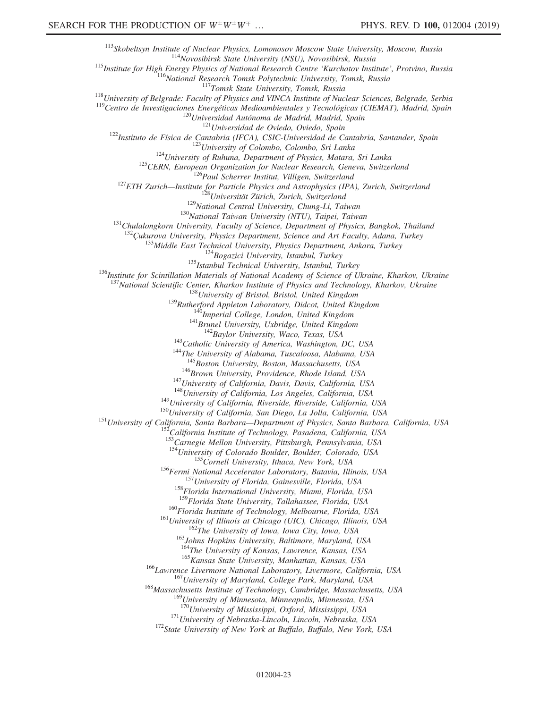113<br>
113 Skobeltsyn Institute of Nuclear Physics, Lomonosov Moscow State University, Moscow, Russia<br>
115 Institute for High Energy Physics State University (NSU), Novosibirsk, Russia<br>
115 Institute for High Energy Physics <sup>133</sup>Middle East Technical University, Physics Department, Ankara, Turkey<br><sup>134</sup>Bogazici University, Istanbul, Turkey<br><sup>135</sup>Istanbul Technical University, Istanbul, Turkey<br><sup>136</sup>Institute for Scintillation Materials of Natio <sup>137</sup>National Scientific Center, Kharkov Institute of Physics and Technology, Kharkov, Ukraine<br><sup>138</sup>University of Bristol, Bristol, United Kingdom<br><sup>139</sup>Rutherford Appleton Laboratory, Didcot, United Kingdom<br><sup>140</sup>Imperial <sup>146</sup>Brown University, Providence, Rhode Island, USA<br><sup>147</sup>University of California, Davis, Davis, California, USA<br><sup>148</sup>University of California, Los Angeles, California, USA<br><sup>149</sup>University of California, Riverside, Rivers 153<br>Carnegie Mellon University, Pittsburgh, Pennsylvania, USA<br><sup>154</sup>University of Colorado Boulder, Boulder, Colorado, USA <sup>155</sup>Cornell University, Ithaca, New York, USA<br><sup>156</sup>Fermi National Accelerator Laboratory, Batavia, Illinois, USA<br><sup>157</sup>University of Florida, Gainesville, Florida, USA<br><sup>158</sup>Florida International University, Miami, Florida <sup>160</sup>Florida Institute of Technology, Melbourne, Florida, USA<br><sup>161</sup>University of Illinois at Chicago (UIC), Chicago, Illinois, USA<br><sup>162</sup>The University of Iowa, Iowa City, Iowa, USA<br><sup>163</sup>Johns Hopkins University, Baltimore <sup>165</sup> Kansas State University, Manhattan, Kansas, USA<br><sup>166</sup> Lawrence Livermore National Laboratory, Livermore, California, USA<br><sup>167</sup> University of Maryland, College Park, Maryland, USA<br><sup>168</sup> Massachusetts Institute of Tec  $^{169}$ University of Minnesota, Minneapolis, Minnesota, USA<br> $^{170}$ University of Mississippi, Oxford, Mississippi, USA  $171$ University of Nebraska-Lincoln, Lincoln, Nebraska, USA  $172$ State University of New York at Buffalo, Buffalo, New York, USA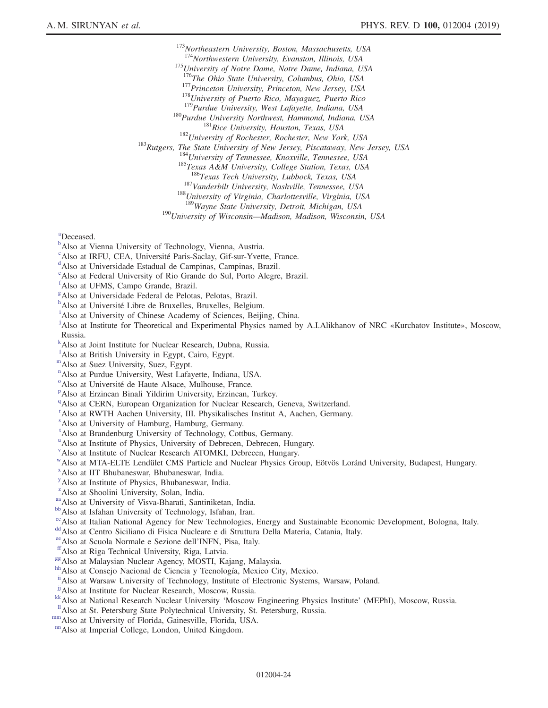<sup>173</sup>Northeastern University, Boston, Massachusetts, USA<br><sup>174</sup>Northwestern University, Evanston, Illinois, USA <sup>175</sup>University of Notre Dame, Notre Dame, Indiana, USA  $^{176}$ The Ohio State University, Columbus, Ohio, USA <sup>177</sup>Princeton University, Princeton, New Jersey, USA<br>
<sup>178</sup>University of Puerto Rico, Mayaguez, Puerto Rico<br>
<sup>179</sup>Purdue University, West Lafayette, Indiana, USA<br>
<sup>180</sup>Purdue University, Northwest, Hammond, Indiana, USA<br> <sup>187</sup>Vanderbilt University, Nashville, Tennessee, USA <sup>188</sup>University of Virginia, Charlottesville, Virginia, USA <sup>189</sup>Wayne State University, Detroit, Michigan, USA <sup>190</sup>University of Wisconsin—Madison, Madison, Wisconsin, USA

<span id="page-23-0"></span>[a](#page-13-5) Deceased.

- <span id="page-23-1"></span><sup>[b](#page-13-6)</sup>Also at Vienna University of Technology, Vienna, Austria.
- <span id="page-23-2"></span><sup>[c](#page-13-7)</sup>Also at IRFU, CEA, Université Paris-Saclay, Gif-sur-Yvette, France.
- <span id="page-23-3"></span>Also at Universidade Estadual de Campinas, Campinas, Brazil.
- <span id="page-23-4"></span>[e](#page-13-9) Also at Federal University of Rio Grande do Sul, Porto Alegre, Brazil.
- <span id="page-23-5"></span>[f](#page-13-10) Also at UFMS, Campo Grande, Brazil.
- <span id="page-23-6"></span><sup>[g](#page-13-11)</sup>Also at Universidade Federal de Pelotas, Pelotas, Brazil.
- <span id="page-23-7"></span> $h^h$  $h^h$ Also at Un[i](#page-13-13)versité Libre de Bruxelles, Bruxelles, Belgium.<br><sup>i</sup>Also et University of Chinese Acedemy of Sciences, Beijij
- <span id="page-23-8"></span><sup>1</sup>Also at University of Chinese Academy of Sciences, Beijing, China.
- <span id="page-23-9"></span>[j](#page-13-14) Also at Institute for Theoretical and Experimental Physics named by A.I.Alikhanov of NRC «Kurchatov Institute», Moscow, Russia.
- <span id="page-23-10"></span>[k](#page-13-15) Also at Joint Institute for Nuclear Research, Dubna, Russia.
- <span id="page-23-11"></span><sup>1</sup>A[l](#page-13-16)so at British University in Egypt, Cairo, Egypt.
- mAlso at Suez University, Suez, Egypt.
- <span id="page-23-12"></span>[n](#page-14-0) Also at Purdue University, West Lafayette, Indiana, USA.
- <span id="page-23-13"></span><sup>[o](#page-14-1)</su[p](#page-14-2)> Also at Université de Haute Alsace, Mulhouse, France.<br>PAlso et Fraincen Pineli Vildirim University, Fraincen
- <span id="page-23-14"></span>Also at Erzincan Binali Yildirim University, Erzincan, Turkey.
- <span id="page-23-15"></span><sup>[q](#page-14-3)</sup>Also at CERN, European Organization for Nuclear Research, Geneva, Switzerland.
- <span id="page-23-16"></span>[r](#page-14-4) Also at RWTH Aachen University, III. Physikalisches Institut A, Aachen, Germany.
- <span id="page-23-17"></span>[s](#page-14-5) Also at University of Hamburg, Hamburg, Germany.
- <span id="page-23-18"></span>[t](#page-14-6) Also at Brandenburg University of Technology, Cottbus, Germany.
- <span id="page-23-19"></span><s[u](#page-14-7)p>u</sup>Also at Institute of Physics, University of Debrecen, Debrecen, Hungary.
- <span id="page-23-20"></span>[v](#page-14-8) Also at Institute of Nuclear Research ATOMKI, Debrecen, Hungary.
- wAlso at MTA-ELTE Lendület CMS Particle and Nuclear Physics Group, Eötvös Loránd University, Budapest, Hungary.
- <span id="page-23-21"></span>[x](#page-14-9) Also at IIT Bhubaneswar, Bhubaneswar, India.
- <span id="page-23-22"></span>[y](#page-14-9) Also at Institute of Physics, Bhubaneswar, India.
- <span id="page-23-23"></span><sup>[z](#page-15-0)</sup>Also at Shoolini University, Solan, India.
- <span id="page-23-25"></span><span id="page-23-24"></span>[aa](#page-15-0) Also at University of Visva-Bharati, Santiniketan, India.<br><sup>[bb](#page-15-1)</sup>Also at Isfahan University of Technology, Isfahan, Iran.
- 
- <span id="page-23-27"></span><span id="page-23-26"></span><sup>[cc](#page-15-2)</sup>Also at Italian National Agency for New Technologies, Energy and Sustainable Economic Development, Bologna, Italy. [dd](#page-15-3)<br>Also at Centro Siciliano di Fisica Nucleare e di Struttura Della Materia, Catania, Italy.<br><sup>ec</sup>Also a
- 
- <span id="page-23-28"></span>
- <span id="page-23-30"></span>
- <span id="page-23-31"></span>
- <span id="page-23-29"></span><sup>[ff](#page-16-0)</sup> Also at Riga Technical University, Riga, Latvia.<br><sup>[gg](#page-16-1)</sup> Also at Malaysian Nuclear Agency, MOSTI, Kajang, Malaysia.<br><sup>[hh](#page-16-2)</sup> Also at Consejo Nacional de Ciencia y Tecnología, Mexico City, Mexico.
- <span id="page-23-32"></span>[ii](#page-16-3) Also at Warsaw University of Technology, Institute of Electronic Systems, Warsaw, Poland.<br>
<sup>jj</sup> Also at Institute for Nuclear Research, Moscow, Russia.
- <span id="page-23-33"></span>
- <sup>kk</sup>Also at National Research Nuclear University 'Moscow Engineering Physics Institute' (MEPhI), Moscow, Russia.<br><sup>Il</sup>Also at St. Petersburg State Polytechnical University, St. Petersburg, Russia.<br><sup>nm</sup>Also at University of
- <span id="page-23-35"></span><span id="page-23-34"></span>
- <span id="page-23-36"></span>
-